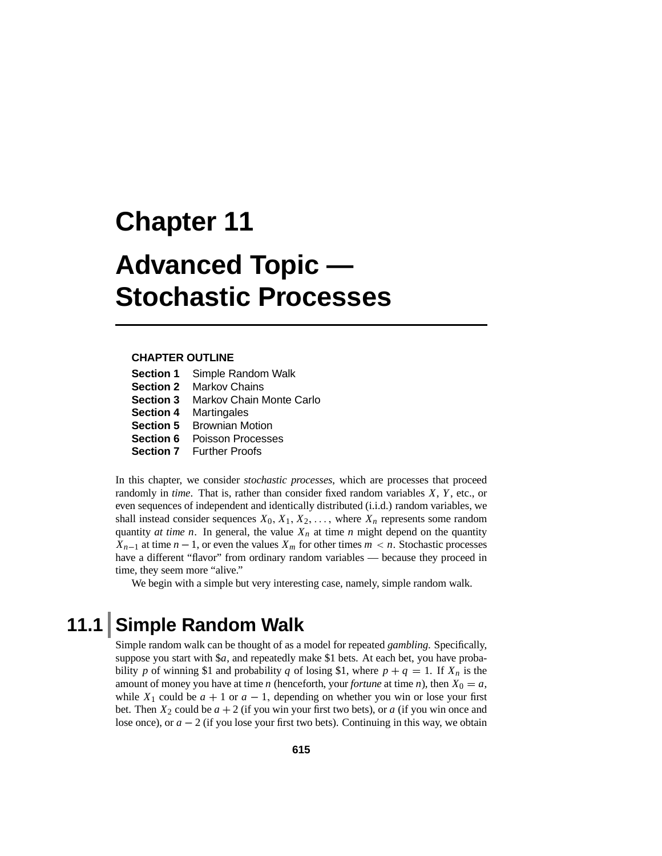# **Chapter 11 Advanced Topic — Stochastic Processes**

#### **CHAPTER OUTLINE**

| <b>Section 1</b> | Simple Random Walk              |
|------------------|---------------------------------|
| <b>Section 2</b> | <b>Markov Chains</b>            |
| <b>Section 3</b> | <b>Markov Chain Monte Carlo</b> |
| <b>Section 4</b> | Martingales                     |
| <b>Section 5</b> | <b>Brownian Motion</b>          |
| <b>Section 6</b> | Poisson Processes               |
|                  | <b>Section 7</b> Further Proofs |

In this chapter, we consider *stochastic processes*, which are processes that proceed randomly in *time*. That is, rather than consider fixed random variables *X*, *Y*, etc., or even sequences of independent and identically distributed (i.i.d.) random variables, we shall instead consider sequences  $X_0, X_1, X_2, \ldots$ , where  $X_n$  represents some random quantity *at time n*. In general, the value  $X_n$  at time *n* might depend on the quantity *X<sub>n</sub>*−1 at time *n* − 1, or even the values *X<sub>m</sub>* for other times *m* < *n*. Stochastic processes have a different "flavor" from ordinary random variables — because they proceed in time, they seem more "alive."

We begin with a simple but very interesting case, namely, simple random walk.

# **11.1 Simple Random Walk**

Simple random walk can be thought of as a model for repeated *gambling*. Specifically, suppose you start with \$*a*, and repeatedly make \$1 bets. At each bet, you have probability *p* of winning \$1 and probability *q* of losing \$1, where  $p + q = 1$ . If  $X_n$  is the amount of money you have at time *n* (henceforth, your *fortune* at time *n*), then  $X_0 = a$ , while  $X_1$  could be  $a + 1$  or  $a - 1$ , depending on whether you win or lose your first bet. Then  $X_2$  could be  $a + 2$  (if you win your first two bets), or a (if you win once and lose once), or *<sup>a</sup>* <sup>−</sup> 2 (if you lose your first two bets). Continuing in this way, we obtain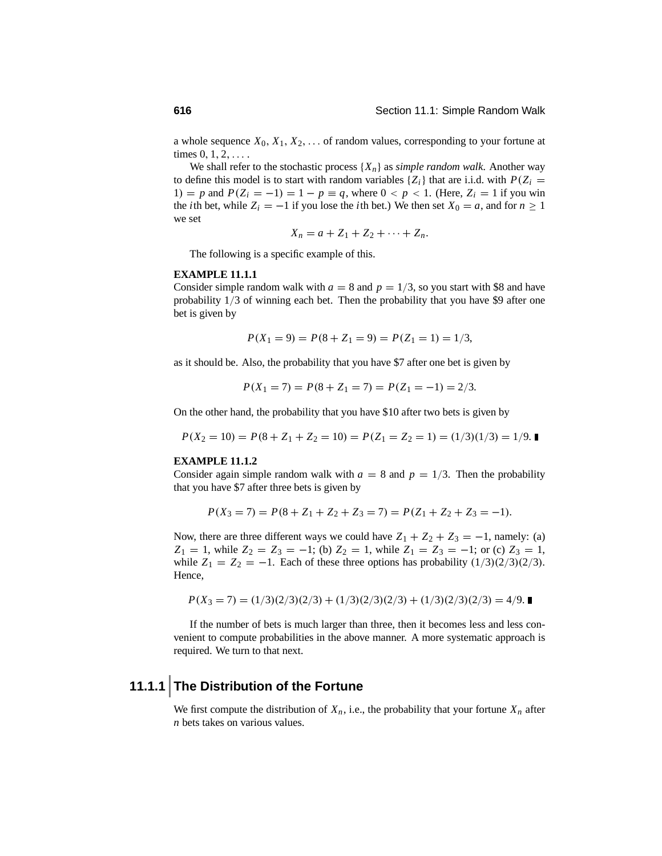a whole sequence  $X_0, X_1, X_2, \ldots$  of random values, corresponding to your fortune at times  $0, 1, 2, \ldots$ .

We shall refer to the stochastic process  $\{X_n\}$  as *simple random walk*. Another way to define this model is to start with random variables  $\{Z_i\}$  that are i.i.d. with  $P(Z_i =$ 1) = *p* and  $P(Z_i = -1) = 1 - p \equiv q$ , where  $0 < p < 1$ . (Here,  $Z_i = 1$  if you win the *i*th bet, while  $Z_i = -1$  if you lose the *i*th bet.) We then set  $X_0 = a$ , and for  $n \ge 1$ we set

$$
X_n = a + Z_1 + Z_2 + \cdots + Z_n.
$$

The following is a specific example of this.

#### **EXAMPLE 11.1.1**

Consider simple random walk with  $a = 8$  and  $p = 1/3$ , so you start with \$8 and have probability 1/3 of winning each bet. Then the probability that you have \$9 after one bet is given by

$$
P(X_1 = 9) = P(8 + Z_1 = 9) = P(Z_1 = 1) = 1/3,
$$

as it should be. Also, the probability that you have \$7 after one bet is given by

$$
P(X_1 = 7) = P(8 + Z_1 = 7) = P(Z_1 = -1) = 2/3.
$$

On the other hand, the probability that you have \$10 after two bets is given by

$$
P(X_2 = 10) = P(8 + Z_1 + Z_2 = 10) = P(Z_1 = Z_2 = 1) = (1/3)(1/3) = 1/9.
$$

#### **EXAMPLE 11.1.2**

Consider again simple random walk with  $a = 8$  and  $p = 1/3$ . Then the probability that you have \$7 after three bets is given by

$$
P(X_3 = 7) = P(8 + Z_1 + Z_2 + Z_3 = 7) = P(Z_1 + Z_2 + Z_3 = -1).
$$

Now, there are three different ways we could have  $Z_1 + Z_2 + Z_3 = -1$ , namely: (a)  $Z_1 = 1$ , while  $Z_2 = Z_3 = -1$ ; (b)  $Z_2 = 1$ , while  $Z_1 = Z_3 = -1$ ; or (c)  $Z_3 = 1$ , while  $Z_1 = Z_2 = -1$ . Each of these three options has probability  $(1/3)(2/3)(2/3)$ . Hence,

$$
P(X_3 = 7) = (1/3)(2/3)(2/3) + (1/3)(2/3)(2/3) + (1/3)(2/3)(2/3) = 4/9.
$$

If the number of bets is much larger than three, then it becomes less and less convenient to compute probabilities in the above manner. A more systematic approach is required. We turn to that next.

# **11.1.1 The Distribution of the Fortune**

We first compute the distribution of  $X_n$ , i.e., the probability that your fortune  $X_n$  after *n* bets takes on various values.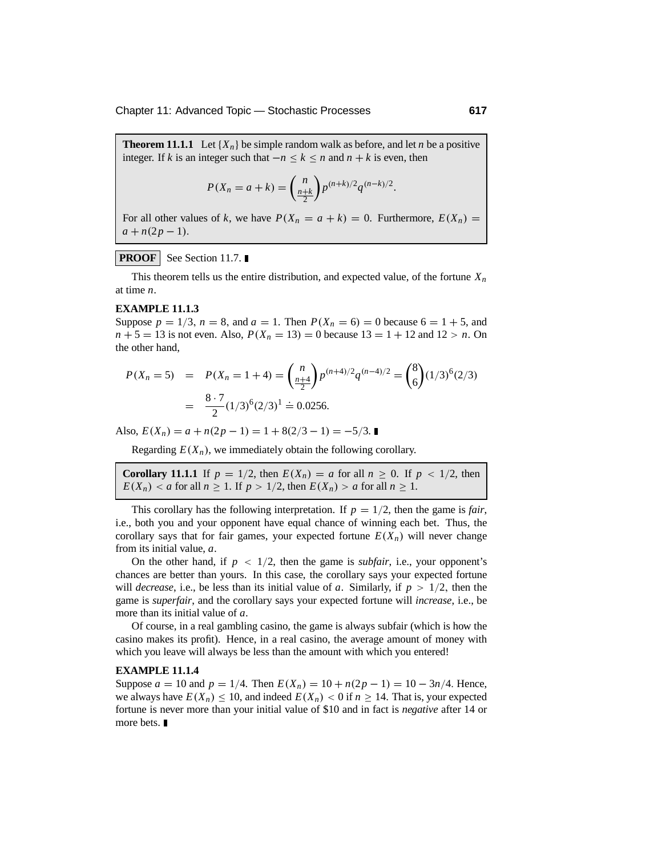**Theorem 11.1.1** Let  $\{X_n\}$  be simple random walk as before, and let *n* be a positive integer. If *<sup>k</sup>* is an integer such that <sup>−</sup>*<sup>n</sup>* <sup>≤</sup> *<sup>k</sup>* <sup>≤</sup> *<sup>n</sup>* and *<sup>n</sup>* <sup>+</sup> *<sup>k</sup>* is even, then

$$
P(X_n = a + k) = {n \choose \frac{n+k}{2}} p^{(n+k)/2} q^{(n-k)/2}.
$$

For all other values of *k*, we have  $P(X_n = a + k) = 0$ . Furthermore,  $E(X_n) =$  $a + n(2p - 1).$ 

#### **PROOF** See Section 11.7.

This theorem tells us the entire distribution, and expected value, of the fortune  $X_n$ at time *n*.

#### **EXAMPLE 11.1.3**

Suppose  $p = 1/3$ ,  $n = 8$ , and  $a = 1$ . Then  $P(X_n = 6) = 0$  because  $6 = 1 + 5$ , and  $n + 5 = 13$  is not even. Also,  $P(X_n = 13) = 0$  because  $13 = 1 + 12$  and  $12 > n$ . On the other hand,

$$
P(X_n = 5) = P(X_n = 1 + 4) = {n \choose \frac{n+4}{2}} p^{(n+4)/2} q^{(n-4)/2} = {8 \choose 6} (1/3)^6 (2/3)
$$

$$
= \frac{8 \cdot 7}{2} (1/3)^6 (2/3)^1 = 0.0256.
$$

Also,  $E(X_n) = a + n(2p - 1) = 1 + 8(2/3 - 1) = -5/3$ .

Regarding  $E(X_n)$ , we immediately obtain the following corollary.

**Corollary 11.1.1** If  $p = 1/2$ , then  $E(X_n) = a$  for all  $n \ge 0$ . If  $p < 1/2$ , then  $E(X_n) < a$  for all  $n \ge 1$ . If  $p > 1/2$ , then  $E(X_n) > a$  for all  $n \ge 1$ .

This corollary has the following interpretation. If  $p = 1/2$ , then the game is *fair*, i.e., both you and your opponent have equal chance of winning each bet. Thus, the corollary says that for fair games, your expected fortune  $E(X_n)$  will never change from its initial value, *a*.

On the other hand, if  $p < 1/2$ , then the game is *subfair*, i.e., your opponent's chances are better than yours. In this case, the corollary says your expected fortune will *decrease*, i.e., be less than its initial value of *a*. Similarly, if  $p > 1/2$ , then the game is *superfair*, and the corollary says your expected fortune will *increase*, i.e., be more than its initial value of *a*.

Of course, in a real gambling casino, the game is always subfair (which is how the casino makes its profit). Hence, in a real casino, the average amount of money with which you leave will always be less than the amount with which you entered!

#### **EXAMPLE 11.1.4**

Suppose  $a = 10$  and  $p = 1/4$ . Then  $E(X_n) = 10 + n(2p - 1) = 10 - 3n/4$ . Hence, we always have  $E(X_n) \le 10$ , and indeed  $E(X_n) < 0$  if  $n \ge 14$ . That is, your expected fortune is never more than your initial value of \$10 and in fact is *negative* after 14 or more bets.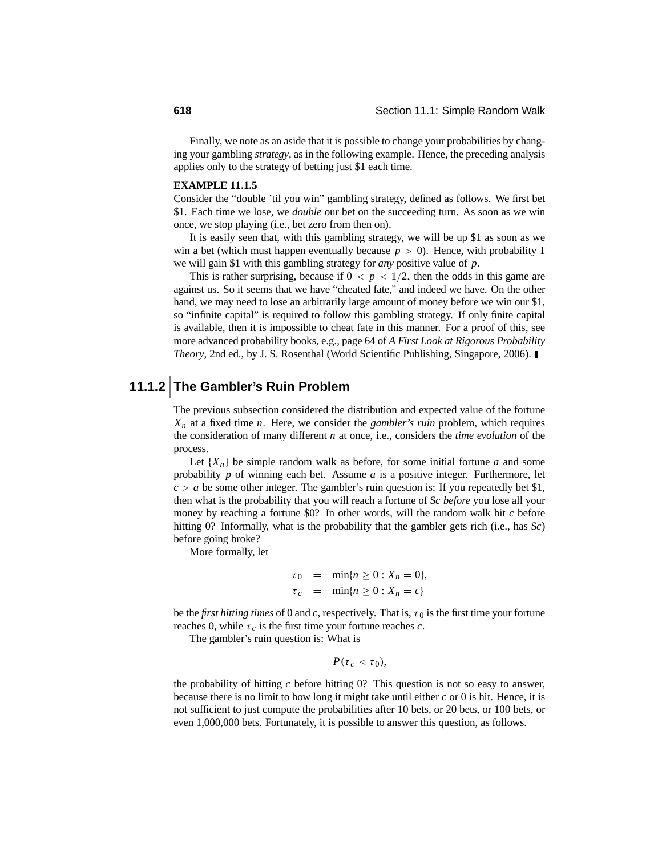Finally, we note as an aside that it is possible to change your probabilities by changing your gambling *strategy*, as in the following example. Hence, the preceding analysis applies only to the strategy of betting just \$1 each time.

#### **EXAMPLE 11.1.5**

Consider the "double 'til you win" gambling strategy, defined as follows. We first bet \$1. Each time we lose, we *double* our bet on the succeeding turn. As soon as we win once, we stop playing (i.e., bet zero from then on).

It is easily seen that, with this gambling strategy, we will be up \$1 as soon as we win a bet (which must happen eventually because  $p > 0$ ). Hence, with probability 1 we will gain \$1 with this gambling strategy for *any* positive value of *p*.

This is rather surprising, because if  $0 < p < 1/2$ , then the odds in this game are against us. So it seems that we have "cheated fate," and indeed we have. On the other hand, we may need to lose an arbitrarily large amount of money before we win our \$1, so "infinite capital" is required to follow this gambling strategy. If only finite capital is available, then it is impossible to cheat fate in this manner. For a proof of this, see more advanced probability books, e.g., page 64 of *A First Look at Rigorous Probability Theory*, 2nd ed., by J. S. Rosenthal (World Scientific Publishing, Singapore, 2006).

# **11.1.2 The Gambler's Ruin Problem**

The previous subsection considered the distribution and expected value of the fortune *Xn* at a fixed time *n*. Here, we consider the *gambler's ruin* problem, which requires the consideration of many different *n* at once, i.e., considers the *time evolution* of the process.

Let  ${X_n}$  be simple random walk as before, for some initial fortune *a* and some probability *p* of winning each bet. Assume *a* is a positive integer. Furthermore, let  $c > a$  be some other integer. The gambler's ruin question is: If you repeatedly bet \$1, then what is the probability that you will reach a fortune of \$*c before* you lose all your money by reaching a fortune \$0? In other words, will the random walk hit *c* before hitting 0? Informally, what is the probability that the gambler gets rich (i.e., has \$*c*) before going broke?

More formally, let

$$
\tau_0 = \min\{n \ge 0 : X_n = 0\},
$$
  

$$
\tau_c = \min\{n \ge 0 : X_n = c\}
$$

be the *first hitting times* of 0 and *c*, respectively. That is,  $\tau_0$  is the first time your fortune reaches 0, while  $\tau_c$  is the first time your fortune reaches  $c$ .

The gambler's ruin question is: What is

$$
P(\tau_c < \tau_0),
$$

the probability of hitting *c* before hitting 0? This question is not so easy to answer, because there is no limit to how long it might take until either *c* or 0 is hit. Hence, it is not sufficient to just compute the probabilities after 10 bets, or 20 bets, or 100 bets, or even 1,000,000 bets. Fortunately, it is possible to answer this question, as follows.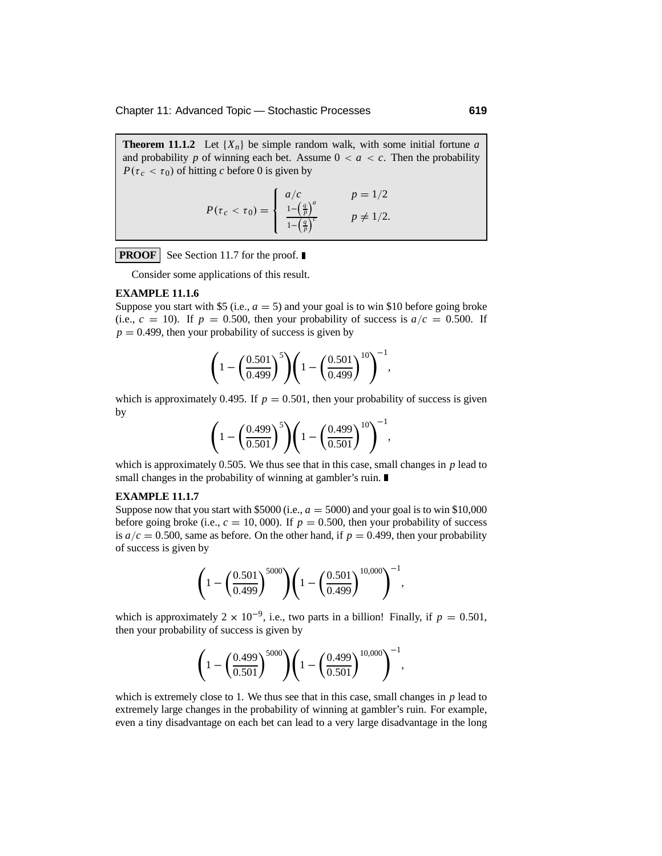**Theorem 11.1.2** Let  ${X_n}$  be simple random walk, with some initial fortune *a* and probability *p* of winning each bet. Assume  $0 < a < c$ . Then the probability  $P(\tau_c < \tau_0)$  of hitting *c* before 0 is given by

$$
P(\tau_c < \tau_0) = \begin{cases} a/c & p = \frac{1}{2} \\ \frac{1 - \left(\frac{a}{p}\right)^a}{1 - \left(\frac{a}{p}\right)^c} & p \neq \frac{1}{2} \end{cases}
$$

**PROOF** See Section 11.7 for the proof.

Consider some applications of this result.

#### **EXAMPLE 11.1.6**

Suppose you start with \$5 (i.e.,  $a = 5$ ) and your goal is to win \$10 before going broke (i.e.,  $c = 10$ ). If  $p = 0.500$ , then your probability of success is  $a/c = 0.500$ . If  $p = 0.499$ , then your probability of success is given by

$$
\left(1 - \left(\frac{0.501}{0.499}\right)^5\right) \left(1 - \left(\frac{0.501}{0.499}\right)^{10}\right)^{-1},
$$

which is approximately 0.495. If  $p = 0.501$ , then your probability of success is given by

$$
\left(1 - \left(\frac{0.499}{0.501}\right)^5\right) \left(1 - \left(\frac{0.499}{0.501}\right)^{10}\right)^{-1},
$$

which is approximately 0.505. We thus see that in this case, small changes in *p* lead to small changes in the probability of winning at gambler's ruin.

#### **EXAMPLE 11.1.7**

Suppose now that you start with  $$5000$  (i.e.,  $a = 5000$ ) and your goal is to win \$10,000 before going broke (i.e.,  $c = 10,000$ ). If  $p = 0.500$ , then your probability of success is  $a/c = 0.500$ , same as before. On the other hand, if  $p = 0.499$ , then your probability of success is given by

$$
\left(1 - \left(\frac{0.501}{0.499}\right)^{5000}\right) \left(1 - \left(\frac{0.501}{0.499}\right)^{10,000}\right)^{-1},
$$

which is approximately 2 ×  $10^{-9}$ , i.e., two parts in a billion! Finally, if  $p = 0.501$ , then your probability of success is given by

$$
\left(1 - \left(\frac{0.499}{0.501}\right)^{5000}\right) \left(1 - \left(\frac{0.499}{0.501}\right)^{10,000}\right)^{-1},
$$

which is extremely close to 1. We thus see that in this case, small changes in *p* lead to extremely large changes in the probability of winning at gambler's ruin. For example, even a tiny disadvantage on each bet can lead to a very large disadvantage in the long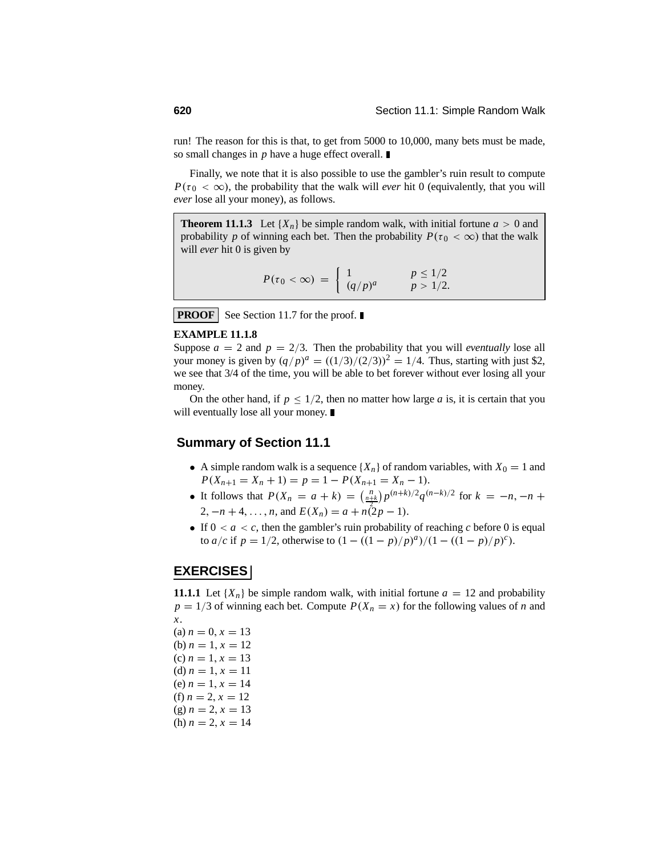run! The reason for this is that, to get from 5000 to 10,000, many bets must be made, so small changes in *p* have a huge effect overall.

Finally, we note that it is also possible to use the gambler's ruin result to compute  $P(\tau_0 < \infty)$ , the probability that the walk will *ever* hit 0 (equivalently, that you will *ever* lose all your money), as follows.

**Theorem 11.1.3** Let  ${X_n}$  be simple random walk, with initial fortune  $a > 0$  and probability *p* of winning each bet. Then the probability  $P(\tau_0 < \infty)$  that the walk will *ever* hit 0 is given by

$$
P(\tau_0 < \infty) = \begin{cases} 1 & p \le 1/2 \\ (q/p)^a & p > 1/2. \end{cases}
$$

**PROOF** See Section 11.7 for the proof.

#### **EXAMPLE 11.1.8**

Suppose  $a = 2$  and  $p = 2/3$ . Then the probability that you will *eventually* lose all your money is given by  $(q/p)^a = ((1/3)/(2/3))^2 = 1/4$ . Thus, starting with just \$2, we see that 3/4 of the time, you will be able to bet forever without ever losing all your money.

On the other hand, if  $p \leq 1/2$ , then no matter how large *a* is, it is certain that you will eventually lose all your money.

#### **Summary of Section 11.1**

- A simple random walk is a sequence  $\{X_n\}$  of random variables, with  $X_0 = 1$  and  $P(X_{n+1} = X_n + 1) = p = 1 - P(X_{n+1} = X_n - 1).$
- It follows that  $P(X_n = a + k) = {n \choose \frac{n+k}{2}} p^{(n+k)/2} q^{(n-k)/2}$  for  $k = -n, -n + 1$ 2,  $-n+4, \ldots, n$ , and  $E(X_n) = a + n(2p - 1)$ .
- If  $0 < a < c$ , then the gambler's ruin probability of reaching *c* before 0 is equal to *a*/*c* if  $p = 1/2$ , otherwise to  $(1 - ((1 - p)/p)^{a})/(1 - ((1 - p)/p)^{c})$ .

#### **EXERCISES**

**11.1.1** Let  $\{X_n\}$  be simple random walk, with initial fortune  $a = 12$  and probability  $p = 1/3$  of winning each bet. Compute  $P(X_n = x)$  for the following values of *n* and *x*.

 $(a) n = 0, x = 13$ (b)  $n = 1, x = 12$ (c)  $n = 1, x = 13$ (d)  $n = 1, x = 11$ (e)  $n = 1, x = 14$ (f)  $n = 2, x = 12$  $(g) n = 2, x = 13$ (h)  $n = 2, x = 14$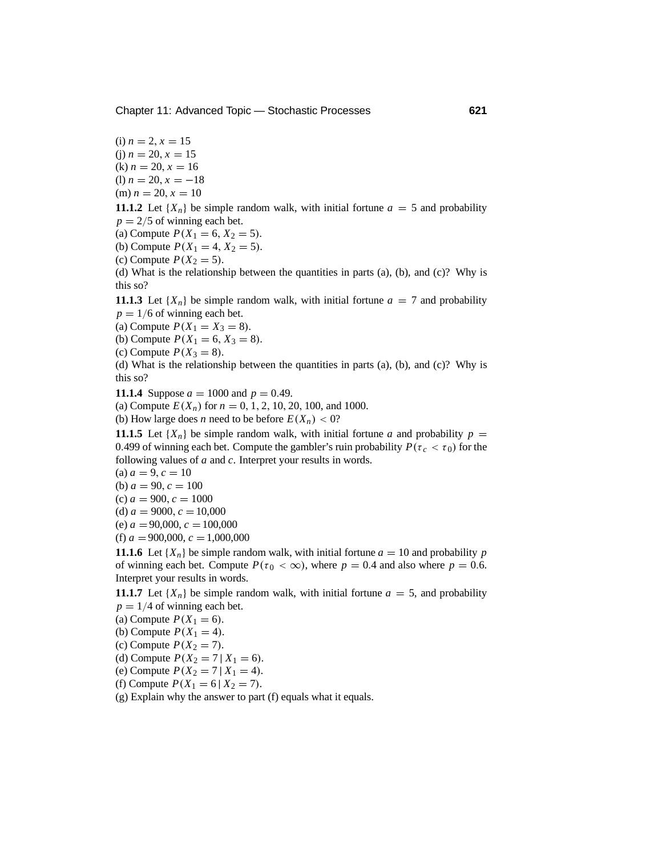$(i)$  *n* = 2, *x* = 15  $(i)$  *n* = 20, *x* = 15  $(k) n = 20, x = 16$ (1)  $n = 20$ ,  $x = -18$  $(m) n = 20, x = 10$ 

**11.1.2** Let  $\{X_n\}$  be simple random walk, with initial fortune  $a = 5$  and probability  $p = 2/5$  of winning each bet.

(a) Compute  $P(X_1 = 6, X_2 = 5)$ .

(b) Compute  $P(X_1 = 4, X_2 = 5)$ .

(c) Compute  $P(X_2 = 5)$ .

(d) What is the relationship between the quantities in parts (a), (b), and (c)? Why is this so?

**11.1.3** Let  $\{X_n\}$  be simple random walk, with initial fortune  $a = 7$  and probability  $p = 1/6$  of winning each bet.

(a) Compute  $P(X_1 = X_3 = 8)$ .

(b) Compute  $P(X_1 = 6, X_3 = 8)$ .

(c) Compute  $P(X_3 = 8)$ .

(d) What is the relationship between the quantities in parts (a), (b), and (c)? Why is this so?

**11.1.4** Suppose  $a = 1000$  and  $p = 0.49$ .

(a) Compute  $E(X_n)$  for  $n = 0, 1, 2, 10, 20, 100$ , and 1000.

(b) How large does *n* need to be before  $E(X_n) < 0$ ?

**11.1.5** Let  $\{X_n\}$  be simple random walk, with initial fortune *a* and probability  $p =$ 0.499 of winning each bet. Compute the gambler's ruin probability  $P(\tau_c < \tau_0)$  for the following values of *a* and *c*. Interpret your results in words.

 $(a) a = 9, c = 10$ 

(b)  $a = 90, c = 100$ 

 $(c) a = 900, c = 1000$ 

(d)  $a = 9000$ ,  $c = 10,000$ 

(e)  $a = 90,000$ ,  $c = 100,000$ 

(f)  $a = 900,000, c = 1,000,000$ 

**11.1.6** Let  $\{X_n\}$  be simple random walk, with initial fortune  $a = 10$  and probability *p* of winning each bet. Compute  $P(\tau_0 < \infty)$ , where  $p = 0.4$  and also where  $p = 0.6$ . Interpret your results in words.

**11.1.7** Let  $\{X_n\}$  be simple random walk, with initial fortune  $a = 5$ , and probability  $p = 1/4$  of winning each bet.

(a) Compute  $P(X_1 = 6)$ .

(b) Compute  $P(X_1 = 4)$ .

(c) Compute  $P(X_2 = 7)$ .

(d) Compute  $P(X_2 = 7 | X_1 = 6)$ .

(e) Compute  $P(X_2 = 7 | X_1 = 4)$ .

(f) Compute  $P(X_1 = 6 | X_2 = 7)$ .

(g) Explain why the answer to part (f) equals what it equals.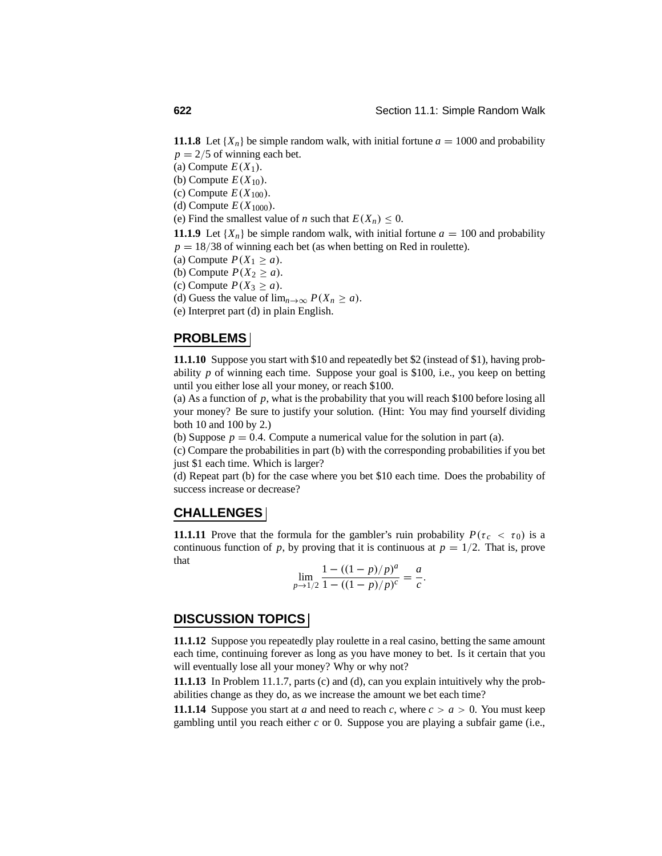**11.1.8** Let  $\{X_n\}$  be simple random walk, with initial fortune  $a = 1000$  and probability  $p = 2/5$  of winning each bet.

- (a) Compute  $E(X_1)$ .
- (b) Compute  $E(X_{10})$ .
- (c) Compute  $E(X_{100})$ .
- (d) Compute  $E(X_{1000})$ .
- (e) Find the smallest value of *n* such that  $E(X_n) \leq 0$ .

**11.1.9** Let  $\{X_n\}$  be simple random walk, with initial fortune  $a = 100$  and probability  $p = 18/38$  of winning each bet (as when betting on Red in roulette).

- (a) Compute  $P(X_1 \ge a)$ .
- (b) Compute  $P(X_2 \ge a)$ .
- (c) Compute  $P(X_3 \ge a)$ .
- (d) Guess the value of  $\lim_{n\to\infty} P(X_n \ge a)$ .
- (e) Interpret part (d) in plain English.

### **PROBLEMS**

**11.1.10** Suppose you start with \$10 and repeatedly bet \$2 (instead of \$1), having probability *p* of winning each time. Suppose your goal is \$100, i.e., you keep on betting until you either lose all your money, or reach \$100.

(a) As a function of *p*, what is the probability that you will reach \$100 before losing all your money? Be sure to justify your solution. (Hint: You may find yourself dividing both 10 and 100 by 2.)

(b) Suppose  $p = 0.4$ . Compute a numerical value for the solution in part (a).

(c) Compare the probabilities in part (b) with the corresponding probabilities if you bet just \$1 each time. Which is larger?

(d) Repeat part (b) for the case where you bet \$10 each time. Does the probability of success increase or decrease?

#### **CHALLENGES**

**11.1.11** Prove that the formula for the gambler's ruin probability  $P(\tau_c < \tau_0)$  is a continuous function of *p*, by proving that it is continuous at  $p = 1/2$ . That is, prove that

$$
\lim_{p \to 1/2} \frac{1 - ((1 - p)/p)^a}{1 - ((1 - p)/p)^c} = \frac{a}{c}.
$$

#### **DISCUSSION TOPICS**

**11.1.12** Suppose you repeatedly play roulette in a real casino, betting the same amount each time, continuing forever as long as you have money to bet. Is it certain that you will eventually lose all your money? Why or why not?

**11.1.13** In Problem 11.1.7, parts (c) and (d), can you explain intuitively why the probabilities change as they do, as we increase the amount we bet each time?

**11.1.14** Suppose you start at *a* and need to reach *c*, where  $c > a > 0$ . You must keep gambling until you reach either *c* or 0. Suppose you are playing a subfair game (i.e.,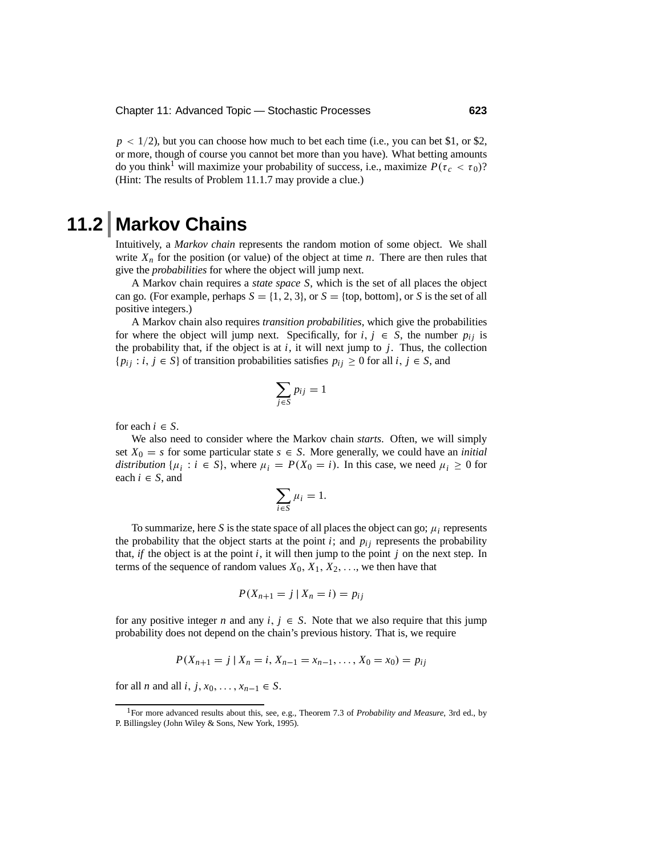$p < 1/2$ ), but you can choose how much to bet each time (i.e., you can bet \$1, or \$2, or more, though of course you cannot bet more than you have). What betting amounts do you think<sup>1</sup> will maximize your probability of success, i.e., maximize  $P(\tau_c < \tau_0)$ ? (Hint: The results of Problem 11.1.7 may provide a clue.)

# **11.2 Markov Chains**

Intuitively, a *Markov chain* represents the random motion of some object. We shall write  $X_n$  for the position (or value) of the object at time *n*. There are then rules that give the *probabilities* for where the object will jump next.

A Markov chain requires a *state space S*, which is the set of all places the object can go. (For example, perhaps  $S = \{1, 2, 3\}$ , or  $S = \{top, bottom\}$ , or *S* is the set of all positive integers.)

A Markov chain also requires *transition probabilities*, which give the probabilities for where the object will jump next. Specifically, for  $i, j \in S$ , the number  $p_{ij}$  is the probability that, if the object is at  $i$ , it will next jump to  $j$ . Thus, the collection  ${p_i, j : i, j \in S}$  of transition probabilities satisfies  $p_{ij} \geq 0$  for all  $i, j \in S$ , and

$$
\sum_{j\in S}p_{ij}=1
$$

for each  $i \in S$ .

We also need to consider where the Markov chain *starts*. Often, we will simply set  $X_0 = s$  for some particular state  $s \in S$ . More generally, we could have an *initial distribution* { $\mu_i : i \in S$ }, where  $\mu_i = P(X_0 = i)$ . In this case, we need  $\mu_i \geq 0$  for each  $i \in S$ , and

$$
\sum_{i\in S}\mu_i=1.
$$

To summarize, here S is the state space of all places the object can go;  $\mu_i$  represents the probability that the object starts at the point  $i$ ; and  $p_{ij}$  represents the probability that, *if* the object is at the point *i*, it will then jump to the point *j* on the next step. In terms of the sequence of random values  $X_0, X_1, X_2, \ldots$ , we then have that

$$
P(X_{n+1}=j\mid X_n=i)=p_{ij}
$$

for any positive integer *n* and any  $i, j \in S$ . Note that we also require that this jump probability does not depend on the chain's previous history. That is, we require

$$
P(X_{n+1}=j | X_n=i, X_{n-1}=x_{n-1},..., X_0=x_0)=p_{ij}
$$

for all *n* and all *i*, *j*,  $x_0$ , ...,  $x_{n-1} \in S$ .

<sup>1</sup>For more advanced results about this, see, e.g., Theorem 7.3 of *Probability and Measure*, 3rd ed., by P. Billingsley (John Wiley & Sons, New York, 1995).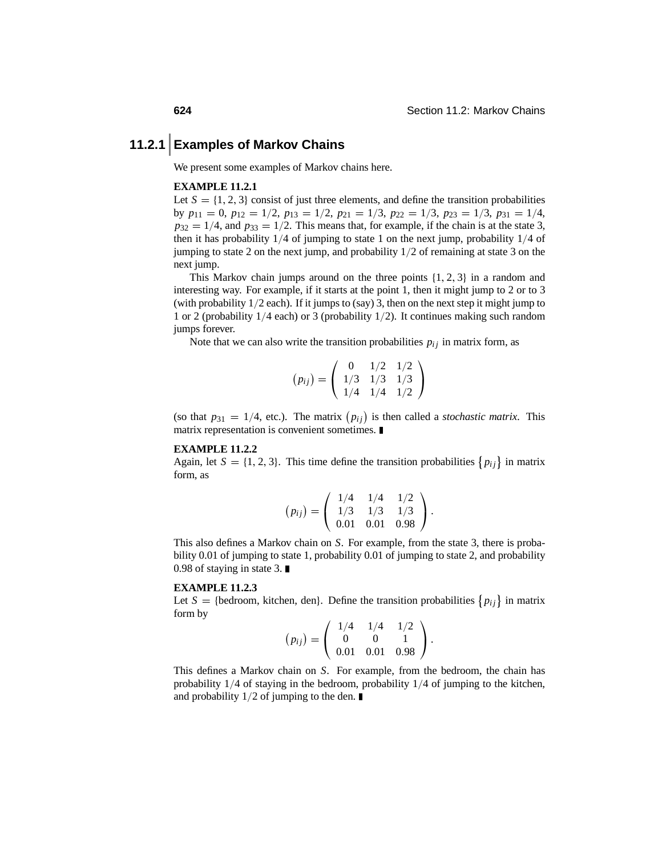# **11.2.1 Examples of Markov Chains**

We present some examples of Markov chains here.

#### **EXAMPLE 11.2.1**

Let  $S = \{1, 2, 3\}$  consist of just three elements, and define the transition probabilities by  $p_{11} = 0$ ,  $p_{12} = 1/2$ ,  $p_{13} = 1/2$ ,  $p_{21} = 1/3$ ,  $p_{22} = 1/3$ ,  $p_{23} = 1/3$ ,  $p_{31} = 1/4$ ,  $p_{32} = 1/4$ , and  $p_{33} = 1/2$ . This means that, for example, if the chain is at the state 3, then it has probability  $1/4$  of jumping to state 1 on the next jump, probability  $1/4$  of jumping to state 2 on the next jump, and probability 1/2 of remaining at state 3 on the next jump.

This Markov chain jumps around on the three points  $\{1, 2, 3\}$  in a random and interesting way. For example, if it starts at the point 1, then it might jump to 2 or to 3 (with probability 1/2 each). If it jumps to (say) 3, then on the next step it might jump to 1 or 2 (probability 1/4 each) or 3 (probability 1/2). It continues making such random jumps forever.

Note that we can also write the transition probabilities  $p_{ij}$  in matrix form, as

$$
(p_{ij}) = \left(\begin{array}{rrr} 0 & 1/2 & 1/2 \\ 1/3 & 1/3 & 1/3 \\ 1/4 & 1/4 & 1/2 \end{array}\right)
$$

(so that  $p_{31} = 1/4$ , etc.). The matrix  $(p_{ij})$  is then called a *stochastic matrix*. This matrix representation is convenient sometimes.

#### **EXAMPLE 11.2.2**

Again, let  $S = \{1, 2, 3\}$ . This time define the transition probabilities  $\{p_{ij}\}\$ in matrix form, as

$$
(p_{ij}) = \left(\begin{array}{ccc} 1/4 & 1/4 & 1/2 \\ 1/3 & 1/3 & 1/3 \\ 0.01 & 0.01 & 0.98 \end{array}\right).
$$

This also defines a Markov chain on *S*. For example, from the state 3, there is probability 0.01 of jumping to state 1, probability 0.01 of jumping to state 2, and probability 0.98 of staying in state 3. ■

#### **EXAMPLE 11.2.3**

Let  $S = \{\text{bedroom}, \text{ kitchen}, \text{den}\}.$  Define the transition probabilities  $\{p_{ij}\}\$ in matrix form by

$$
(p_{ij}) = \left(\begin{array}{ccc} 1/4 & 1/4 & 1/2 \\ 0 & 0 & 1 \\ 0.01 & 0.01 & 0.98 \end{array}\right).
$$

This defines a Markov chain on *S*. For example, from the bedroom, the chain has probability 1/4 of staying in the bedroom, probability 1/4 of jumping to the kitchen, and probability  $1/2$  of jumping to the den.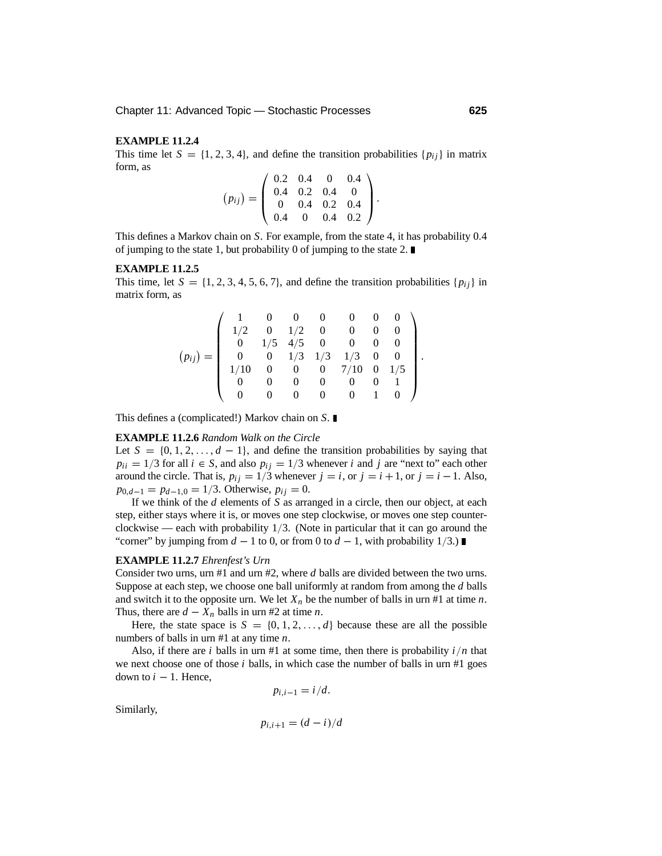#### **EXAMPLE 11.2.4**

This time let  $S = \{1, 2, 3, 4\}$ , and define the transition probabilities  $\{p_{ij}\}\$ in matrix form, as

$$
(p_{ij}) = \left(\begin{array}{cccc} 0.2 & 0.4 & 0 & 0.4 \\ 0.4 & 0.2 & 0.4 & 0 \\ 0 & 0.4 & 0.2 & 0.4 \\ 0.4 & 0 & 0.4 & 0.2 \end{array}\right).
$$

This defines a Markov chain on *S*. For example, from the state 4, it has probability 0.4 of jumping to the state 1, but probability 0 of jumping to the state 2.  $\blacksquare$ 

#### **EXAMPLE 11.2.5**

This time, let  $S = \{1, 2, 3, 4, 5, 6, 7\}$ , and define the transition probabilities  $\{p_{ij}\}\$  in matrix form, as

$$
(p_{ij}) = \left(\begin{array}{cccccc} 1 & 0 & 0 & 0 & 0 & 0 & 0 \\ 1/2 & 0 & 1/2 & 0 & 0 & 0 & 0 \\ 0 & 1/5 & 4/5 & 0 & 0 & 0 & 0 \\ 0 & 0 & 1/3 & 1/3 & 1/3 & 0 & 0 \\ 1/10 & 0 & 0 & 0 & 7/10 & 0 & 1/5 \\ 0 & 0 & 0 & 0 & 0 & 0 & 1 \\ 0 & 0 & 0 & 0 & 0 & 1 & 0 \end{array}\right).
$$

This defines a (complicated!) Markov chain on *S*.

#### **EXAMPLE 11.2.6** *Random Walk on the Circle*

Let  $S = \{0, 1, 2, \ldots, d - 1\}$ , and define the transition probabilities by saying that  $p_{ii} = 1/3$  for all  $i \in S$ , and also  $p_{ij} = 1/3$  whenever *i* and *j* are "next to" each other around the circle. That is,  $p_{ij} = 1/3$  whenever  $j = i$ , or  $j = i + 1$ , or  $j = i - 1$ . Also,  $p_{0,d-1} = p_{d-1,0} = 1/3$ . Otherwise,  $p_{ij} = 0$ .

If we think of the *d* elements of *S* as arranged in a circle, then our object, at each step, either stays where it is, or moves one step clockwise, or moves one step counterclockwise — each with probability 1/3. (Note in particular that it can go around the "corner" by jumping from  $d - 1$  to 0, or from 0 to  $d - 1$ , with probability 1/3.)

#### **EXAMPLE 11.2.7** *Ehrenfest's Urn*

Consider two urns, urn #1 and urn #2, where *d* balls are divided between the two urns. Suppose at each step, we choose one ball uniformly at random from among the *d* balls and switch it to the opposite urn. We let  $X_n$  be the number of balls in urn #1 at time *n*. Thus, there are  $d - X_n$  balls in urn #2 at time *n*.

Here, the state space is  $S = \{0, 1, 2, \ldots, d\}$  because these are all the possible numbers of balls in urn #1 at any time *n*.

Also, if there are *i* balls in urn #1 at some time, then there is probability  $i/n$  that we next choose one of those *i* balls, in which case the number of balls in urn #1 goes down to  $i - 1$ . Hence,

 $p_{i,i-1} = i/d$ .

Similarly,

$$
p_{i,i+1} = (d-i)/d
$$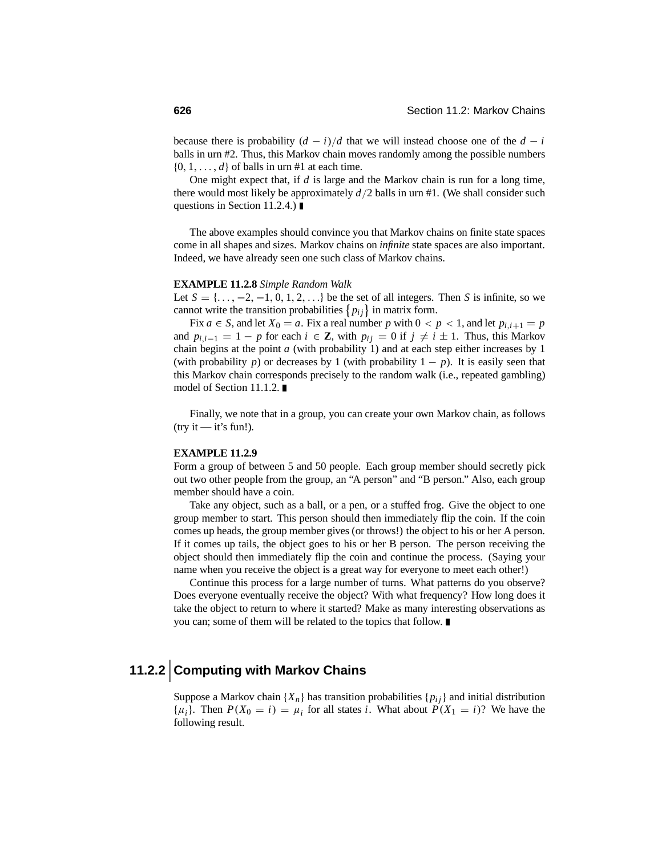because there is probability  $(d - i)/d$  that we will instead choose one of the  $d - i$ balls in urn #2. Thus, this Markov chain moves randomly among the possible numbers  $\{0, 1, \ldots, d\}$  of balls in urn #1 at each time.

One might expect that, if *d* is large and the Markov chain is run for a long time, there would most likely be approximately *d*/2 balls in urn #1. (We shall consider such questions in Section 11.2.4.) ■

The above examples should convince you that Markov chains on finite state spaces come in all shapes and sizes. Markov chains on *infinite* state spaces are also important. Indeed, we have already seen one such class of Markov chains.

#### **EXAMPLE 11.2.8** *Simple Random Walk*

Let  $S = \{..., -2, -1, 0, 1, 2, ...\}$  be the set of all integers. Then *S* is infinite, so we cannot write the transition probabilities  $\{p_{ij}\}\$ in matrix form.

Fix  $a \in S$ , and let  $X_0 = a$ . Fix a real number p with  $0 < p < 1$ , and let  $p_{i,i+1} = p$ and  $p_{i,i-1} = 1 - p$  for each  $i \in \mathbb{Z}$ , with  $p_{ij} = 0$  if  $j \neq i \pm 1$ . Thus, this Markov chain begins at the point *a* (with probability 1) and at each step either increases by 1 (with probability *p*) or decreases by 1 (with probability  $1 - p$ ). It is easily seen that this Markov chain corresponds precisely to the random walk (i.e., repeated gambling) model of Section 11.1.2.

Finally, we note that in a group, you can create your own Markov chain, as follows  $(try it — it's fun!).$ 

#### **EXAMPLE 11.2.9**

Form a group of between 5 and 50 people. Each group member should secretly pick out two other people from the group, an "A person" and "B person." Also, each group member should have a coin.

Take any object, such as a ball, or a pen, or a stuffed frog. Give the object to one group member to start. This person should then immediately flip the coin. If the coin comes up heads, the group member gives (or throws!) the object to his or her A person. If it comes up tails, the object goes to his or her B person. The person receiving the object should then immediately flip the coin and continue the process. (Saying your name when you receive the object is a great way for everyone to meet each other!)

Continue this process for a large number of turns. What patterns do you observe? Does everyone eventually receive the object? With what frequency? How long does it take the object to return to where it started? Make as many interesting observations as you can; some of them will be related to the topics that follow.

# **11.2.2 Computing with Markov Chains**

Suppose a Markov chain  $\{X_n\}$  has transition probabilities  $\{p_{ij}\}\$  and initial distribution  $\{\mu_i\}$ . Then  $P(X_0 = i) = \mu_i$  for all states *i*. What about  $P(X_1 = i)$ ? We have the following result.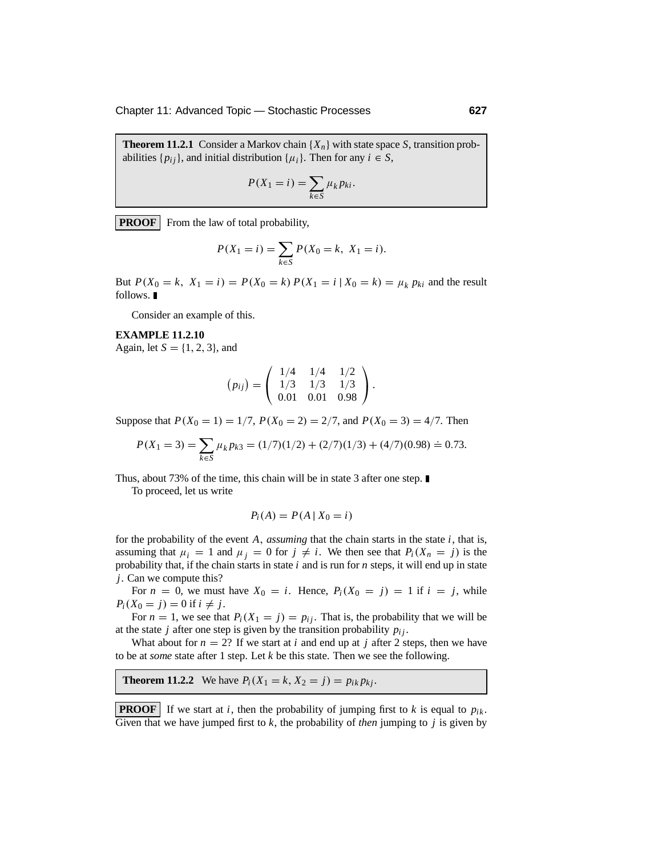Chapter 11: Advanced Topic — Stochastic Processes **627**

**Theorem 11.2.1** Consider a Markov chain  $\{X_n\}$  with state space *S*, transition probabilities  $\{p_{ij}\}\$ , and initial distribution  $\{\mu_i\}\$ . Then for any  $i \in S$ ,

$$
P(X_1 = i) = \sum_{k \in S} \mu_k p_{ki}.
$$

**PROOF** From the law of total probability,

$$
P(X_1 = i) = \sum_{k \in S} P(X_0 = k, X_1 = i).
$$

But  $P(X_0 = k, X_1 = i) = P(X_0 = k) P(X_1 = i | X_0 = k) = \mu_k p_{ki}$  and the result follows.  $\blacksquare$ 

Consider an example of this.

#### **EXAMPLE 11.2.10**

Again, let *<sup>S</sup>* = {1, <sup>2</sup>, <sup>3</sup>}, and

$$
(p_{ij}) = \left(\begin{array}{ccc} 1/4 & 1/4 & 1/2 \\ 1/3 & 1/3 & 1/3 \\ 0.01 & 0.01 & 0.98 \end{array}\right).
$$

Suppose that  $P(X_0 = 1) = 1/7$ ,  $P(X_0 = 2) = 2/7$ , and  $P(X_0 = 3) = 4/7$ . Then

$$
P(X_1 = 3) = \sum_{k \in S} \mu_k p_{k3} = (1/7)(1/2) + (2/7)(1/3) + (4/7)(0.98) \doteq 0.73.
$$

Thus, about 73% of the time, this chain will be in state 3 after one step.

To proceed, let us write

$$
P_i(A) = P(A \mid X_0 = i)
$$

for the probability of the event *A*, *assuming* that the chain starts in the state *i*, that is, assuming that  $\mu_i = 1$  and  $\mu_j = 0$  for  $j \neq i$ . We then see that  $P_i(X_n = j)$  is the probability that, if the chain starts in state *i* and is run for *n* steps, it will end up in state *j*. Can we compute this?

For  $n = 0$ , we must have  $X_0 = i$ . Hence,  $P_i(X_0 = j) = 1$  if  $i = j$ , while  $P_i(X_0 = j) = 0$  if  $i \neq j$ .

For  $n = 1$ , we see that  $P_i(X_1 = j) = p_{ij}$ . That is, the probability that we will be at the state *j* after one step is given by the transition probability  $p_{ij}$ .

What about for  $n = 2$ ? If we start at *i* and end up at *j* after 2 steps, then we have to be at *some* state after 1 step. Let *k* be this state. Then we see the following.

#### **Theorem 11.2.2** We have  $P_i(X_1 = k, X_2 = j) = p_{ik} p_{kj}$ .

**PROOF** If we start at *i*, then the probability of jumping first to *k* is equal to  $p_{ik}$ . Given that we have jumped first to *k*, the probability of *then* jumping to *j* is given by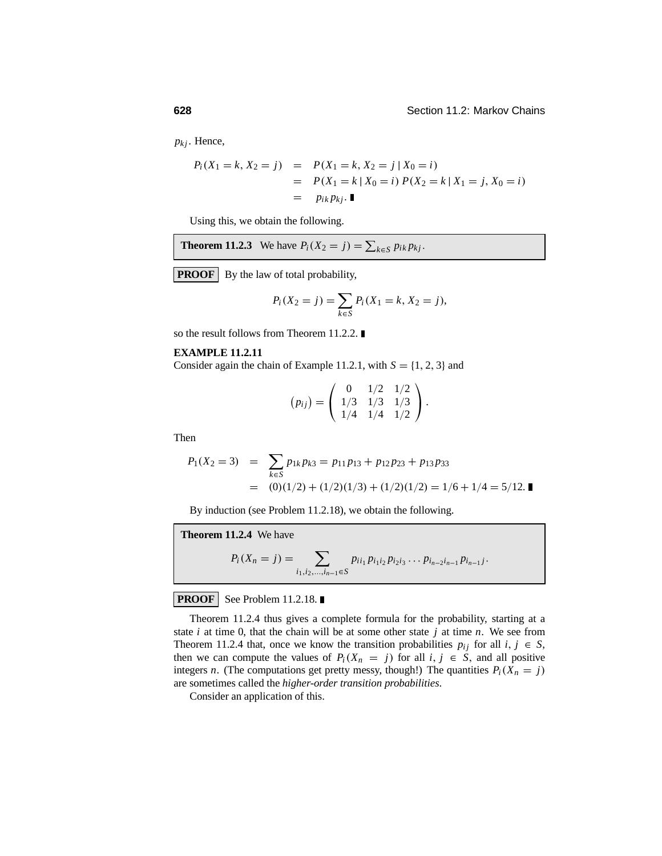$p_{kj}$ . Hence,

$$
P_i(X_1 = k, X_2 = j) = P(X_1 = k, X_2 = j | X_0 = i)
$$
  
= 
$$
P(X_1 = k | X_0 = i) P(X_2 = k | X_1 = j, X_0 = i)
$$
  
= 
$$
p_{ik} p_{kj}.
$$

Using this, we obtain the following.

**Theorem 11.2.3** We have 
$$
P_i(X_2 = j) = \sum_{k \in S} p_{ik} p_{kj}
$$
.

**PROOF** By the law of total probability,

$$
P_i(X_2 = j) = \sum_{k \in S} P_i(X_1 = k, X_2 = j),
$$

so the result follows from Theorem 11.2.2.

#### **EXAMPLE 11.2.11**

Consider again the chain of Example 11.2.1, with  $S = \{1, 2, 3\}$  and

$$
(p_{ij}) = \left(\begin{array}{rrr} 0 & 1/2 & 1/2 \\ 1/3 & 1/3 & 1/3 \\ 1/4 & 1/4 & 1/2 \end{array}\right).
$$

Then

$$
P_1(X_2 = 3) = \sum_{k \in S} p_{1k} p_{k3} = p_{11} p_{13} + p_{12} p_{23} + p_{13} p_{33}
$$
  
= (0)(1/2) + (1/2)(1/3) + (1/2)(1/2) = 1/6 + 1/4 = 5/12.

By induction (see Problem 11.2.18), we obtain the following.

**Theorem 11.2.4** We have  

$$
P_i(X_n = j) = \sum_{i_1, i_2, \dots, i_{n-1} \in S} p_{i i_1} p_{i_1 i_2} p_{i_2 i_3} \dots p_{i_{n-2} i_{n-1}} p_{i_{n-1} j}.
$$

#### **PROOF** See Problem 11.2.18.

Theorem 11.2.4 thus gives a complete formula for the probability, starting at a state *i* at time 0, that the chain will be at some other state *j* at time *n*. We see from Theorem 11.2.4 that, once we know the transition probabilities  $p_{ij}$  for all  $i, j \in S$ , then we can compute the values of  $P_i(X_n = j)$  for all  $i, j \in S$ , and all positive integers *n*. (The computations get pretty messy, though!) The quantities  $P_i(X_n = j)$ are sometimes called the *higher-order transition probabilities*.

Consider an application of this.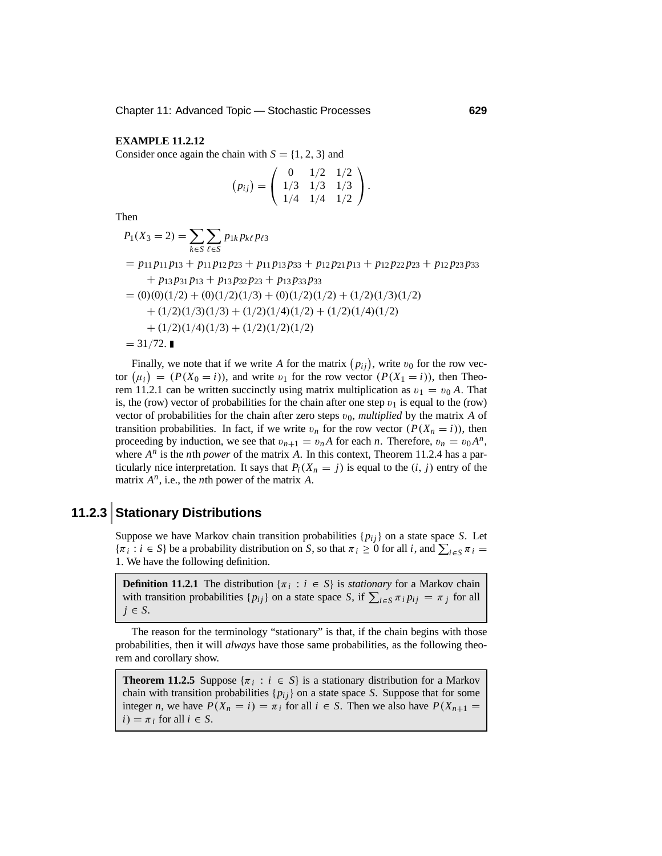#### **EXAMPLE 11.2.12**

Consider once again the chain with  $S = \{1, 2, 3\}$  and

$$
(p_{ij}) = \left(\begin{array}{rrr} 0 & 1/2 & 1/2 \\ 1/3 & 1/3 & 1/3 \\ 1/4 & 1/4 & 1/2 \end{array}\right).
$$

Then

$$
P_1(X_3 = 2) = \sum_{k \in S} \sum_{\ell \in S} p_{1k} p_{k\ell} p_{\ell 3}
$$
  
=  $p_{11}p_{11}p_{13} + p_{11}p_{12}p_{23} + p_{11}p_{13}p_{33} + p_{12}p_{21}p_{13} + p_{12}p_{22}p_{23} + p_{12}p_{23}p_{33}$   
+  $p_{13}p_{31}p_{13} + p_{13}p_{32}p_{23} + p_{13}p_{33}p_{33}$   
= (0)(0)(1/2) + (0)(1/2)(1/3) + (0)(1/2)(1/2) + (1/2)(1/3)(1/2)  
+ (1/2)(1/3)(1/3) + (1/2)(1/4)(1/2) + (1/2)(1/4)(1/2)  
+ (1/2)(1/4)(1/3) + (1/2)(1/2)(1/2)  
= 31/72.

Finally, we note that if we write A for the matrix  $(p_{ij})$ , write  $v_0$  for the row vector  $(\mu_i) = (P(X_0 = i))$ , and write  $v_1$  for the row vector  $(P(X_1 = i))$ , then Theorem 11.2.1 can be written succinctly using matrix multiplication as  $v_1 = v_0 A$ . That is, the (row) vector of probabilities for the chain after one step  $v_1$  is equal to the (row) vector of probabilities for the chain after zero steps  $v_0$ , *multiplied* by the matrix *A* of transition probabilities. In fact, if we write  $v_n$  for the row vector  $(P(X_n = i))$ , then proceeding by induction, we see that  $v_{n+1} = v_n A$  for each *n*. Therefore,  $v_n = v_0 A^n$ , where  $A^n$  is the *n*th *power* of the matrix *A*. In this context, Theorem 11.2.4 has a particularly nice interpretation. It says that  $P_i(X_n = j)$  is equal to the  $(i, j)$  entry of the matrix *An*, i.e., the *n*th power of the matrix *A*.

## **11.2.3 Stationary Distributions**

Suppose we have Markov chain transition probabilities  $\{p_{ij}\}$  on a state space *S*. Let  $\{\pi_i : i \in S\}$  be a probability distribution on *S*, so that  $\pi_i \ge 0$  for all *i*, and  $\sum_{i \in S} \pi_i =$ 1. We have the following definition.

**Definition 11.2.1** The distribution  $\{\pi_i : i \in S\}$  is *stationary* for a Markov chain with transition probabilities  $\{p_{ij}\}\$  on a state space *S*, if  $\sum_{i \in S} \pi_i p_{ij} = \pi_j$  for all  $j \in S$ .

The reason for the terminology "stationary" is that, if the chain begins with those probabilities, then it will *always* have those same probabilities, as the following theorem and corollary show.

**Theorem 11.2.5** Suppose  $\{\pi_i : i \in S\}$  is a stationary distribution for a Markov chain with transition probabilities  $\{p_{ij}\}$  on a state space *S*. Suppose that for some integer *n*, we have  $P(X_n = i) = \pi_i$  for all  $i \in S$ . Then we also have  $P(X_{n+1} =$  $i) = \pi_i$  for all  $i \in S$ .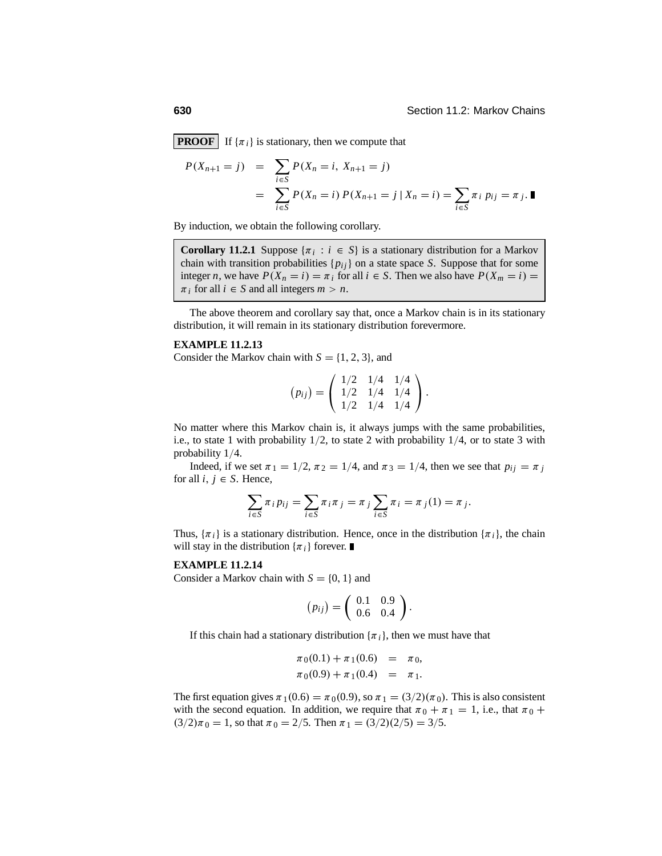**PROOF** If  $\{\pi_i\}$  is stationary, then we compute that

$$
P(X_{n+1} = j) = \sum_{i \in S} P(X_n = i, X_{n+1} = j)
$$
  
= 
$$
\sum_{i \in S} P(X_n = i) P(X_{n+1} = j | X_n = i) = \sum_{i \in S} \pi_i p_{ij} = \pi_j.
$$

By induction, we obtain the following corollary.

**Corollary 11.2.1** Suppose  $\{\pi_i : i \in S\}$  is a stationary distribution for a Markov chain with transition probabilities  $\{p_{ij}\}$  on a state space *S*. Suppose that for some integer *n*, we have  $P(X_n = i) = \pi_i$  for all  $i \in S$ . Then we also have  $P(X_m = i) =$  $\pi_i$  for all  $i \in S$  and all integers  $m > n$ .

The above theorem and corollary say that, once a Markov chain is in its stationary distribution, it will remain in its stationary distribution forevermore.

#### **EXAMPLE 11.2.13**

Consider the Markov chain with  $S = \{1, 2, 3\}$ , and

$$
(p_{ij}) = \left(\begin{array}{ccc} 1/2 & 1/4 & 1/4 \\ 1/2 & 1/4 & 1/4 \\ 1/2 & 1/4 & 1/4 \end{array}\right).
$$

No matter where this Markov chain is, it always jumps with the same probabilities, i.e., to state 1 with probability  $1/2$ , to state 2 with probability  $1/4$ , or to state 3 with probability 1/4.

Indeed, if we set  $\pi_1 = 1/2$ ,  $\pi_2 = 1/4$ , and  $\pi_3 = 1/4$ , then we see that  $p_{ij} = \pi_j$ for all  $i, j \in S$ . Hence,

$$
\sum_{i \in S} \pi_i p_{ij} = \sum_{i \in S} \pi_i \pi_j = \pi_j \sum_{i \in S} \pi_i = \pi_j(1) = \pi_j.
$$

Thus,  $\{\pi_i\}$  is a stationary distribution. Hence, once in the distribution  $\{\pi_i\}$ , the chain will stay in the distribution  $\{\pi_i\}$  forever.

#### **EXAMPLE 11.2.14**

Consider a Markov chain with  $S = \{0, 1\}$  and

$$
(p_{ij})=\left(\begin{array}{cc}0.1 & 0.9\\0.6 & 0.4\end{array}\right).
$$

If this chain had a stationary distribution  $\{\pi_i\}$ , then we must have that

$$
\pi_0(0.1) + \pi_1(0.6) = \pi_0,
$$
  
\n
$$
\pi_0(0.9) + \pi_1(0.4) = \pi_1.
$$

The first equation gives  $\pi_1(0.6) = \pi_0(0.9)$ , so  $\pi_1 = (3/2)(\pi_0)$ . This is also consistent with the second equation. In addition, we require that  $\pi_0 + \pi_1 = 1$ , i.e., that  $\pi_0 +$  $(3/2)\pi_0 = 1$ , so that  $\pi_0 = 2/5$ . Then  $\pi_1 = (3/2)(2/5) = 3/5$ .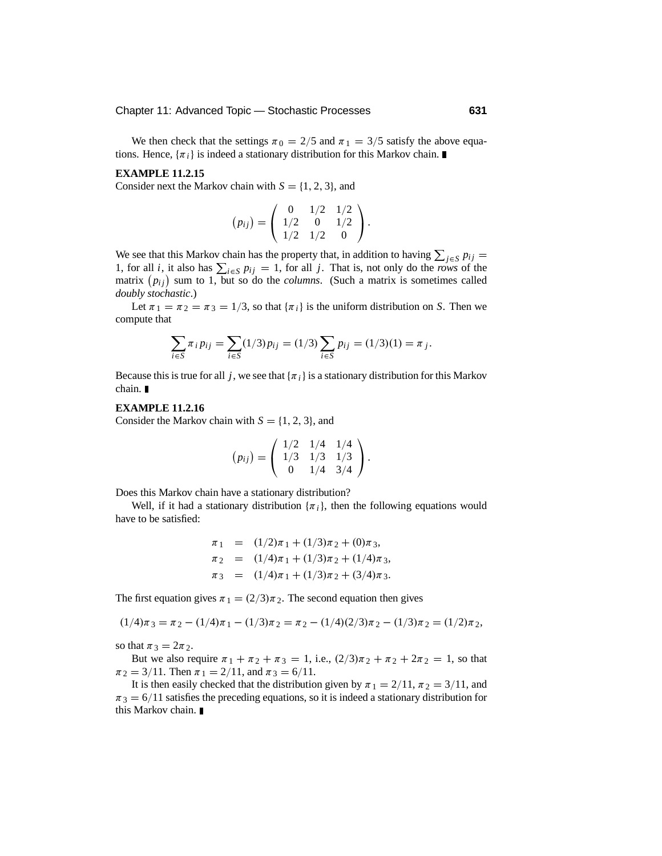We then check that the settings  $\pi_0 = 2/5$  and  $\pi_1 = 3/5$  satisfy the above equations. Hence,  $\{\pi_i\}$  is indeed a stationary distribution for this Markov chain.

#### **EXAMPLE 11.2.15**

Consider next the Markov chain with  $S = \{1, 2, 3\}$ , and

$$
(p_{ij}) = \left(\begin{array}{ccc} 0 & 1/2 & 1/2 \\ 1/2 & 0 & 1/2 \\ 1/2 & 1/2 & 0 \end{array}\right).
$$

We see that this Markov chain has the property that, in addition to having  $\sum_{j \in S} p_{ij} =$ <br>1. for all *j* it also has  $\sum_{j \in S} p_{ij} = 1$ , for all *j*. That is not salve do the man of the 1, for all *i*, it also has  $\sum_{i \in S} p_{ij} = 1$ , for all *j*. That is, not only do the *rows* of the *metrin* (*n*) and the 1 little or de the *relations* (Such a metrin is constitued selled matrix  $(p_{ij})$  sum to 1, but so do the *columns*. (Such a matrix is sometimes called *doubly stochastic*.)

Let  $\pi_1 = \pi_2 = \pi_3 = 1/3$ , so that  $\{\pi_i\}$  is the uniform distribution on *S*. Then we compute that

$$
\sum_{i \in S} \pi_i p_{ij} = \sum_{i \in S} (1/3) p_{ij} = (1/3) \sum_{i \in S} p_{ij} = (1/3)(1) = \pi_j.
$$

Because this is true for all *j*, we see that  $\{\pi_i\}$  is a stationary distribution for this Markov chain.

#### **EXAMPLE 11.2.16**

Consider the Markov chain with  $S = \{1, 2, 3\}$ , and

$$
(p_{ij}) = \left(\begin{array}{ccc} 1/2 & 1/4 & 1/4 \\ 1/3 & 1/3 & 1/3 \\ 0 & 1/4 & 3/4 \end{array}\right).
$$

Does this Markov chain have a stationary distribution?

Well, if it had a stationary distribution  $\{\pi_i\}$ , then the following equations would have to be satisfied:

$$
\pi_1 = (1/2)\pi_1 + (1/3)\pi_2 + (0)\pi_3,
$$
  
\n
$$
\pi_2 = (1/4)\pi_1 + (1/3)\pi_2 + (1/4)\pi_3,
$$
  
\n
$$
\pi_3 = (1/4)\pi_1 + (1/3)\pi_2 + (3/4)\pi_3.
$$

The first equation gives  $\pi_1 = (2/3)\pi_2$ . The second equation then gives

$$
(1/4)\pi_3 = \pi_2 - (1/4)\pi_1 - (1/3)\pi_2 = \pi_2 - (1/4)(2/3)\pi_2 - (1/3)\pi_2 = (1/2)\pi_2,
$$

so that  $\pi_3 = 2\pi_2$ .

But we also require  $\pi_1 + \pi_2 + \pi_3 = 1$ , i.e.,  $(2/3)\pi_2 + \pi_2 + 2\pi_2 = 1$ , so that  $\pi_2 = 3/11$ . Then  $\pi_1 = 2/11$ , and  $\pi_3 = 6/11$ .

It is then easily checked that the distribution given by  $\pi_1 = 2/11$ ,  $\pi_2 = 3/11$ , and  $\pi$ <sub>3</sub> = 6/11 satisfies the preceding equations, so it is indeed a stationary distribution for this Markov chain.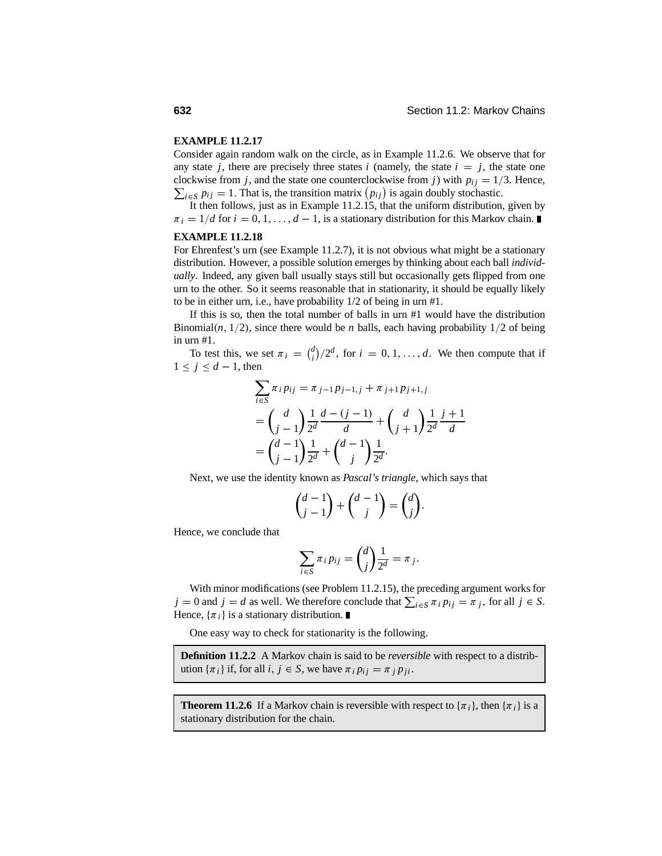#### **EXAMPLE 11.2.17**

Consider again random walk on the circle, as in Example 11.2.6. We observe that for any state *j*, there are precisely three states *i* (namely, the state  $i = j$ , the state one clockwise from *j*, and the state one counterclockwise from *j*) with  $p_{ij} = 1/3$ . Hence,  $\sum_{i \in S} p_{ij} = 1$ . That is, the transition matrix  $(p_{ij})$  is again doubly stochastic.

It then follows, just as in Example 11.2.15, that the uniform distribution, given by  $\pi_i = 1/d$  for  $i = 0, 1, \ldots, d - 1$ , is a stationary distribution for this Markov chain.

#### **EXAMPLE 11.2.18**

For Ehrenfest's urn (see Example 11.2.7), it is not obvious what might be a stationary distribution. However, a possible solution emerges by thinking about each ball *individually*. Indeed, any given ball usually stays still but occasionally gets flipped from one urn to the other. So it seems reasonable that in stationarity, it should be equally likely to be in either urn, i.e., have probability 1/2 of being in urn #1.

If this is so, then the total number of balls in urn #1 would have the distribution Binomial $(n, 1/2)$ , since there would be *n* balls, each having probability  $1/2$  of being in urn #1.

To test this, we set  $\pi_i = \binom{d}{i}/2^d$ , for  $i = 0, 1, ..., d$ . We then compute that if  $1 \leq j \leq d-1$ , then

$$
\sum_{i \in S} \pi_i p_{ij} = \pi_{j-1} p_{j-1,j} + \pi_{j+1} p_{j+1,j}
$$
  
=  $\binom{d}{j-1} \frac{1}{2^d} \frac{d - (j-1)}{d} + \binom{d}{j+1} \frac{1}{2^d} \frac{j+1}{d}$   
=  $\binom{d-1}{j-1} \frac{1}{2^d} + \binom{d-1}{j} \frac{1}{2^d}.$ 

Next, we use the identity known as *Pascal's triangle*, which says that

$$
\binom{d-1}{j-1} + \binom{d-1}{j} = \binom{d}{j}.
$$

Hence, we conclude that

$$
\sum_{i\in S}\pi_i p_{ij} = \binom{d}{j}\frac{1}{2^d} = \pi_j.
$$

With minor modifications (see Problem 11.2.15), the preceding argument works for  $j = 0$  and  $j = d$  as well. We therefore conclude that  $\sum_{i \in S} \pi_i p_{ij} = \pi_j$ , for all  $j \in S$ . Hence,  $\{\pi_i\}$  is a stationary distribution.

One easy way to check for stationarity is the following.

**Definition 11.2.2** A Markov chain is said to be *reversible* with respect to a distribution  $\{\pi_i\}$  if, for all  $i, j \in S$ , we have  $\pi_i p_{ij} = \pi_j p_{ji}$ .

**Theorem 11.2.6** If a Markov chain is reversible with respect to  $\{\pi_i\}$ , then  $\{\pi_i\}$  is a stationary distribution for the chain.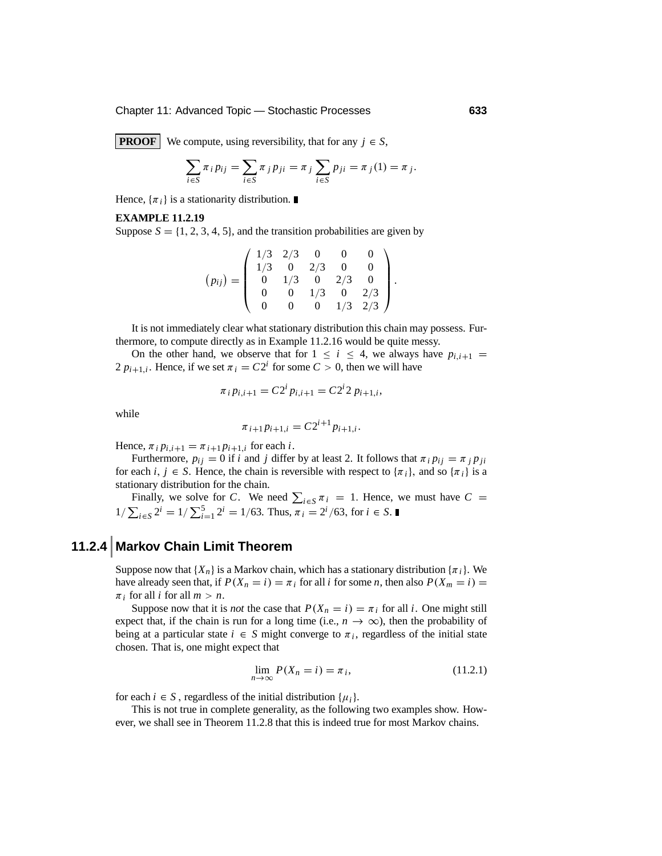Chapter 11: Advanced Topic — Stochastic Processes **633**

**PROOF** We compute, using reversibility, that for any  $j \in S$ ,

$$
\sum_{i \in S} \pi_i p_{ij} = \sum_{i \in S} \pi_j p_{ji} = \pi_j \sum_{i \in S} p_{ji} = \pi_j(1) = \pi_j.
$$

Hence,  $\{\pi_i\}$  is a stationarity distribution.

#### **EXAMPLE 11.2.19**

Suppose  $S = \{1, 2, 3, 4, 5\}$ , and the transition probabilities are given by

$$
(p_{ij}) = \left(\begin{array}{cccc} 1/3 & 2/3 & 0 & 0 & 0 \\ 1/3 & 0 & 2/3 & 0 & 0 \\ 0 & 1/3 & 0 & 2/3 & 0 \\ 0 & 0 & 1/3 & 0 & 2/3 \\ 0 & 0 & 0 & 1/3 & 2/3 \end{array}\right).
$$

It is not immediately clear what stationary distribution this chain may possess. Furthermore, to compute directly as in Example 11.2.16 would be quite messy.

On the other hand, we observe that for  $1 \le i \le 4$ , we always have  $p_{i,i+1} =$ 2  $p_{i+1,i}$ . Hence, if we set  $\pi_i = C2^i$  for some  $C > 0$ , then we will have

$$
\pi_i p_{i,i+1} = C2^i p_{i,i+1} = C2^i 2 p_{i+1,i},
$$

while

$$
\pi_{i+1}p_{i+1,i}=C2^{i+1}p_{i+1,i}.
$$

Hence,  $\pi_i p_{i,i+1} = \pi_{i+1} p_{i+1,i}$  for each *i*.

Furthermore,  $p_{ij} = 0$  if *i* and *j* differ by at least 2. It follows that  $\pi_i p_{ij} = \pi_j p_{ji}$ for each *i*,  $j \in S$ . Hence, the chain is reversible with respect to  $\{\pi_i\}$ , and so  $\{\pi_i\}$  is a stationary distribution for the chain.

Finally, we solve for *C*. We need  $\sum_{i \in S} \pi_i = 1$ . Hence, we must have  $C = \pi$  $1/\sum_{i \in S} 2^i = 1/\sum_{i=1}^5 2^i = 1/63$ . Thus,  $\pi_i = 2^i/63$ , for  $i \in S$ .

# **11.2.4 Markov Chain Limit Theorem**

Suppose now that  ${X_n}$  is a Markov chain, which has a stationary distribution  ${\pi_i}$ . We have already seen that, if  $P(X_n = i) = \pi_i$  for all *i* for some *n*, then also  $P(X_m = i) =$  $\pi_i$  for all *i* for all  $m > n$ .

Suppose now that it is *not* the case that  $P(X_n = i) = \pi_i$  for all *i*. One might still expect that, if the chain is run for a long time (i.e.,  $n \to \infty$ ), then the probability of being at a particular state  $i \in S$  might converge to  $\pi_i$ , regardless of the initial state chosen. That is, one might expect that

$$
\lim_{n \to \infty} P(X_n = i) = \pi_i,\tag{11.2.1}
$$

for each  $i \in S$ , regardless of the initial distribution  $\{\mu_i\}$ .

This is not true in complete generality, as the following two examples show. However, we shall see in Theorem 11.2.8 that this is indeed true for most Markov chains.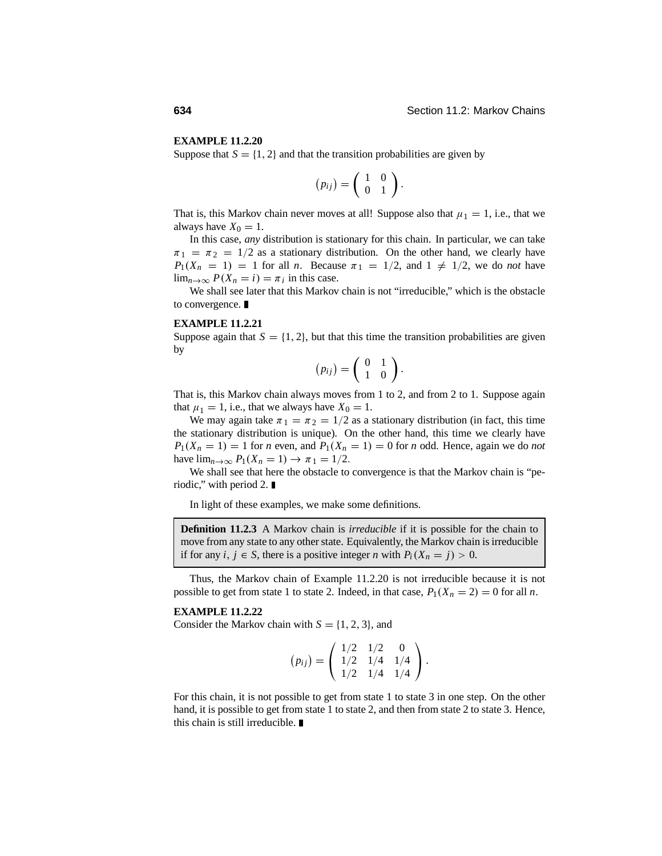#### **EXAMPLE 11.2.20**

Suppose that  $S = \{1, 2\}$  and that the transition probabilities are given by

$$
(p_{ij})=\left(\begin{array}{cc}1&0\\0&1\end{array}\right).
$$

That is, this Markov chain never moves at all! Suppose also that  $\mu_1 = 1$ , i.e., that we always have  $X_0 = 1$ .

In this case, *any* distribution is stationary for this chain. In particular, we can take  $\pi_1 = \pi_2 = 1/2$  as a stationary distribution. On the other hand, we clearly have  $P_1(X_n = 1) = 1$  for all *n*. Because  $\pi_1 = 1/2$ , and  $1 \neq 1/2$ , we do *not* have  $\lim_{n\to\infty} P(X_n = i) = \pi_i$  in this case.

We shall see later that this Markov chain is not "irreducible," which is the obstacle to convergence.

#### **EXAMPLE 11.2.21**

Suppose again that  $S = \{1, 2\}$ , but that this time the transition probabilities are given by

$$
(p_{ij})=\left(\begin{array}{cc}0&1\\1&0\end{array}\right).
$$

That is, this Markov chain always moves from 1 to 2, and from 2 to 1. Suppose again that  $\mu_1 = 1$ , i.e., that we always have  $X_0 = 1$ .

We may again take  $\pi_1 = \pi_2 = 1/2$  as a stationary distribution (in fact, this time the stationary distribution is unique). On the other hand, this time we clearly have  $P_1(X_n = 1) = 1$  for *n* even, and  $P_1(X_n = 1) = 0$  for *n* odd. Hence, again we do *not* have  $\lim_{n\to\infty} P_1(X_n = 1) \to \pi_1 = 1/2$ .

We shall see that here the obstacle to convergence is that the Markov chain is "periodic," with period  $2$ .

In light of these examples, we make some definitions.

**Definition 11.2.3** A Markov chain is *irreducible* if it is possible for the chain to move from any state to any other state. Equivalently, the Markov chain is irreducible if for any  $i, j \in S$ , there is a positive integer *n* with  $P_i(X_n = j) > 0$ .

Thus, the Markov chain of Example 11.2.20 is not irreducible because it is not possible to get from state 1 to state 2. Indeed, in that case,  $P_1(X_n = 2) = 0$  for all *n*.

#### **EXAMPLE 11.2.22**

Consider the Markov chain with  $S = \{1, 2, 3\}$ , and

$$
(p_{ij}) = \left(\begin{array}{ccc} 1/2 & 1/2 & 0 \\ 1/2 & 1/4 & 1/4 \\ 1/2 & 1/4 & 1/4 \end{array}\right).
$$

For this chain, it is not possible to get from state 1 to state 3 in one step. On the other hand, it is possible to get from state 1 to state 2, and then from state 2 to state 3. Hence, this chain is still irreducible.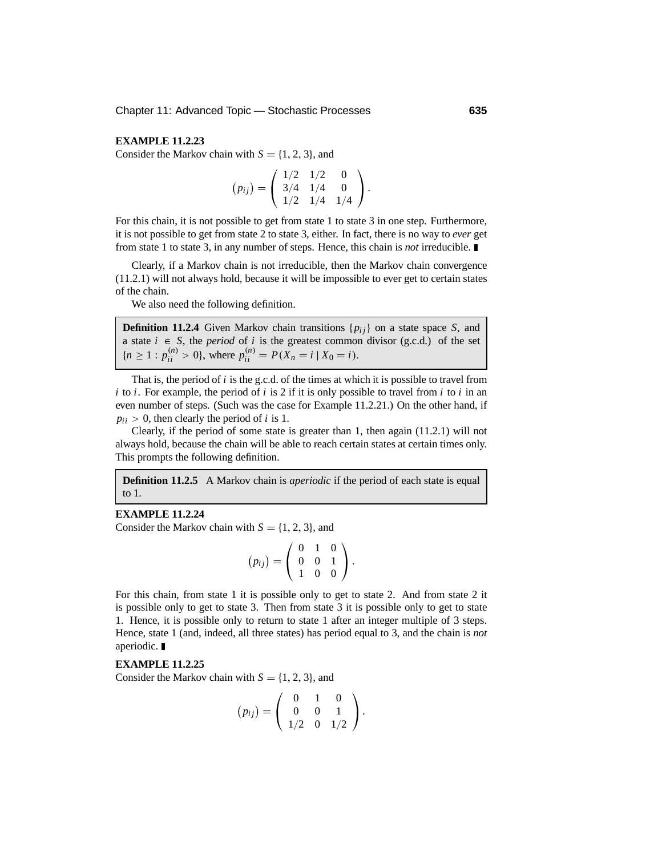#### **EXAMPLE 11.2.23**

Consider the Markov chain with  $S = \{1, 2, 3\}$ , and

$$
(p_{ij}) = \left(\begin{array}{ccc} 1/2 & 1/2 & 0 \\ 3/4 & 1/4 & 0 \\ 1/2 & 1/4 & 1/4 \end{array}\right).
$$

For this chain, it is not possible to get from state 1 to state 3 in one step. Furthermore, it is not possible to get from state 2 to state 3, either. In fact, there is no way to *ever* get from state 1 to state 3, in any number of steps. Hence, this chain is *not* irreducible.

Clearly, if a Markov chain is not irreducible, then the Markov chain convergence (11.2.1) will not always hold, because it will be impossible to ever get to certain states of the chain.

We also need the following definition.

**Definition 11.2.4** Given Markov chain transitions  $\{p_{ij}\}\$  on a state space *S*, and a state  $i \in S$ , the *period* of *i* is the greatest common divisor (g.c.d.) of the set  ${n \geq 1 : p_{ii}^{(n)} > 0}$ , where  $p_{ii}^{(n)} = P(X_n = i | X_0 = i)$ .

That is, the period of *i* is the g.c.d. of the times at which it is possible to travel from *i* to *i*. For example, the period of *i* is 2 if it is only possible to travel from *i* to *i* in an even number of steps. (Such was the case for Example 11.2.21.) On the other hand, if  $p_{ii} > 0$ , then clearly the period of *i* is 1.

Clearly, if the period of some state is greater than 1, then again (11.2.1) will not always hold, because the chain will be able to reach certain states at certain times only. This prompts the following definition.

**Definition 11.2.5** A Markov chain is *aperiodic* if the period of each state is equal to 1.

#### **EXAMPLE 11.2.24**

Consider the Markov chain with  $S = \{1, 2, 3\}$ , and

$$
(p_{ij}) = \left(\begin{array}{rrr} 0 & 1 & 0 \\ 0 & 0 & 1 \\ 1 & 0 & 0 \end{array}\right).
$$

For this chain, from state 1 it is possible only to get to state 2. And from state 2 it is possible only to get to state 3. Then from state 3 it is possible only to get to state 1. Hence, it is possible only to return to state 1 after an integer multiple of 3 steps. Hence, state 1 (and, indeed, all three states) has period equal to 3, and the chain is *not* aperiodic.

#### **EXAMPLE 11.2.25**

Consider the Markov chain with  $S = \{1, 2, 3\}$ , and

$$
(p_{ij}) = \left(\begin{array}{rrr} 0 & 1 & 0 \\ 0 & 0 & 1 \\ 1/2 & 0 & 1/2 \end{array}\right).
$$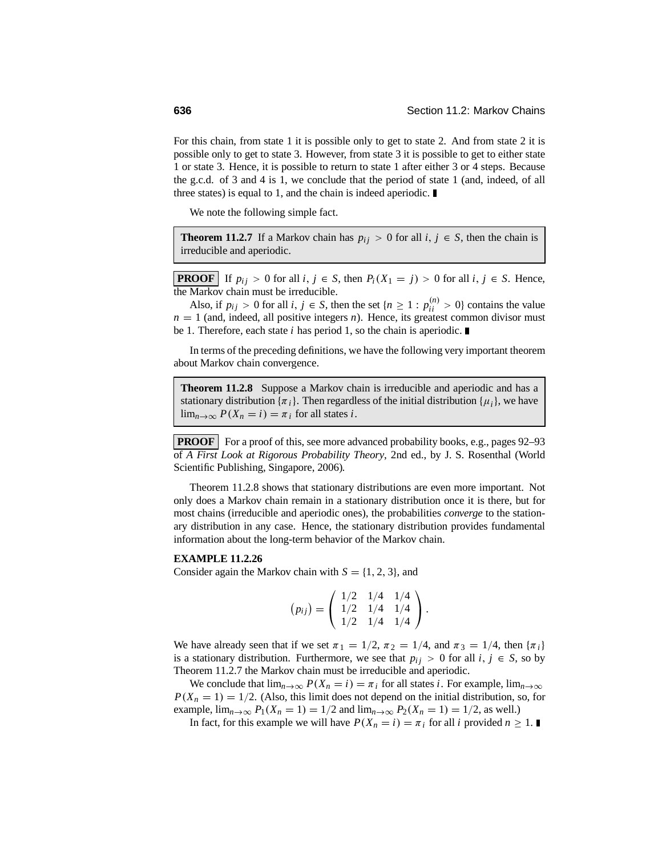For this chain, from state 1 it is possible only to get to state 2. And from state 2 it is possible only to get to state 3. However, from state 3 it is possible to get to either state 1 or state 3. Hence, it is possible to return to state 1 after either 3 or 4 steps. Because the g.c.d. of 3 and 4 is 1, we conclude that the period of state 1 (and, indeed, of all three states) is equal to 1, and the chain is indeed aperiodic.

We note the following simple fact.

**Theorem 11.2.7** If a Markov chain has  $p_{ij} > 0$  for all  $i, j \in S$ , then the chain is irreducible and aperiodic.

**PROOF** If  $p_{ij} > 0$  for all  $i, j \in S$ , then  $P_i(X_1 = j) > 0$  for all  $i, j \in S$ . Hence, the Markov chain must be irreducible.

Also, if  $p_{ij} > 0$  for all  $i, j \in S$ , then the set  $\{n \ge 1 : p_{ii}^{(n)} > 0\}$  contains the value  $n = 1$  (and, indeed, all positive integers *n*). Hence, its greatest common divisor must be 1. Therefore, each state *i* has period 1, so the chain is aperiodic.

In terms of the preceding definitions, we have the following very important theorem about Markov chain convergence.

**Theorem 11.2.8** Suppose a Markov chain is irreducible and aperiodic and has a stationary distribution  $\{\pi_i\}$ . Then regardless of the initial distribution  $\{\mu_i\}$ , we have  $\lim_{n\to\infty} P(X_n = i) = \pi_i$  for all states *i*.

**PROOF** For a proof of this, see more advanced probability books, e.g., pages 92–93 of *A First Look at Rigorous Probability Theory*, 2nd ed., by J. S. Rosenthal (World Scientific Publishing, Singapore, 2006)*.*

Theorem 11.2.8 shows that stationary distributions are even more important. Not only does a Markov chain remain in a stationary distribution once it is there, but for most chains (irreducible and aperiodic ones), the probabilities *converge* to the stationary distribution in any case. Hence, the stationary distribution provides fundamental information about the long-term behavior of the Markov chain.

#### **EXAMPLE 11.2.26**

Consider again the Markov chain with  $S = \{1, 2, 3\}$ , and

$$
(p_{ij}) = \left(\begin{array}{ccc} 1/2 & 1/4 & 1/4 \\ 1/2 & 1/4 & 1/4 \\ 1/2 & 1/4 & 1/4 \end{array}\right).
$$

We have already seen that if we set  $\pi_1 = 1/2$ ,  $\pi_2 = 1/4$ , and  $\pi_3 = 1/4$ , then  $\{\pi_i\}$ is a stationary distribution. Furthermore, we see that  $p_{ij} > 0$  for all  $i, j \in S$ , so by Theorem 11.2.7 the Markov chain must be irreducible and aperiodic.

We conclude that  $\lim_{n\to\infty} P(X_n = i) = \pi_i$  for all states *i*. For example,  $\lim_{n\to\infty}$  $P(X_n = 1) = 1/2$ . (Also, this limit does not depend on the initial distribution, so, for example,  $\lim_{n \to \infty} P_1(X_n = 1) = 1/2$  and  $\lim_{n \to \infty} P_2(X_n = 1) = 1/2$ , as well.)

In fact, for this example we will have  $P(X_n = i) = \pi_i$  for all *i* provided  $n \ge 1$ .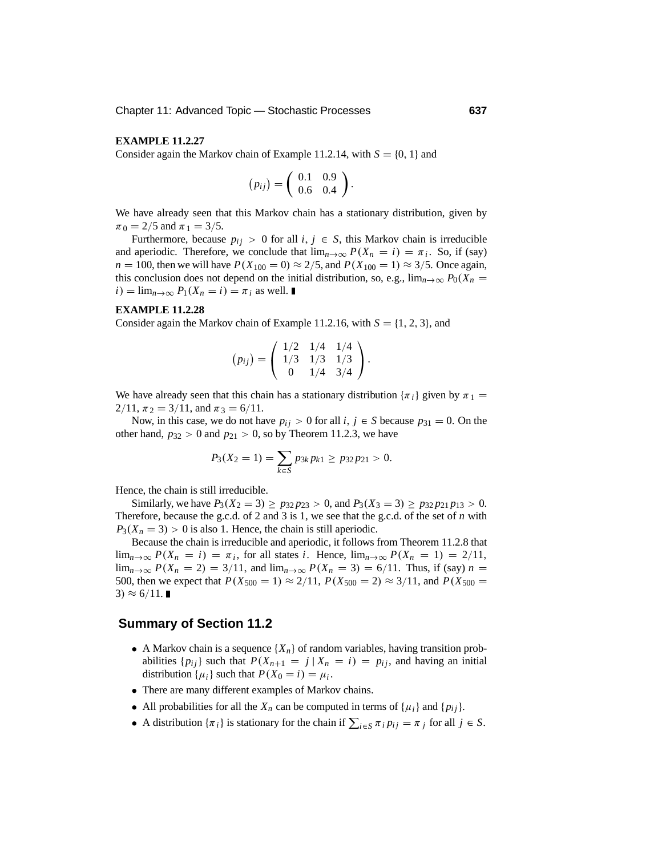#### **EXAMPLE 11.2.27**

Consider again the Markov chain of Example 11.2.14, with  $S = \{0, 1\}$  and

$$
(p_{ij}) = \left(\begin{array}{cc} 0.1 & 0.9 \\ 0.6 & 0.4 \end{array}\right).
$$

We have already seen that this Markov chain has a stationary distribution, given by  $\pi_0 = 2/5$  and  $\pi_1 = 3/5$ .

Furthermore, because  $p_{ij} > 0$  for all  $i, j \in S$ , this Markov chain is irreducible and aperiodic. Therefore, we conclude that  $\lim_{n\to\infty} P(X_n = i) = \pi_i$ . So, if (say) *n* = 100, then we will have  $P(X_{100} = 0) \approx 2/5$ , and  $P(X_{100} = 1) \approx 3/5$ . Once again, this conclusion does not depend on the initial distribution, so, e.g.,  $\lim_{n\to\infty} P_0(X_n =$  $i)$  =  $\lim_{n\to\infty} P_1(X_n = i) = \pi_i$  as well.

#### **EXAMPLE 11.2.28**

Consider again the Markov chain of Example 11.2.16, with  $S = \{1, 2, 3\}$ , and

$$
(p_{ij}) = \left(\begin{array}{ccc} 1/2 & 1/4 & 1/4 \\ 1/3 & 1/3 & 1/3 \\ 0 & 1/4 & 3/4 \end{array}\right).
$$

We have already seen that this chain has a stationary distribution  $\{\pi_i\}$  given by  $\pi_1$  =  $2/11$ ,  $\pi_2 = 3/11$ , and  $\pi_3 = 6/11$ .

Now, in this case, we do not have  $p_{ij} > 0$  for all  $i, j \in S$  because  $p_{31} = 0$ . On the other hand,  $p_{32} > 0$  and  $p_{21} > 0$ , so by Theorem 11.2.3, we have

$$
P_3(X_2=1)=\sum_{k\in S}p_{3k}p_{k1}\geq p_{32}p_{21}>0.
$$

Hence, the chain is still irreducible.

Similarly, we have  $P_3(X_2 = 3) \ge p_{32}p_{23} > 0$ , and  $P_3(X_3 = 3) \ge p_{32}p_{21}p_{13} > 0$ . Therefore, because the g.c.d. of 2 and 3 is 1, we see that the g.c.d. of the set of *n* with  $P_3(X_n = 3) > 0$  is also 1. Hence, the chain is still aperiodic.

Because the chain is irreducible and aperiodic, it follows from Theorem 11.2.8 that  $\lim_{n\to\infty} P(X_n = i) = \pi_i$ , for all states *i*. Hence,  $\lim_{n\to\infty} P(X_n = 1) = 2/11$ , lim<sub>*n*→∞</sub>  $P(X_n = 2) = 3/11$ , and lim<sub>*n*→∞</sub>  $P(X_n = 3) = 6/11$ . Thus, if (say) *n* = 500, then we expect that  $P(X_{500} = 1) \approx 2/11$ ,  $P(X_{500} = 2) \approx 3/11$ , and  $P(X_{500} = 1)$  $3) \approx 6/11$ .

### **Summary of Section 11.2**

- A Markov chain is a sequence  $\{X_n\}$  of random variables, having transition probabilities  $\{p_{ij}\}\$  such that  $P(X_{n+1} = j | X_n = i) = p_{ij}$ , and having an initial distribution  $\{\mu_i\}$  such that  $P(X_0 = i) = \mu_i$ .
- There are many different examples of Markov chains.
- All probabilities for all the  $X_n$  can be computed in terms of  $\{\mu_i\}$  and  $\{p_{ij}\}$ .
- A distribution  $\{\pi_i\}$  is stationary for the chain if  $\sum_{i \in S} \pi_i p_{ij} = \pi_j$  for all  $j \in S$ .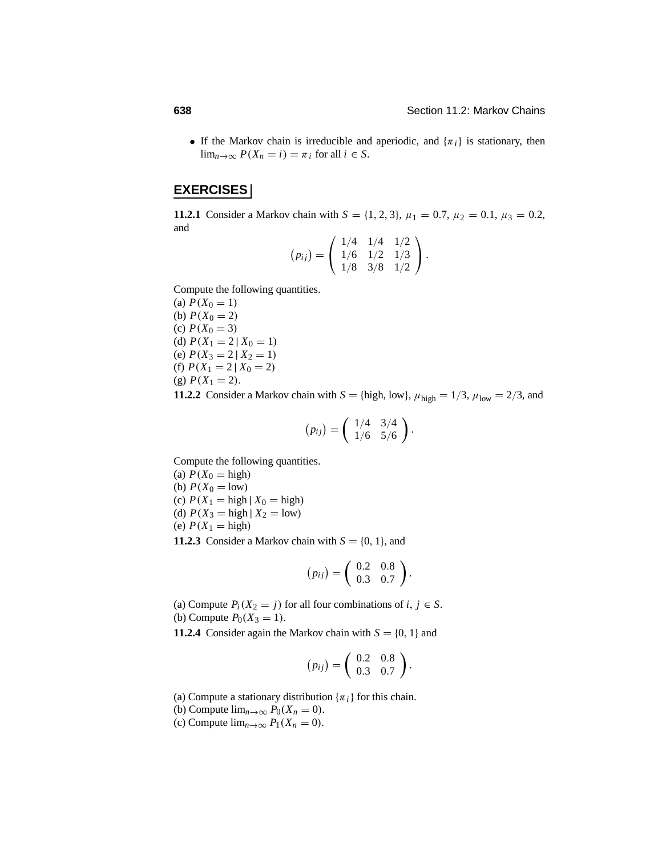• If the Markov chain is irreducible and aperiodic, and  $\{\pi_i\}$  is stationary, then  $\lim_{n\to\infty} P(X_n = i) = \pi_i$  for all  $i \in S$ .

### **EXERCISES**

**11.2.1** Consider a Markov chain with  $S = \{1, 2, 3\}$ ,  $\mu_1 = 0.7$ ,  $\mu_2 = 0.1$ ,  $\mu_3 = 0.2$ , and

$$
(p_{ij}) = \left(\begin{array}{ccc} 1/4 & 1/4 & 1/2 \\ 1/6 & 1/2 & 1/3 \\ 1/8 & 3/8 & 1/2 \end{array}\right).
$$

Compute the following quantities.

(a)  $P(X_0 = 1)$ (b)  $P(X_0 = 2)$ (c)  $P(X_0 = 3)$ (d)  $P(X_1 = 2 | X_0 = 1)$ (e)  $P(X_3 = 2 | X_2 = 1)$ (f)  $P(X_1 = 2 | X_0 = 2)$ (g)  $P(X_1 = 2)$ .

**11.2.2** Consider a Markov chain with  $S = \{\text{high, low}\}\$ ,  $\mu_{\text{high}} = 1/3$ ,  $\mu_{\text{low}} = 2/3$ , and

$$
(p_{ij})=\left(\begin{array}{cc}1/4 & 3/4\\1/6 & 5/6\end{array}\right).
$$

Compute the following quantities.

- (a)  $P(X_0 = \text{high})$ (b)  $P(X_0 = \text{low})$ (c)  $P(X_1 = \text{high} | X_0 = \text{high})$ (d)  $P(X_3 = \text{high} | X_2 = \text{low})$ (e)  $P(X_1 = \text{high})$
- **11.2.3** Consider a Markov chain with  $S = \{0, 1\}$ , and

$$
(p_{ij})=\left(\begin{array}{cc}0.2 & 0.8\\0.3 & 0.7\end{array}\right).
$$

(a) Compute  $P_i(X_2 = j)$  for all four combinations of *i*,  $j \in S$ . (b) Compute  $P_0(X_3 = 1)$ .

**11.2.4** Consider again the Markov chain with  $S = \{0, 1\}$  and

$$
(p_{ij})=\left(\begin{array}{cc}0.2 & 0.8\\0.3 & 0.7\end{array}\right).
$$

(a) Compute a stationary distribution  $\{\pi_i\}$  for this chain.

- (b) Compute  $\lim_{n\to\infty} P_0(X_n=0)$ .
- (c) Compute  $\lim_{n\to\infty} P_1(X_n=0)$ .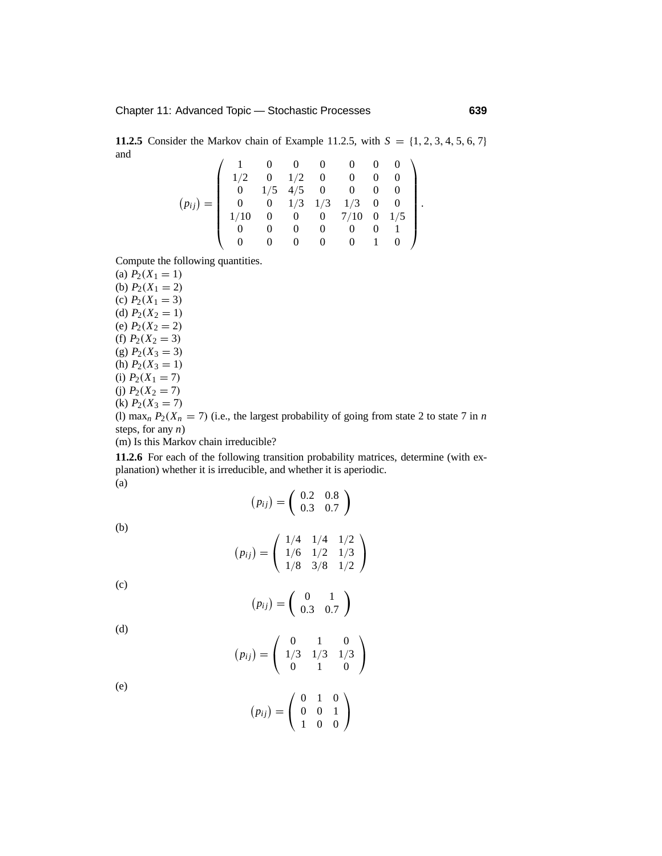**11.2.5** Consider the Markov chain of Example 11.2.5, with  $S = \{1, 2, 3, 4, 5, 6, 7\}$ and  $\overline{1}$  $\overline{1}$ 

$$
(p_{ij}) = \left(\begin{array}{cccccc} 1 & 0 & 0 & 0 & 0 & 0 & 0 \\ 1/2 & 0 & 1/2 & 0 & 0 & 0 & 0 \\ 0 & 1/5 & 4/5 & 0 & 0 & 0 & 0 \\ 0 & 0 & 1/3 & 1/3 & 1/3 & 0 & 0 \\ 1/10 & 0 & 0 & 0 & 7/10 & 0 & 1/5 \\ 0 & 0 & 0 & 0 & 0 & 0 & 1 \\ 0 & 0 & 0 & 0 & 0 & 1 & 0 \end{array}\right).
$$

Compute the following quantities.

(a)  $P_2(X_1 = 1)$ (b)  $P_2(X_1 = 2)$ (c)  $P_2(X_1 = 3)$ (d)  $P_2(X_2 = 1)$ (e)  $P_2(X_2 = 2)$ (f)  $P_2(X_2 = 3)$ (g)  $P_2(X_3 = 3)$ (h)  $P_2(X_3 = 1)$ (i)  $P_2(X_1 = 7)$ (j)  $P_2(X_2 = 7)$ (k)  $P_2(X_3 = 7)$ (l) max<sub>n</sub>  $P_2(X_n = 7)$  (i.e., the largest probability of going from state 2 to state 7 in *n* steps, for any *n*)

(m) Is this Markov chain irreducible?

**11.2.6** For each of the following transition probability matrices, determine (with explanation) whether it is irreducible, and whether it is aperiodic. (a)

$$
(p_{ij})=\left(\begin{array}{cc}0.2&0.8\\0.3&0.7\end{array}\right)
$$

(b)

$$
(p_{ij}) = \left(\begin{array}{ccc} 1/4 & 1/4 & 1/2 \\ 1/6 & 1/2 & 1/3 \\ 1/8 & 3/8 & 1/2 \end{array}\right)
$$

(c)

$$
(p_{ij})=\left(\begin{array}{cc}0&1\\0.3&0.7\end{array}\right)
$$

$$
(\mathrm{d})
$$

$$
(p_{ij}) = \left(\begin{array}{ccc} 0 & 1 & 0 \\ 1/3 & 1/3 & 1/3 \\ 0 & 1 & 0 \end{array}\right)
$$

010 001 100  $\setminus$  $\mathbf{I}$ 

 $\sqrt{ }$  $\mathbf{I}$ 

 $(p_{ij}) =$ 

(e)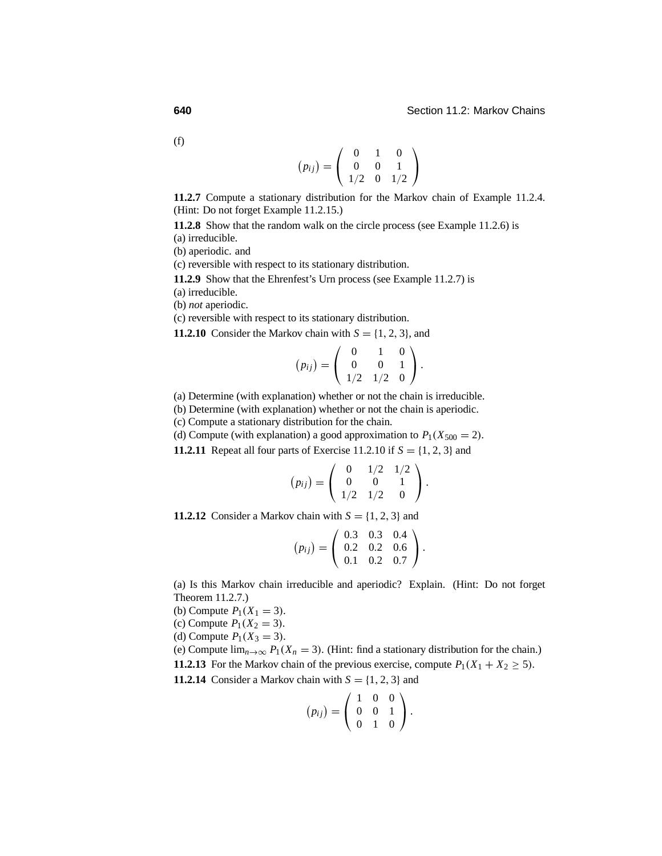(f)

|              | ∩        |   |           |
|--------------|----------|---|-----------|
| $(p_{ij}) =$ | $\Omega$ | 0 |           |
|              | 1/2      |   | $0 \t1/2$ |

**11.2.7** Compute a stationary distribution for the Markov chain of Example 11.2.4. (Hint: Do not forget Example 11.2.15.)

**11.2.8** Show that the random walk on the circle process (see Example 11.2.6) is (a) irreducible.

(b) aperiodic. and

(c) reversible with respect to its stationary distribution.

**11.2.9** Show that the Ehrenfest's Urn process (see Example 11.2.7) is

- (a) irreducible.
- (b) *not* aperiodic.

(c) reversible with respect to its stationary distribution.

**11.2.10** Consider the Markov chain with  $S = \{1, 2, 3\}$ , and

$$
(p_{ij}) = \left(\begin{array}{rrr} 0 & 1 & 0 \\ 0 & 0 & 1 \\ 1/2 & 1/2 & 0 \end{array}\right).
$$

(a) Determine (with explanation) whether or not the chain is irreducible.

(b) Determine (with explanation) whether or not the chain is aperiodic.

(c) Compute a stationary distribution for the chain.

(d) Compute (with explanation) a good approximation to  $P_1(X_{500} = 2)$ .

**11.2.11** Repeat all four parts of Exercise 11.2.10 if  $S = \{1, 2, 3\}$  and

$$
(p_{ij}) = \left(\begin{array}{rrr} 0 & 1/2 & 1/2 \\ 0 & 0 & 1 \\ 1/2 & 1/2 & 0 \end{array}\right).
$$

**11.2.12** Consider a Markov chain with  $S = \{1, 2, 3\}$  and

$$
(p_{ij}) = \left(\begin{array}{cccc} 0.3 & 0.3 & 0.4 \\ 0.2 & 0.2 & 0.6 \\ 0.1 & 0.2 & 0.7 \end{array}\right).
$$

(a) Is this Markov chain irreducible and aperiodic? Explain. (Hint: Do not forget Theorem 11.2.7.)

- (b) Compute  $P_1(X_1 = 3)$ .
- (c) Compute  $P_1(X_2 = 3)$ .

(d) Compute  $P_1(X_3 = 3)$ .

(e) Compute  $\lim_{n\to\infty} P_1(X_n = 3)$ . (Hint: find a stationary distribution for the chain.) **11.2.13** For the Markov chain of the previous exercise, compute  $P_1(X_1 + X_2 \ge 5)$ .

**11.2.14** Consider a Markov chain with  $S = \{1, 2, 3\}$  and

$$
(p_{ij}) = \left(\begin{array}{rrr} 1 & 0 & 0 \\ 0 & 0 & 1 \\ 0 & 1 & 0 \end{array}\right).
$$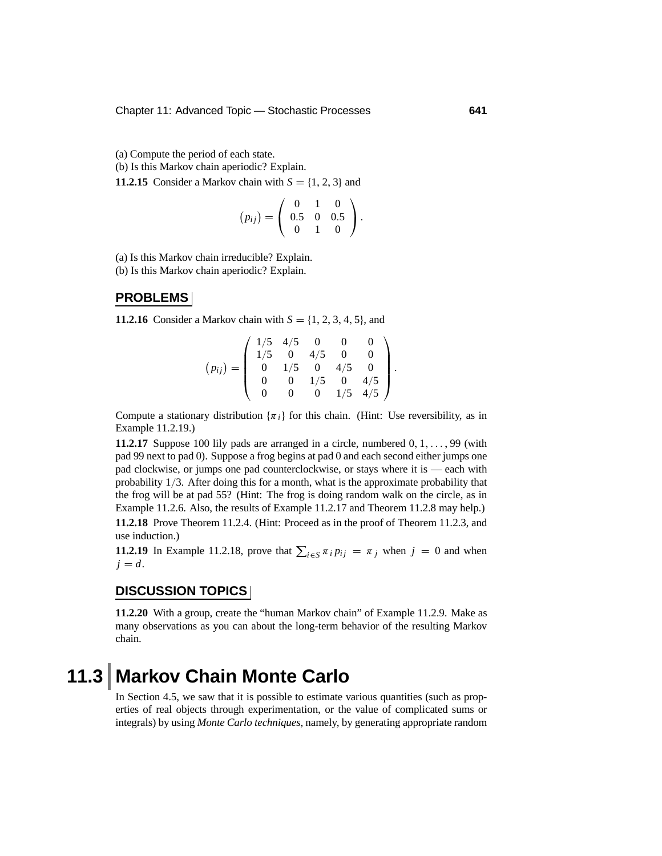(a) Compute the period of each state.

(b) Is this Markov chain aperiodic? Explain.

**11.2.15** Consider a Markov chain with  $S = \{1, 2, 3\}$  and

$$
(p_{ij}) = \left(\begin{array}{rrr} 0 & 1 & 0 \\ 0.5 & 0 & 0.5 \\ 0 & 1 & 0 \end{array}\right).
$$

(a) Is this Markov chain irreducible? Explain.

(b) Is this Markov chain aperiodic? Explain.

#### **PROBLEMS**

**11.2.16** Consider a Markov chain with  $S = \{1, 2, 3, 4, 5\}$ , and

$$
(p_{ij}) = \left(\begin{array}{cccc} 1/5 & 4/5 & 0 & 0 & 0 \\ 1/5 & 0 & 4/5 & 0 & 0 \\ 0 & 1/5 & 0 & 4/5 & 0 \\ 0 & 0 & 1/5 & 0 & 4/5 \\ 0 & 0 & 0 & 1/5 & 4/5 \end{array}\right).
$$

Compute a stationary distribution  $\{\pi_i\}$  for this chain. (Hint: Use reversibility, as in Example 11.2.19.)

**11.2.17** Suppose 100 lily pads are arranged in a circle, numbered 0, 1,..., 99 (with pad 99 next to pad 0). Suppose a frog begins at pad 0 and each second either jumps one pad clockwise, or jumps one pad counterclockwise, or stays where it is — each with probability 1/3. After doing this for a month, what is the approximate probability that the frog will be at pad 55? (Hint: The frog is doing random walk on the circle, as in Example 11.2.6. Also, the results of Example 11.2.17 and Theorem 11.2.8 may help.)

**11.2.18** Prove Theorem 11.2.4. (Hint: Proceed as in the proof of Theorem 11.2.3, and use induction.)

**11.2.19** In Example 11.2.18, prove that  $\sum_{i \in S} \pi_i p_{ij} = \pi_j$  when  $j = 0$  and when  $j = d$ .

#### **DISCUSSION TOPICS**

**11.2.20** With a group, create the "human Markov chain" of Example 11.2.9. Make as many observations as you can about the long-term behavior of the resulting Markov chain.

# **11.3 Markov Chain Monte Carlo**

In Section 4.5, we saw that it is possible to estimate various quantities (such as properties of real objects through experimentation, or the value of complicated sums or integrals) by using *Monte Carlo techniques*, namely, by generating appropriate random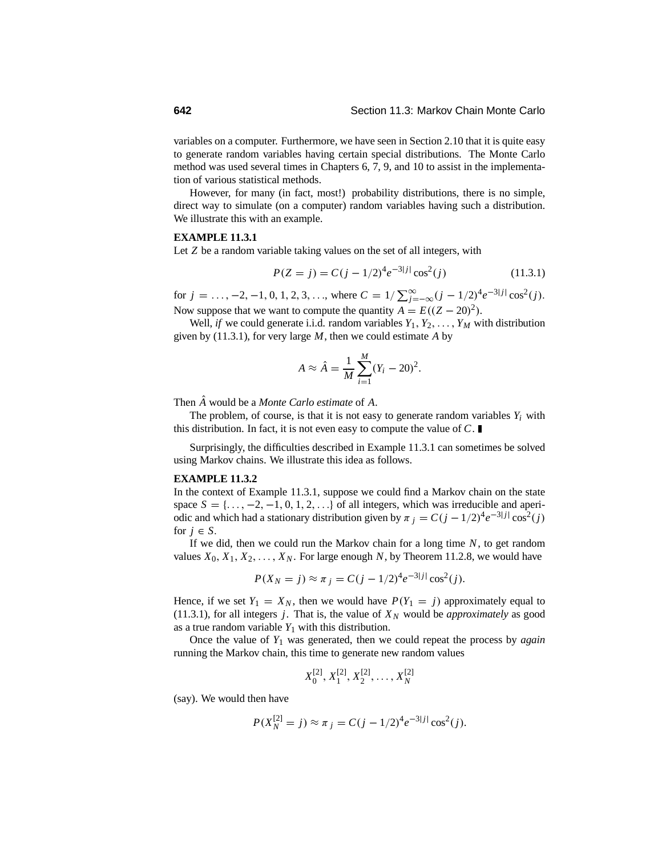variables on a computer. Furthermore, we have seen in Section 2.10 that it is quite easy to generate random variables having certain special distributions. The Monte Carlo method was used several times in Chapters 6, 7, 9, and 10 to assist in the implementation of various statistical methods.

However, for many (in fact, most!) probability distributions, there is no simple, direct way to simulate (on a computer) random variables having such a distribution. We illustrate this with an example.

#### **EXAMPLE 11.3.1**

Let *Z* be a random variable taking values on the set of all integers, with

$$
P(Z = j) = C(j - 1/2)^{4} e^{-3|j|} \cos^{2}(j)
$$
 (11.3.1)

for  $j = \ldots, -2, -1, 0, 1, 2, 3, \ldots$ , where  $C = 1/\sum_{j=-\infty}^{\infty} (j - 1/2)^4 e^{-3|j|} \cos^2(j)$ . Now suppose that we want to compute the quantity  $A = E((Z - 20)^2)$ .

Well, *if* we could generate i.i.d. random variables  $Y_1, Y_2, \ldots, Y_M$  with distribution given by (11.3.1), for very large *M*, then we could estimate *A* by

$$
A \approx \hat{A} = \frac{1}{M} \sum_{i=1}^{M} (Y_i - 20)^2.
$$

Then *A*ˆ would be a *Monte Carlo estimate* of *A*.

The problem, of course, is that it is not easy to generate random variables  $Y_i$  with this distribution. In fact, it is not even easy to compute the value of *C*.

Surprisingly, the difficulties described in Example 11.3.1 can sometimes be solved using Markov chains. We illustrate this idea as follows.

#### **EXAMPLE 11.3.2**

In the context of Example 11.3.1, suppose we could find a Markov chain on the state space  $S = \{..., -2, -1, 0, 1, 2, ...\}$  of all integers, which was irreducible and aperiodic and which had a stationary distribution given by  $\pi$  *j* =  $C(j - 1/2)^4 e^{-3|j|} \cos^2(j)$ for  $j \in S$ .

If we did, then we could run the Markov chain for a long time *N*, to get random values  $X_0, X_1, X_2, \ldots, X_N$ . For large enough N, by Theorem 11.2.8, we would have

$$
P(X_N = j) \approx \pi_j = C(j - 1/2)^4 e^{-3|j|} \cos^2(j).
$$

Hence, if we set  $Y_1 = X_N$ , then we would have  $P(Y_1 = j)$  approximately equal to (11.3.1), for all integers *j*. That is, the value of  $X_N$  would be *approximately* as good as a true random variable  $Y_1$  with this distribution.

Once the value of *Y*<sup>1</sup> was generated, then we could repeat the process by *again* running the Markov chain, this time to generate new random values

$$
X_0^{[2]}, X_1^{[2]}, X_2^{[2]}, \ldots, X_N^{[2]}
$$

(say). We would then have

$$
P(X_N^{[2]} = j) \approx \pi_j = C(j - 1/2)^4 e^{-3|j|} \cos^2(j).
$$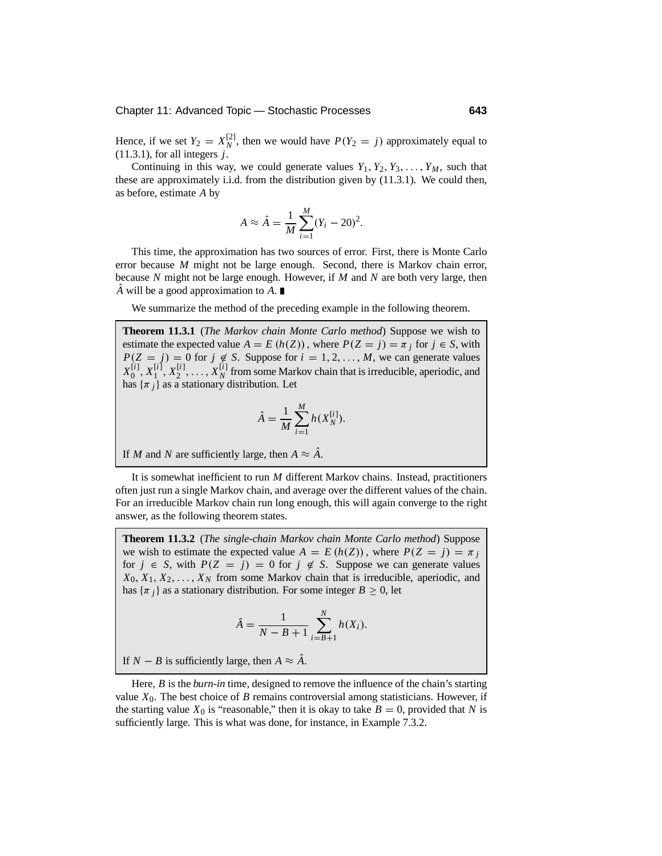Hence, if we set  $Y_2 = X_N^{[2]}$ , then we would have  $P(Y_2 = j)$  approximately equal to (11.3.1), for all integers *j*.

Continuing in this way, we could generate values  $Y_1, Y_2, Y_3, \ldots, Y_M$ , such that these are approximately i.i.d. from the distribution given by (11.3.1). We could then, as before, estimate *A* by

$$
A \approx \hat{A} = \frac{1}{M} \sum_{i=1}^{M} (Y_i - 20)^2.
$$

This time, the approximation has two sources of error. First, there is Monte Carlo error because *M* might not be large enough. Second, there is Markov chain error, because *N* might not be large enough. However, if *M* and *N* are both very large, then *A* will be a good approximation to *A*. ■

We summarize the method of the preceding example in the following theorem.

**Theorem 11.3.1** (*The Markov chain Monte Carlo method*) Suppose we wish to estimate the expected value  $A = E(h(Z))$ , where  $P(Z = j) = \pi_j$  for  $j \in S$ , with  $P(Z = j) = 0$  for  $j \notin S$ . Suppose for  $i = 1, 2, ..., M$ , we can generate values  $X_0^{[i]}$ ,  $X_1^{[i]}$ ,  $X_2^{[i]}$ , ...,  $X_N^{[i]}$  from some Markov chain that is irreducible, aperiodic, and has  $\{\pi_i\}$  as a stationary distribution. Let

$$
\hat{A} = \frac{1}{M} \sum_{i=1}^{M} h(X_N^{[i]}).
$$

If *M* and *N* are sufficiently large, then  $A \approx \hat{A}$ .

It is somewhat inefficient to run *M* different Markov chains. Instead, practitioners often just run a single Markov chain, and average over the different values of the chain. For an irreducible Markov chain run long enough, this will again converge to the right answer, as the following theorem states.

**Theorem 11.3.2** (*The single-chain Markov chain Monte Carlo method*) Suppose we wish to estimate the expected value  $A = E(h(Z))$ , where  $P(Z = j) = \pi_j$ for  $j \in S$ , with  $P(Z = j) = 0$  for  $j \notin S$ . Suppose we can generate values  $X_0, X_1, X_2, \ldots, X_N$  from some Markov chain that is irreducible, aperiodic, and has  $\{\pi_i\}$  as a stationary distribution. For some integer  $B \geq 0$ , let

$$
\hat{A} = \frac{1}{N - B + 1} \sum_{i=B+1}^{N} h(X_i).
$$

If *N* − *B* is sufficiently large, then  $A \approx \hat{A}$ .

Here, *B* is the *burn-in* time, designed to remove the influence of the chain's starting value  $X_0$ . The best choice of *B* remains controversial among statisticians. However, if the starting value  $X_0$  is "reasonable," then it is okay to take  $B = 0$ , provided that N is sufficiently large. This is what was done, for instance, in Example 7.3.2.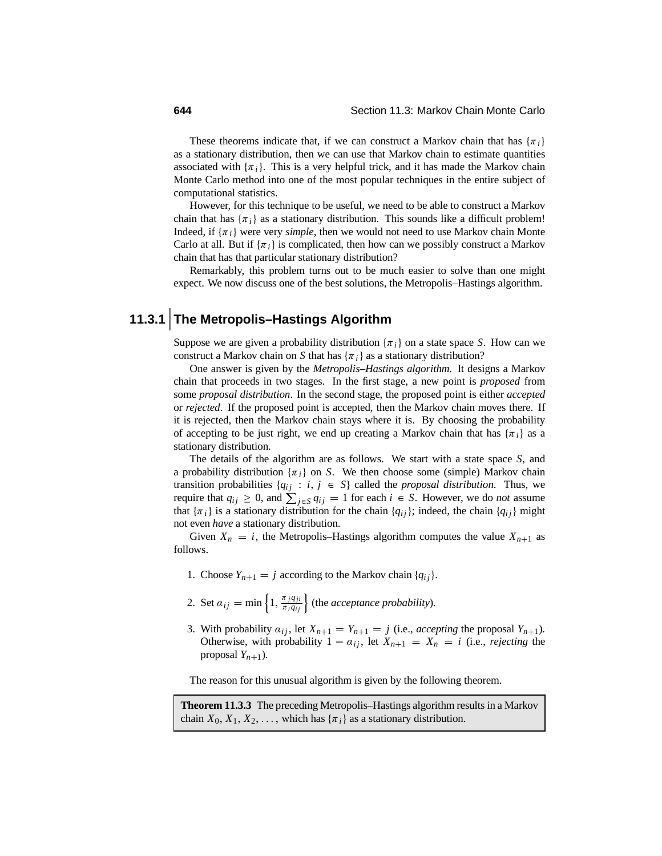These theorems indicate that, if we can construct a Markov chain that has  $\{\pi_i\}$ as a stationary distribution, then we can use that Markov chain to estimate quantities associated with  $\{\pi_i\}$ . This is a very helpful trick, and it has made the Markov chain Monte Carlo method into one of the most popular techniques in the entire subject of computational statistics.

However, for this technique to be useful, we need to be able to construct a Markov chain that has  $\{\pi_i\}$  as a stationary distribution. This sounds like a difficult problem! Indeed, if  $\{\pi_i\}$  were very *simple*, then we would not need to use Markov chain Monte Carlo at all. But if  $\{\pi_i\}$  is complicated, then how can we possibly construct a Markov chain that has that particular stationary distribution?

Remarkably, this problem turns out to be much easier to solve than one might expect. We now discuss one of the best solutions, the Metropolis–Hastings algorithm.

### **11.3.1 The Metropolis–Hastings Algorithm**

Suppose we are given a probability distribution  $\{\pi_i\}$  on a state space *S*. How can we construct a Markov chain on *S* that has  $\{\pi_i\}$  as a stationary distribution?

One answer is given by the *Metropolis–Hastings algorithm*. It designs a Markov chain that proceeds in two stages. In the first stage, a new point is *proposed* from some *proposal distribution*. In the second stage, the proposed point is either *accepted* or *rejected*. If the proposed point is accepted, then the Markov chain moves there. If it is rejected, then the Markov chain stays where it is. By choosing the probability of accepting to be just right, we end up creating a Markov chain that has  $\{\pi_i\}$  as a stationary distribution.

The details of the algorithm are as follows. We start with a state space *S*, and a probability distribution  $\{\pi_i\}$  on *S*. We then choose some (simple) Markov chain transition probabilities  $\{q_{ij} : i, j \in S\}$  called the *proposal distribution*. Thus, we require that  $q_{ij} \geq 0$ , and  $\sum_{j \in S} q_{ij} = 1$  for each  $i \in S$ . However, we do *not* assume that  $\{\pi_i\}$  is a stationary distribution for the chain  $\{q_{ij}\}$ ; indeed, the chain  $\{q_{ij}\}$  might not even *have* a stationary distribution.

Given  $X_n = i$ , the Metropolis–Hastings algorithm computes the value  $X_{n+1}$  as follows.

- 1. Choose  $Y_{n+1} = j$  according to the Markov chain  $\{q_{ij}\}.$
- 2. Set  $a_{ij} = \min\left\{1, \frac{\pi_j q_{ji}}{\pi_i q_{ij}}\right\}$  (the *acceptance probability*).
- 3. With probability  $a_{ij}$ , let  $X_{n+1} = Y_{n+1} = j$  (i.e., *accepting* the proposal  $Y_{n+1}$ ). Otherwise, with probability  $1 - a_{ij}$ , let  $X_{n+1} = X_n = i$  (i.e., *rejecting* the proposal  $Y_{n+1}$ ).

The reason for this unusual algorithm is given by the following theorem.

**Theorem 11.3.3** The preceding Metropolis–Hastings algorithm results in a Markov chain  $X_0, X_1, X_2, \ldots$ , which has  $\{\pi_i\}$  as a stationary distribution.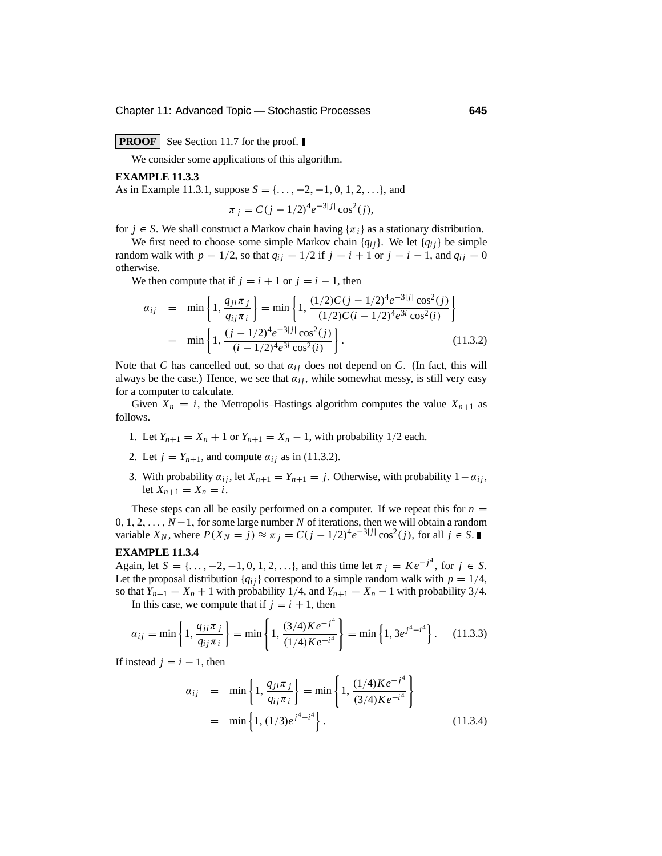Chapter 11: Advanced Topic — Stochastic Processes **645**

#### **PROOF** See Section 11.7 for the proof.

We consider some applications of this algorithm.

#### **EXAMPLE 11.3.3**

As in Example 11.3.1, suppose *<sup>S</sup>* = {..., <sup>−</sup>2, <sup>−</sup>1, <sup>0</sup>, <sup>1</sup>, <sup>2</sup>,...}, and

$$
\pi_j = C(j - 1/2)^4 e^{-3|j|} \cos^2(j),
$$

for  $j \in S$ . We shall construct a Markov chain having  $\{\pi_i\}$  as a stationary distribution.

We first need to choose some simple Markov chain  ${q_{ij}}$ . We let  ${q_{ij}}$  be simple random walk with  $p = 1/2$ , so that  $q_{ij} = 1/2$  if  $j = i + 1$  or  $j = i - 1$ , and  $q_{ij} = 0$ otherwise.

We then compute that if  $j = i + 1$  or  $j = i - 1$ , then

$$
a_{ij} = \min \left\{ 1, \frac{q_{ji}\pi_j}{q_{ij}\pi_i} \right\} = \min \left\{ 1, \frac{(1/2)C(j - 1/2)^4 e^{-3|j|} \cos^2(j)}{(1/2)C(i - 1/2)^4 e^{3i} \cos^2(i)} \right\}
$$
  
= 
$$
\min \left\{ 1, \frac{(j - 1/2)^4 e^{-3|j|} \cos^2(j)}{(i - 1/2)^4 e^{3i} \cos^2(i)} \right\}.
$$
 (11.3.2)

Note that *C* has cancelled out, so that  $a_{ij}$  does not depend on *C*. (In fact, this will always be the case.) Hence, we see that  $a_{ij}$ , while somewhat messy, is still very easy for a computer to calculate.

Given  $X_n = i$ , the Metropolis–Hastings algorithm computes the value  $X_{n+1}$  as follows.

- 1. Let  $Y_{n+1} = X_n + 1$  or  $Y_{n+1} = X_n 1$ , with probability 1/2 each.
- 2. Let  $j = Y_{n+1}$ , and compute  $\alpha_{ij}$  as in (11.3.2).
- 3. With probability  $a_{ij}$ , let  $X_{n+1} = Y_{n+1} = j$ . Otherwise, with probability  $1 a_{ij}$ , let  $X_{n+1} = X_n = i$ .

These steps can all be easily performed on a computer. If we repeat this for  $n =$ <sup>0</sup>, <sup>1</sup>, <sup>2</sup>,..., *<sup>N</sup>* <sup>−</sup>1, for some large number *<sup>N</sup>* of iterations, then we will obtain a random variable *X<sub>N</sub>*, where  $P(X_N = j) \approx \pi_j = C(j - 1/2)^4 e^{-3|j|} \cos^2(j)$ , for all  $j \in S$ .

#### **EXAMPLE 11.3.4**

Again, let  $S = \{..., -2, -1, 0, 1, 2, ...\}$ , and this time let  $\pi_j = Ke^{-j^4}$ , for  $j \in S$ . Let the proposal distribution  ${q_{ij}}$  correspond to a simple random walk with  $p = 1/4$ , so that  $Y_{n+1} = X_n + 1$  with probability 1/4, and  $Y_{n+1} = X_n - 1$  with probability 3/4.

In this case, we compute that if  $j = i + 1$ , then

$$
\alpha_{ij} = \min\left\{1, \frac{q_{ji}\pi_j}{q_{ij}\pi_i}\right\} = \min\left\{1, \frac{(3/4)Ke^{-j^4}}{(1/4)Ke^{-i^4}}\right\} = \min\left\{1, 3e^{j^4 - i^4}\right\}.
$$
 (11.3.3)

If instead  $j = i - 1$ , then

$$
a_{ij} = \min \left\{ 1, \frac{q_{ji}\pi_j}{q_{ij}\pi_i} \right\} = \min \left\{ 1, \frac{(1/4)Ke^{-j^4}}{(3/4)Ke^{-i^4}} \right\}
$$
  
=  $\min \left\{ 1, (1/3)e^{j^4 - i^4} \right\}.$  (11.3.4)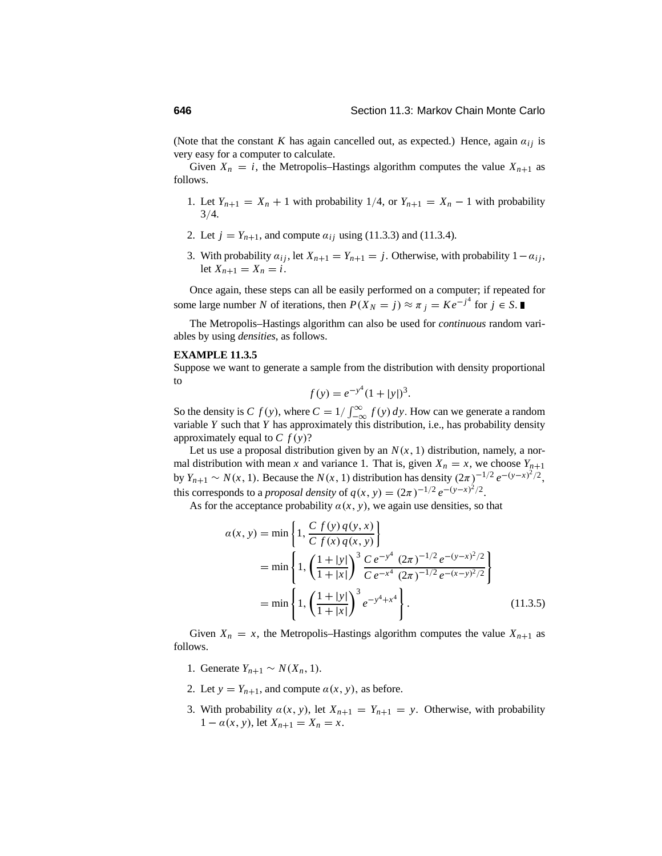(Note that the constant *K* has again cancelled out, as expected.) Hence, again  $a_{ij}$  is very easy for a computer to calculate.

Given  $X_n = i$ , the Metropolis–Hastings algorithm computes the value  $X_{n+1}$  as follows.

- 1. Let  $Y_{n+1} = X_n + 1$  with probability 1/4, or  $Y_{n+1} = X_n 1$  with probability  $3/4.$
- 2. Let  $j = Y_{n+1}$ , and compute  $\alpha_{ij}$  using (11.3.3) and (11.3.4).
- 3. With probability  $a_{ij}$ , let  $X_{n+1} = Y_{n+1} = j$ . Otherwise, with probability  $1 a_{ij}$ , let  $X_{n+1} = X_n = i$ .

Once again, these steps can all be easily performed on a computer; if repeated for some large number *N* of iterations, then  $P(X_N = j) \approx \pi_j = Ke^{-j^4}$  for  $j \in S$ .

The Metropolis–Hastings algorithm can also be used for *continuous* random variables by using *densities*, as follows.

#### **EXAMPLE 11.3.5**

Suppose we want to generate a sample from the distribution with density proportional to

$$
f(y) = e^{-y^4}(1+|y|)^3.
$$

So the density is *C*  $f(y)$ , where  $C = 1/\int_{-\infty}^{\infty} f(y) dy$ . How can we generate a random variable *Y* such that *Y* has approximately this distribution, i.e., has probability density approximately equal to  $C f(y)$ ?

Let us use a proposal distribution given by an  $N(x, 1)$  distribution, namely, a normal distribution with mean *x* and variance 1. That is, given  $X_n = x$ , we choose  $Y_{n+1}$ by *Y<sub>n+1</sub>* ~ *N*(*x*, 1). Because the *N*(*x*, 1) distribution has density  $(2\pi)^{-1/2} e^{-(y-x)^2/2}$ , this corresponds to a *proposal density* of  $q(x, y) = (2\pi)^{-1/2} e^{-(y-x)^2/2}$ .

As for the acceptance probability  $\alpha(x, y)$ , we again use densities, so that

$$
\alpha(x, y) = \min\left\{1, \frac{C f(y) q(y, x)}{C f(x) q(x, y)}\right\}
$$
  
= 
$$
\min\left\{1, \left(\frac{1+|y|}{1+|x|}\right)^3 \frac{C e^{-y^4} (2\pi)^{-1/2} e^{-(y-x)^2/2}}{C e^{-x^4} (2\pi)^{-1/2} e^{-(x-y)^2/2}}\right\}
$$
  
= 
$$
\min\left\{1, \left(\frac{1+|y|}{1+|x|}\right)^3 e^{-y^4+x^4}\right\}.
$$
 (11.3.5)

Given  $X_n = x$ , the Metropolis–Hastings algorithm computes the value  $X_{n+1}$  as follows.

- 1. Generate  $Y_{n+1}$  ∼  $N(X_n, 1)$ .
- 2. Let  $y = Y_{n+1}$ , and compute  $\alpha(x, y)$ , as before.
- 3. With probability  $\alpha(x, y)$ , let  $X_{n+1} = Y_{n+1} = y$ . Otherwise, with probability  $1 - \alpha(x, y)$ , let  $X_{n+1} = X_n = x$ .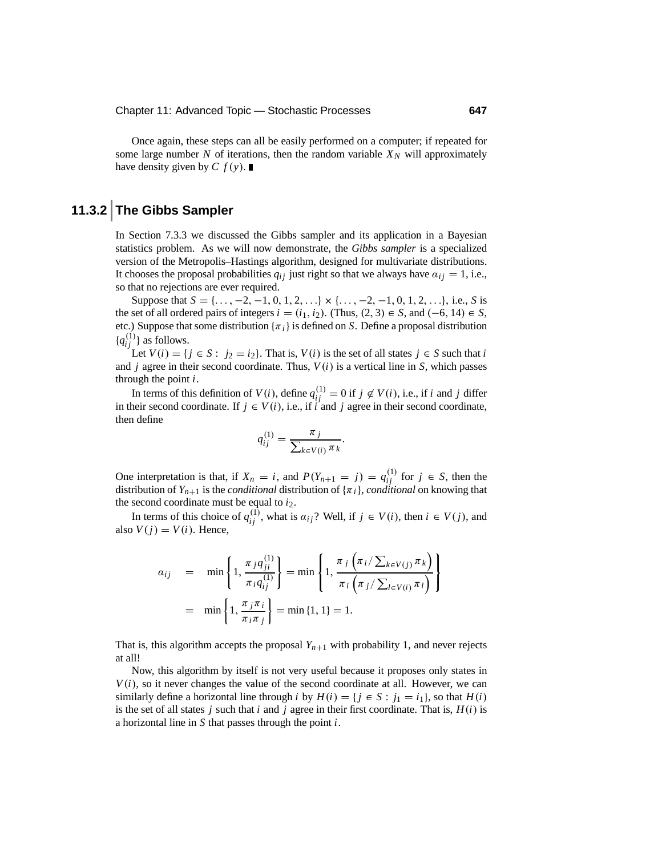Once again, these steps can all be easily performed on a computer; if repeated for some large number *N* of iterations, then the random variable  $X_N$  will approximately have density given by  $C f(y)$ .

# **11.3.2 The Gibbs Sampler**

In Section 7.3.3 we discussed the Gibbs sampler and its application in a Bayesian statistics problem. As we will now demonstrate, the *Gibbs sampler* is a specialized version of the Metropolis–Hastings algorithm, designed for multivariate distributions. It chooses the proposal probabilities  $q_{ij}$  just right so that we always have  $a_{ij} = 1$ , i.e., so that no rejections are ever required.

Suppose that  $S = \{..., -2, -1, 0, 1, 2, ...\} \times \{..., -2, -1, 0, 1, 2, ...\}$ , i.e., *S* is the set of all ordered pairs of integers  $i = (i_1, i_2)$ . (Thus,  $(2, 3) \in S$ , and  $(-6, 14) \in S$ , etc.) Suppose that some distribution  $\{\pi_i\}$  is defined on *S*. Define a proposal distribution  ${q_{ij}^{(1)}}$  as follows.

Let  $V(i) = \{ j \in S : j_2 = i_2 \}$ . That is,  $V(i)$  is the set of all states  $j \in S$  such that *i* and  $j$  agree in their second coordinate. Thus,  $V(i)$  is a vertical line in  $S$ , which passes through the point *i*.

In terms of this definition of  $V(i)$ , define  $q_{ij}^{(1)} = 0$  if  $j \notin V(i)$ , i.e., if *i* and *j* differ in their second coordinate. If  $j \in V(i)$ , i.e., if *i* and *j* agree in their second coordinate, then define

$$
q_{ij}^{(1)} = \frac{\pi_j}{\sum_{k \in V(i)} \pi_k}
$$

.

One interpretation is that, if  $X_n = i$ , and  $P(Y_{n+1} = j) = q_{ij}^{(1)}$  for  $j \in S$ , then the distribution of  $Y_{n+1}$  is the *conditional* distribution of  $\{\pi_i\}$ , *conditional* on knowing that the second coordinate must be equal to  $i_2$ .

In terms of this choice of  $q_{ij}^{(1)}$ , what is  $a_{ij}$ ? Well, if  $j \in V(i)$ , then  $i \in V(j)$ , and also  $V(j) = V(i)$ . Hence,

$$
\begin{array}{rcl}\na_{ij} & = & \min\left\{1, \frac{\pi_j q_{ji}^{(1)}}{\pi_i q_{ij}^{(1)}}\right\} = \min\left\{1, \frac{\pi_j \left(\pi_i / \sum_{k \in V(j)} \pi_k\right)}{\pi_i \left(\pi_j / \sum_{l \in V(i)} \pi_l\right)}\right\} \\
& = & \min\left\{1, \frac{\pi_j \pi_i}{\pi_i \pi_j}\right\} = \min\left\{1, 1\right\} = 1.\n\end{array}
$$

That is, this algorithm accepts the proposal  $Y_{n+1}$  with probability 1, and never rejects at all!

Now, this algorithm by itself is not very useful because it proposes only states in  $V(i)$ , so it never changes the value of the second coordinate at all. However, we can similarly define a horizontal line through *i* by  $H(i) = \{j \in S : j_1 = i_1\}$ , so that  $H(i)$ is the set of all states *j* such that *i* and *j* agree in their first coordinate. That is,  $H(i)$  is a horizontal line in *S* that passes through the point *i*.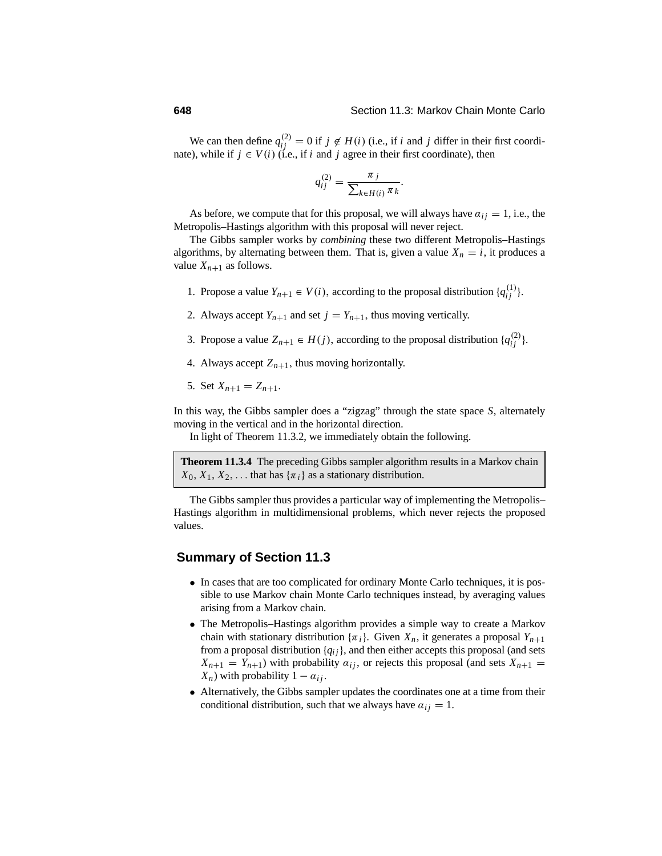We can then define  $q_{ij}^{(2)} = 0$  if  $j \notin H(i)$  (i.e., if *i* and *j* differ in their first coordinate), while if  $j \in V(i)$  (i.e., if *i* and *j* agree in their first coordinate), then

$$
q_{ij}^{(2)} = \frac{\pi_j}{\sum_{k \in H(i)} \pi_k}.
$$

As before, we compute that for this proposal, we will always have  $a_{ij} = 1$ , i.e., the Metropolis–Hastings algorithm with this proposal will never reject.

The Gibbs sampler works by *combining* these two different Metropolis–Hastings algorithms, by alternating between them. That is, given a value  $X_n = i$ , it produces a value  $X_{n+1}$  as follows.

- 1. Propose a value  $Y_{n+1} \in V(i)$ , according to the proposal distribution  $\{q_{ij}^{(1)}\}$ .
- 2. Always accept  $Y_{n+1}$  and set  $j = Y_{n+1}$ , thus moving vertically.
- 3. Propose a value  $Z_{n+1} \in H(j)$ , according to the proposal distribution  $\{q_{ij}^{(2)}\}$ .
- 4. Always accept  $Z_{n+1}$ , thus moving horizontally.
- 5. Set  $X_{n+1} = Z_{n+1}$ .

In this way, the Gibbs sampler does a "zigzag" through the state space *S*, alternately moving in the vertical and in the horizontal direction.

In light of Theorem 11.3.2, we immediately obtain the following.

**Theorem 11.3.4** The preceding Gibbs sampler algorithm results in a Markov chain  $X_0, X_1, X_2, \ldots$  that has  $\{\pi_i\}$  as a stationary distribution.

The Gibbs sampler thus provides a particular way of implementing the Metropolis– Hastings algorithm in multidimensional problems, which never rejects the proposed values.

#### **Summary of Section 11.3**

- In cases that are too complicated for ordinary Monte Carlo techniques, it is possible to use Markov chain Monte Carlo techniques instead, by averaging values arising from a Markov chain.
- The Metropolis–Hastings algorithm provides a simple way to create a Markov chain with stationary distribution  $\{\pi_i\}$ . Given  $X_n$ , it generates a proposal  $Y_{n+1}$ from a proposal distribution {*qi j*}, and then either accepts this proposal (and sets  $X_{n+1} = Y_{n+1}$ ) with probability  $a_{ij}$ , or rejects this proposal (and sets  $X_{n+1} =$ *X<sub>n</sub>*) with probability  $1 - a_{ij}$ .
- Alternatively, the Gibbs sampler updates the coordinates one at a time from their conditional distribution, such that we always have  $a_{ij} = 1$ .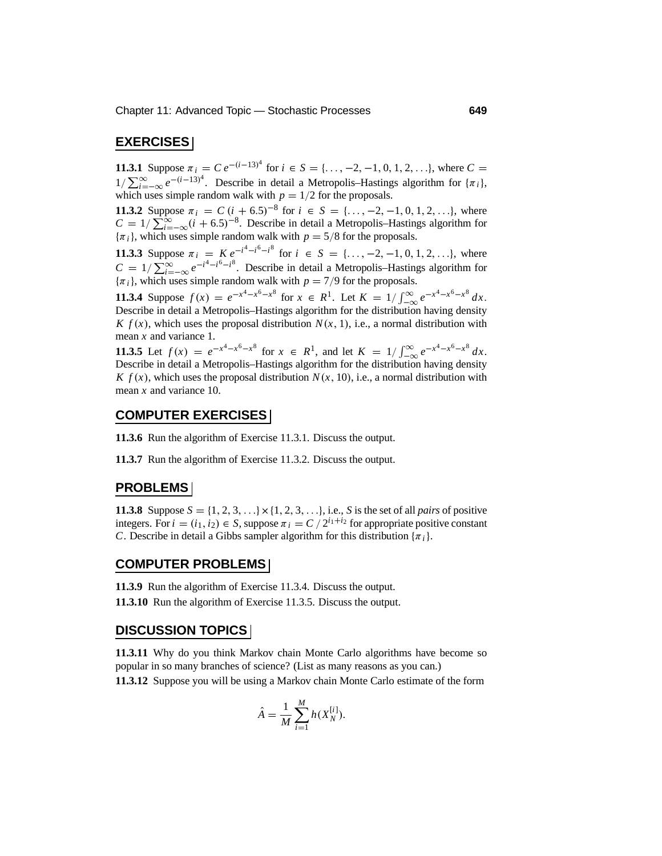#### **EXERCISES**

**11.3.1** Suppose  $\pi_i = C e^{-(i-13)^4}$  for  $i \in S = \{\ldots, -2, -1, 0, 1, 2, \ldots\}$ , where  $C =$ 1/ $\sum_{i=1}^{\infty} e^{-(i-13)^4}$ . Describe in detail a Metropolis–Hastings algorithm for {π*i*}, which uses simple random walk with  $p = 1/2$  for the proposals.

**11.3.2** Suppose  $\pi_i = C(i + 6.5)^{-8}$  for  $i \in S = \{..., -2, -1, 0, 1, 2, ...\}$ , where  $C = 1/\sum_{i=-\infty}^{\infty} (i+6.5)^{-8}$ . Describe in detail a Metropolis–Hastings algorithm for  $\{\pi_i\}$ , which uses simple random walk with  $p = 5/8$  for the proposals.

**11.3.3** Suppose  $\pi_i = K e^{-i^4 - i^6 - i^8}$  for  $i \in S = \{\ldots, -2, -1, 0, 1, 2, \ldots\}$ , where  $C = 1/\sum_{i=-\infty}^{\infty} e^{-i^4 - i^6 - i^8}$ . Describe in detail a Metropolis–Hastings algorithm for  $\{\pi_i\}$ , which uses simple random walk with  $p = 7/9$  for the proposals.

**11.3.4** Suppose  $f(x) = e^{-x^4 - x^6 - x^8}$  for  $x \in R^1$ . Let  $K = 1/\int_{-\infty}^{\infty} e^{-x^4 - x^6 - x^8} dx$ .<br>Describe in detail a Mateoralis Hastings algorithm for the distribution baying density Describe in detail a Metropolis–Hastings algorithm for the distribution having density *K*  $f(x)$ , which uses the proposal distribution  $N(x, 1)$ , i.e., a normal distribution with mean *x* and variance 1.

**11.3.5** Let  $f(x) = e^{-x^4 - x^6 - x^8}$  for  $x \in R^1$ , and let  $K = 1/\int_{-\infty}^{\infty} e^{-x^4 - x^6 - x^8} dx$ .<br>Describe in detail a Metropolis Hastings algorithm for the distribution boxing density Describe in detail a Metropolis–Hastings algorithm for the distribution having density *K*  $f(x)$ , which uses the proposal distribution  $N(x, 10)$ , i.e., a normal distribution with mean *x* and variance 10.

#### **COMPUTER EXERCISES**

**11.3.6** Run the algorithm of Exercise 11.3.1. Discuss the output.

**11.3.7** Run the algorithm of Exercise 11.3.2. Discuss the output.

#### **PROBLEMS**

**11.3.8** Suppose  $S = \{1, 2, 3, ...\} \times \{1, 2, 3, ...\}$ , i.e., *S* is the set of all *pairs* of positive integers. For  $i = (i_1, i_2) \in S$ , suppose  $\pi_i = C / 2^{i_1 + i_2}$  for appropriate positive constant *C*. Describe in detail a Gibbs sampler algorithm for this distribution  $\{\pi_i\}$ .

#### **COMPUTER PROBLEMS**

**11.3.9** Run the algorithm of Exercise 11.3.4. Discuss the output. **11.3.10** Run the algorithm of Exercise 11.3.5. Discuss the output.

#### **DISCUSSION TOPICS**

**11.3.11** Why do you think Markov chain Monte Carlo algorithms have become so popular in so many branches of science? (List as many reasons as you can.) **11.3.12** Suppose you will be using a Markov chain Monte Carlo estimate of the form

$$
\hat{A} = \frac{1}{M} \sum_{i=1}^{M} h(X_N^{[i]}).
$$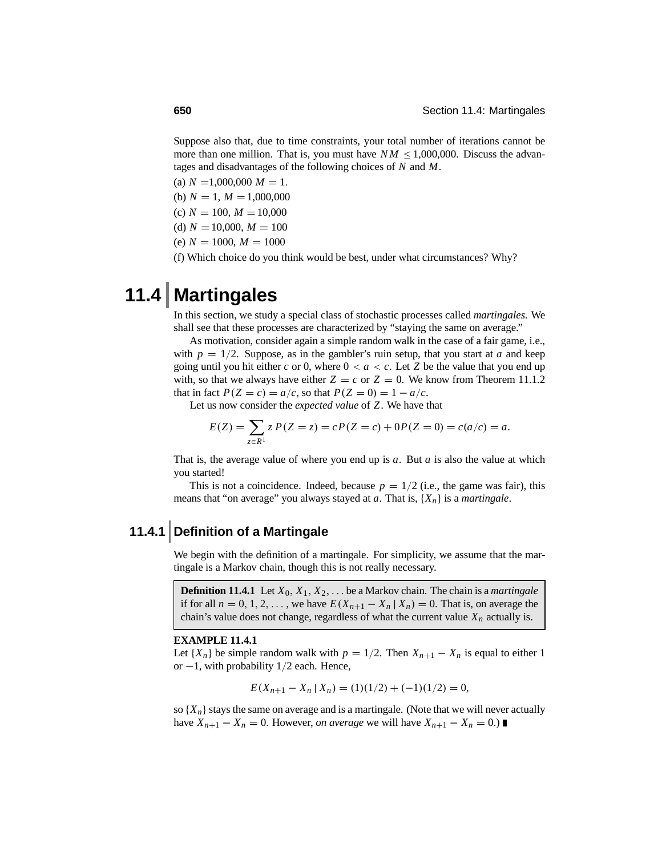Suppose also that, due to time constraints, your total number of iterations cannot be more than one million. That is, you must have  $NM \leq 1,000,000$ . Discuss the advantages and disadvantages of the following choices of *N* and *M*.

- (a)  $N = 1,000,000 M = 1$ .
- (b)  $N = 1, M = 1,000,000$
- (c)  $N = 100$ ,  $M = 10,000$
- (d)  $N = 10,000$ ,  $M = 100$
- $(e) N = 1000, M = 1000$

(f) Which choice do you think would be best, under what circumstances? Why?

# **11.4 Martingales**

In this section, we study a special class of stochastic processes called *martingales*. We shall see that these processes are characterized by "staying the same on average."

As motivation, consider again a simple random walk in the case of a fair game, i.e., with  $p = 1/2$ . Suppose, as in the gambler's ruin setup, that you start at *a* and keep going until you hit either  $c$  or 0, where  $0 < a < c$ . Let  $Z$  be the value that you end up with, so that we always have either  $Z = c$  or  $Z = 0$ . We know from Theorem 11.1.2 that in fact  $P(Z = c) = a/c$ , so that  $P(Z = 0) = 1 - a/c$ .

Let us now consider the *expected value* of *Z*. We have that

$$
E(Z) = \sum_{z \in R^1} z P(Z = z) = cP(Z = c) + 0P(Z = 0) = c(a/c) = a.
$$

That is, the average value of where you end up is *a*. But *a* is also the value at which you started!

This is not a coincidence. Indeed, because  $p = 1/2$  (i.e., the game was fair), this means that "on average" you always stayed at *<sup>a</sup>*. That is, {*Xn*} is a *martingale*.

# **11.4.1 Definition of a Martingale**

We begin with the definition of a martingale. For simplicity, we assume that the martingale is a Markov chain, though this is not really necessary.

**Definition 11.4.1** Let  $X_0, X_1, X_2, \ldots$  be a Markov chain. The chain is a *martingale* if for all  $n = 0, 1, 2, \ldots$ , we have  $E(X_{n+1} - X_n | X_n) = 0$ . That is, on average the chain's value does not change, regardless of what the current value  $X_n$  actually is.

#### **EXAMPLE 11.4.1**

Let  $\{X_n\}$  be simple random walk with  $p = 1/2$ . Then  $X_{n+1} - X_n$  is equal to either 1 or <sup>−</sup>1, with probability 1/2 each. Hence,

$$
E(X_{n+1} - X_n \mid X_n) = (1)(1/2) + (-1)(1/2) = 0,
$$

so  $\{X_n\}$  stays the same on average and is a martingale. (Note that we will never actually have  $X_{n+1} - X_n = 0$ . However, *on average* we will have  $X_{n+1} - X_n = 0$ .) ■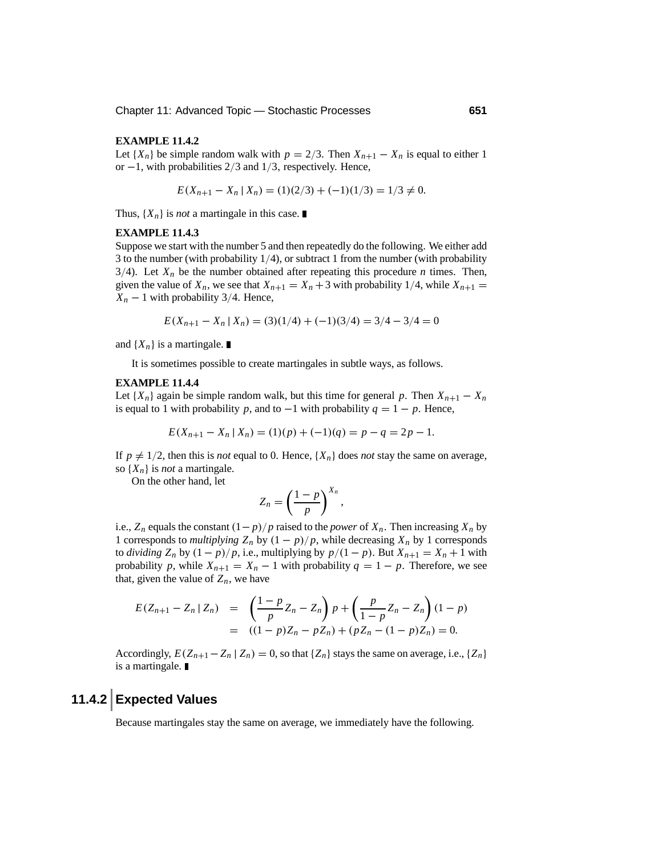#### **EXAMPLE 11.4.2**

Let  $\{X_n\}$  be simple random walk with  $p = 2/3$ . Then  $X_{n+1} - X_n$  is equal to either 1 or <sup>−</sup>1, with probabilities 2/3 and 1/3, respectively. Hence,

$$
E(X_{n+1} - X_n \mid X_n) = (1)(2/3) + (-1)(1/3) = 1/3 \neq 0.
$$

Thus,  $\{X_n\}$  is *not* a martingale in this case.

#### **EXAMPLE 11.4.3**

Suppose we start with the number 5 and then repeatedly do the following. We either add 3 to the number (with probability  $1/4$ ), or subtract 1 from the number (with probability  $3/4$ ). Let  $X_n$  be the number obtained after repeating this procedure *n* times. Then, given the value of  $X_n$ , we see that  $X_{n+1} = X_n + 3$  with probability 1/4, while  $X_{n+1} =$  $X_n - 1$  with probability 3/4. Hence,

$$
E(X_{n+1} - X_n | X_n) = (3)(1/4) + (-1)(3/4) = 3/4 - 3/4 = 0
$$

and  $\{X_n\}$  is a martingale.

It is sometimes possible to create martingales in subtle ways, as follows.

#### **EXAMPLE 11.4.4**

Let  $\{X_n\}$  again be simple random walk, but this time for general *p*. Then  $X_{n+1} - X_n$ is equal to 1 with probability *p*, and to −1 with probability  $q = 1 - p$ . Hence,

$$
E(X_{n+1} - X_n \mid X_n) = (1)(p) + (-1)(q) = p - q = 2p - 1.
$$

If  $p \neq 1/2$ , then this is *not* equal to 0. Hence,  $\{X_n\}$  does *not* stay the same on average, so  $\{X_n\}$  is *not* a martingale.

On the other hand, let

$$
Z_n = \left(\frac{1-p}{p}\right)^{X_n}
$$

,

i.e.,  $Z_n$  equals the constant  $(1-p)/p$  raised to the *power* of  $X_n$ . Then increasing  $X_n$  by 1 corresponds to *multiplying*  $Z_n$  by  $(1 - p)/p$ , while decreasing  $X_n$  by 1 corresponds to *dividing*  $Z_n$  by  $(1 - p)/p$ , i.e., multiplying by  $p/(1 - p)$ . But  $X_{n+1} = X_n + 1$  with probability *p*, while  $X_{n+1} = X_n - 1$  with probability  $q = 1 - p$ . Therefore, we see that, given the value of  $Z_n$ , we have

$$
E(Z_{n+1} - Z_n | Z_n) = \left(\frac{1-p}{p}Z_n - Z_n\right)p + \left(\frac{p}{1-p}Z_n - Z_n\right)(1-p) = ((1-p)Z_n - pZ_n) + (pZ_n - (1-p)Z_n) = 0.
$$

Accordingly,  $E(Z_{n+1}-Z_n | Z_n) = 0$ , so that  $\{Z_n\}$  stays the same on average, i.e.,  $\{Z_n\}$ is a martingale.

# **11.4.2 Expected Values**

Because martingales stay the same on average, we immediately have the following.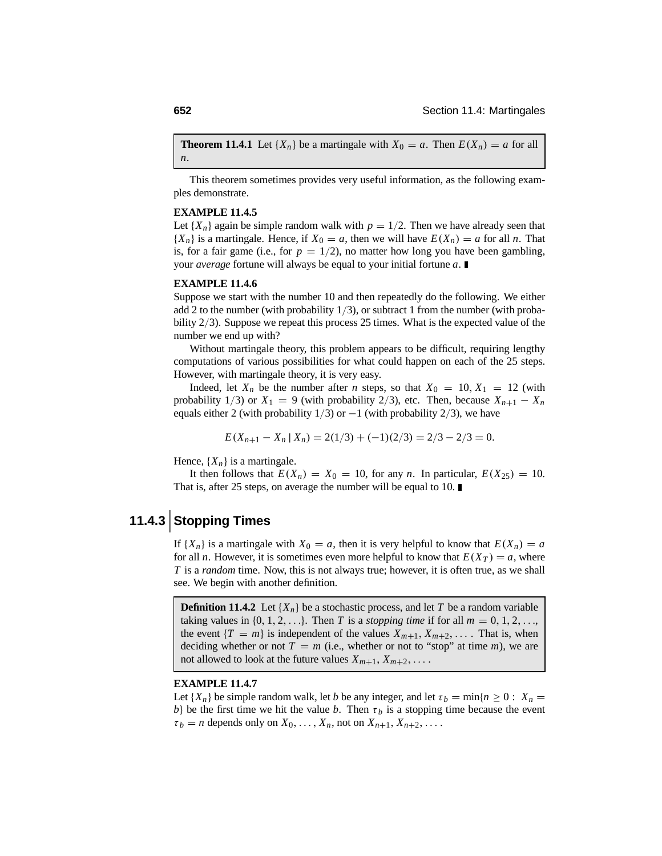**Theorem 11.4.1** Let  $\{X_n\}$  be a martingale with  $X_0 = a$ . Then  $E(X_n) = a$  for all *n*.

This theorem sometimes provides very useful information, as the following examples demonstrate.

#### **EXAMPLE 11.4.5**

Let  $\{X_n\}$  again be simple random walk with  $p = 1/2$ . Then we have already seen that  ${X_n}$  is a martingale. Hence, if  $X_0 = a$ , then we will have  $E(X_n) = a$  for all *n*. That is, for a fair game (i.e., for  $p = 1/2$ ), no matter how long you have been gambling, your *average* fortune will always be equal to your initial fortune *a*.

#### **EXAMPLE 11.4.6**

Suppose we start with the number 10 and then repeatedly do the following. We either add 2 to the number (with probability  $1/3$ ), or subtract 1 from the number (with probability 2/3). Suppose we repeat this process 25 times. What is the expected value of the number we end up with?

Without martingale theory, this problem appears to be difficult, requiring lengthy computations of various possibilities for what could happen on each of the 25 steps. However, with martingale theory, it is very easy.

Indeed, let  $X_n$  be the number after *n* steps, so that  $X_0 = 10, X_1 = 12$  (with probability 1/3) or  $X_1 = 9$  (with probability 2/3), etc. Then, because  $X_{n+1} - X_n$ equals either 2 (with probability  $1/3$ ) or  $-1$  (with probability  $2/3$ ), we have

$$
E(X_{n+1} - X_n | X_n) = 2(1/3) + (-1)(2/3) = 2/3 - 2/3 = 0.
$$

Hence,  $\{X_n\}$  is a martingale.

It then follows that  $E(X_n) = X_0 = 10$ , for any *n*. In particular,  $E(X_{25}) = 10$ . That is, after 25 steps, on average the number will be equal to 10. ■

# **11.4.3 Stopping Times**

If  $\{X_n\}$  is a martingale with  $X_0 = a$ , then it is very helpful to know that  $E(X_n) = a$ for all *n*. However, it is sometimes even more helpful to know that  $E(X_T) = a$ , where *T* is a *random* time. Now, this is not always true; however, it is often true, as we shall see. We begin with another definition.

**Definition 11.4.2** Let  $\{X_n\}$  be a stochastic process, and let *T* be a random variable taking values in  $\{0, 1, 2, \ldots\}$ . Then *T* is a *stopping time* if for all  $m = 0, 1, 2, \ldots$ , the event  ${T = m}$  is independent of the values  $X_{m+1}, X_{m+2}, \ldots$ . That is, when deciding whether or not  $T = m$  (i.e., whether or not to "stop" at time *m*), we are not allowed to look at the future values  $X_{m+1}, X_{m+2}, \ldots$ .

#### **EXAMPLE 11.4.7**

Let  $\{X_n\}$  be simple random walk, let *b* be any integer, and let  $\tau_b = \min\{n \geq 0 : X_n = 0\}$ *b*} be the first time we hit the value *b*. Then  $\tau_b$  is a stopping time because the event  $\tau_b$  = *n* depends only on  $X_0, \ldots, X_n$ , not on  $X_{n+1}, X_{n+2}, \ldots$ .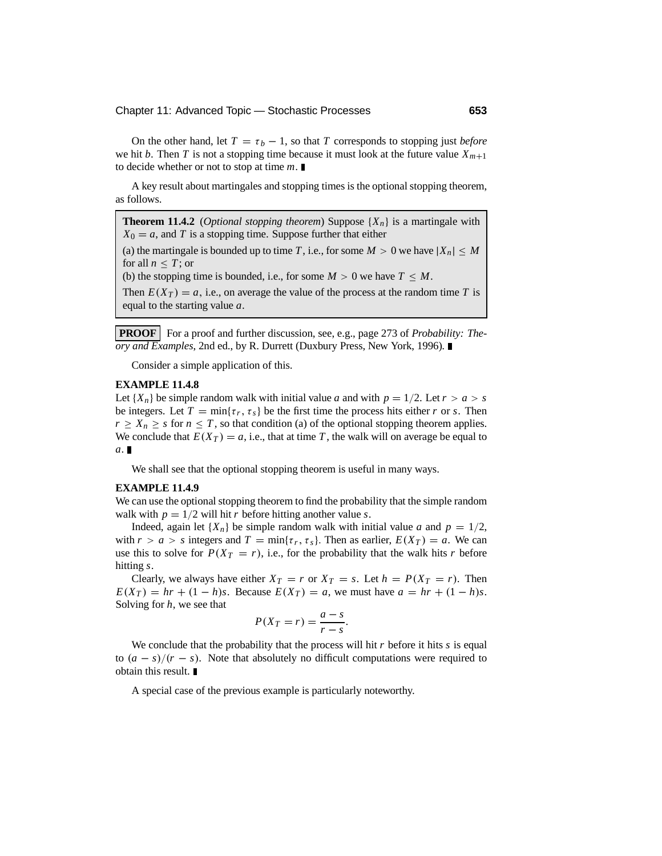On the other hand, let  $T = \tau_b - 1$ , so that *T* corresponds to stopping just *before* we hit *b*. Then *T* is not a stopping time because it must look at the future value  $X_{m+1}$ to decide whether or not to stop at time *m*.

A key result about martingales and stopping times is the optional stopping theorem, as follows.

**Theorem 11.4.2** (*Optional stopping theorem*) Suppose  $\{X_n\}$  is a martingale with  $X_0 = a$ , and *T* is a stopping time. Suppose further that either

(a) the martingale is bounded up to time *T*, i.e., for some  $M > 0$  we have  $|X_n| \leq M$ for all  $n < T$ ; or

(b) the stopping time is bounded, i.e., for some  $M > 0$  we have  $T < M$ .

Then  $E(X_T) = a$ , i.e., on average the value of the process at the random time T is equal to the starting value *a*.

**PROOF** For a proof and further discussion, see, e.g., page 273 of *Probability: Theory and Examples*, 2nd ed., by R. Durrett (Duxbury Press, New York, 1996)*.*

Consider a simple application of this.

#### **EXAMPLE 11.4.8**

Let  ${X_n}$  be simple random walk with initial value *a* and with  $p = 1/2$ . Let  $r > a > s$ be integers. Let  $T = \min\{\tau_r, \tau_s\}$  be the first time the process hits either *r* or *s*. Then  $r \geq X_n \geq s$  for  $n \leq T$ , so that condition (a) of the optional stopping theorem applies. We conclude that  $E(X_T) = a$ , i.e., that at time T, the walk will on average be equal to *a*.

We shall see that the optional stopping theorem is useful in many ways.

#### **EXAMPLE 11.4.9**

We can use the optional stopping theorem to find the probability that the simple random walk with  $p = 1/2$  will hit *r* before hitting another value *s*.

Indeed, again let  $\{X_n\}$  be simple random walk with initial value *a* and  $p = 1/2$ , with  $r > a > s$  integers and  $T = \min\{\tau_r, \tau_s\}$ . Then as earlier,  $E(X_T) = a$ . We can use this to solve for  $P(X_T = r)$ , i.e., for the probability that the walk hits *r* before hitting *s*.

Clearly, we always have either  $X_T = r$  or  $X_T = s$ . Let  $h = P(X_T = r)$ . Then  $E(X_T) = hr + (1 - h)s$ . Because  $E(X_T) = a$ , we must have  $a = hr + (1 - h)s$ . Solving for *h*, we see that

$$
P(X_T = r) = \frac{a - s}{r - s}.
$$

We conclude that the probability that the process will hit *r* before it hits *s* is equal to  $(a - s)/(r - s)$ . Note that absolutely no difficult computations were required to obtain this result.

A special case of the previous example is particularly noteworthy.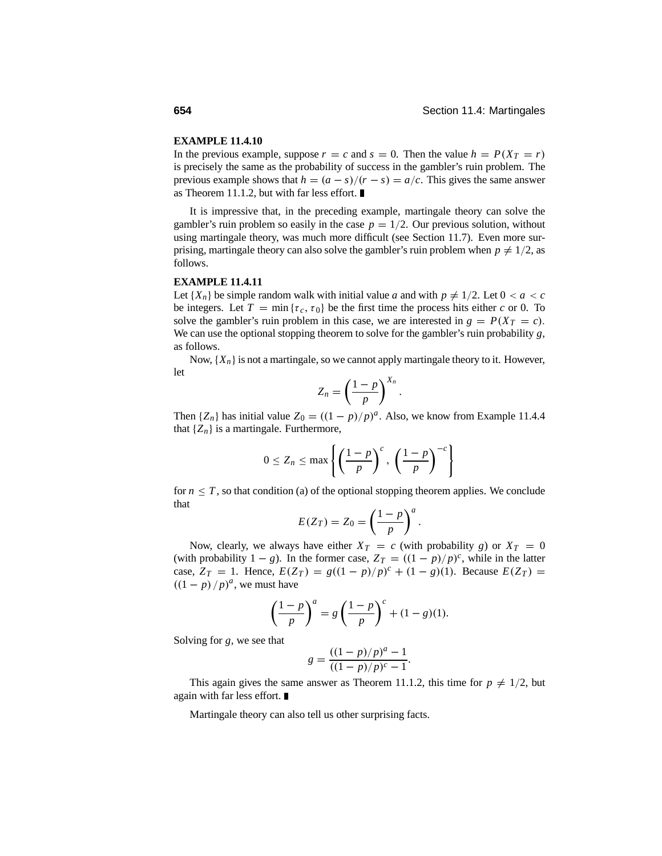#### **EXAMPLE 11.4.10**

In the previous example, suppose  $r = c$  and  $s = 0$ . Then the value  $h = P(X_T = r)$ is precisely the same as the probability of success in the gambler's ruin problem. The previous example shows that  $h = (a - s)/(r - s) = a/c$ . This gives the same answer as Theorem 11.1.2, but with far less effort.

It is impressive that, in the preceding example, martingale theory can solve the gambler's ruin problem so easily in the case  $p = 1/2$ . Our previous solution, without using martingale theory, was much more difficult (see Section 11.7). Even more surprising, martingale theory can also solve the gambler's ruin problem when  $p \neq 1/2$ , as follows.

#### **EXAMPLE 11.4.11**

Let  $\{X_n\}$  be simple random walk with initial value *a* and with  $p \neq 1/2$ . Let  $0 < a < c$ be integers. Let  $T = \min \{ \tau_c, \tau_0 \}$  be the first time the process hits either *c* or 0. To solve the gambler's ruin problem in this case, we are interested in  $g = P(X_T = c)$ . We can use the optional stopping theorem to solve for the gambler's ruin probability *g*, as follows.

Now,  $\{X_n\}$  is not a martingale, so we cannot apply martingale theory to it. However, let

$$
Z_n = \left(\frac{1-p}{p}\right)^{X_n}
$$

.

Then  $\{Z_n\}$  has initial value  $Z_0 = ((1 - p)/p)^a$ . Also, we know from Example 11.4.4 that  $\{Z_n\}$  is a martingale. Furthermore,

$$
0 \le Z_n \le \max\left\{ \left( \frac{1-p}{p} \right)^c, \left( \frac{1-p}{p} \right)^{-c} \right\}
$$

for  $n \leq T$ , so that condition (a) of the optional stopping theorem applies. We conclude that

$$
E(Z_T) = Z_0 = \left(\frac{1-p}{p}\right)^a.
$$

Now, clearly, we always have either  $X_T = c$  (with probability *g*) or  $X_T = 0$ (with probability  $1 - g$ ). In the former case,  $Z_T = ((1 - p)/p)^c$ , while in the latter case,  $Z_T = 1$ . Hence,  $E(Z_T) = g((1 - p)/p)^c + (1 - g)(1)$ . Because  $E(Z_T) =$  $((1-p)/p)^a$ , we must have

$$
\left(\frac{1-p}{p}\right)^a = g\left(\frac{1-p}{p}\right)^c + (1-g)(1).
$$

Solving for *g*, we see that

$$
g = \frac{((1-p)/p)^a - 1}{((1-p)/p)^c - 1}.
$$

This again gives the same answer as Theorem 11.1.2, this time for  $p \neq 1/2$ , but again with far less effort.

Martingale theory can also tell us other surprising facts.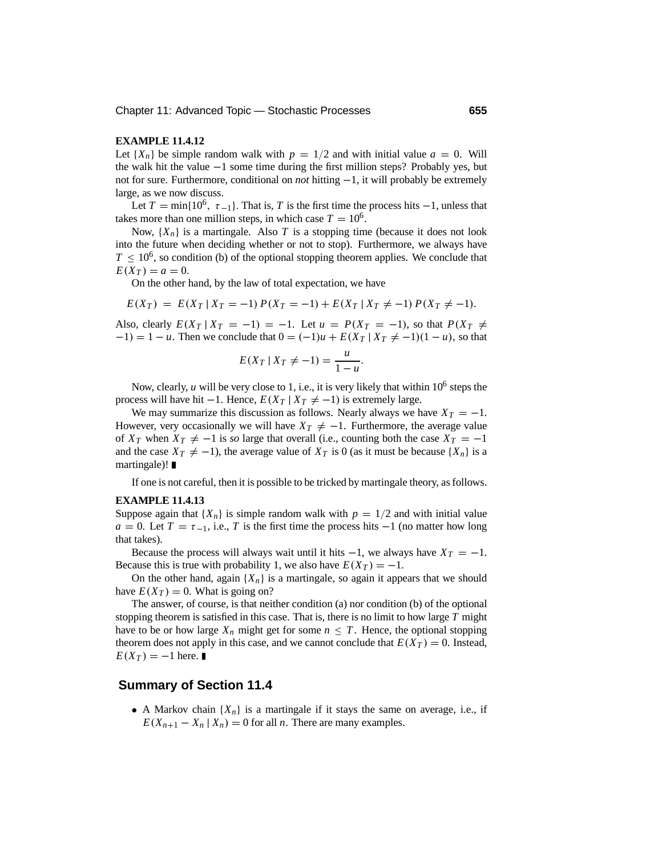#### **EXAMPLE 11.4.12**

Let  ${X_n}$  be simple random walk with  $p = 1/2$  and with initial value  $a = 0$ . Will the walk hit the value <sup>−</sup>1 some time during the first million steps? Probably yes, but not for sure. Furthermore, conditional on *not* hitting <sup>−</sup>1, it will probably be extremely large, as we now discuss.

Let  $T = \min\{10^6, \tau_{-1}\}\$ . That is, *T* is the first time the process hits  $-1$ , unless that takes more than one million steps, in which case  $T = 10^6$ .

Now,  $\{X_n\}$  is a martingale. Also *T* is a stopping time (because it does not look into the future when deciding whether or not to stop). Furthermore, we always have  $T \n\t\leq 10^6$ , so condition (b) of the optional stopping theorem applies. We conclude that  $E(X_T) = a = 0.$ 

On the other hand, by the law of total expectation, we have

$$
E(X_T) = E(X_T | X_T = -1) P(X_T = -1) + E(X_T | X_T \neq -1) P(X_T \neq -1).
$$

Also, clearly  $E(X_T | X_T = -1) = -1$ . Let  $u = P(X_T = -1)$ , so that  $P(X_T \neq 0)$  $(-1) = 1 - u$ . Then we conclude that  $0 = (-1)u + E(X_T | X_T \neq -1)(1 - u)$ , so that

$$
E(X_T \mid X_T \neq -1) = \frac{u}{1-u}.
$$

Now, clearly,  $u$  will be very close to 1, i.e., it is very likely that within  $10^6$  steps the process will have hit −1. Hence,  $E(X_T | X_T \neq -1)$  is extremely large.

We may summarize this discussion as follows. Nearly always we have  $X_T = -1$ . However, very occasionally we will have  $X_T \neq -1$ . Furthermore, the average value of  $X_T$  when  $X_T \neq -1$  is *so* large that overall (i.e., counting both the case  $X_T = -1$ and the case  $X_T \neq -1$ ), the average value of  $X_T$  is 0 (as it must be because  $\{X_n\}$  is a martingale)! ■

If one is not careful, then it is possible to be tricked by martingale theory, as follows.

#### **EXAMPLE 11.4.13**

Suppose again that  $\{X_n\}$  is simple random walk with  $p = 1/2$  and with initial value  $a = 0$ . Let  $T = \tau_{-1}$ , i.e., *T* is the first time the process hits  $-1$  (no matter how long that takes).

Because the process will always wait until it hits  $-1$ , we always have  $X_T = -1$ . Because this is true with probability 1, we also have  $E(X_T) = -1$ .

On the other hand, again  ${X_n}$  is a martingale, so again it appears that we should have  $E(X_T) = 0$ . What is going on?

The answer, of course, is that neither condition (a) nor condition (b) of the optional stopping theorem is satisfied in this case. That is, there is no limit to how large *T* might have to be or how large  $X_n$  might get for some  $n \leq T$ . Hence, the optional stopping theorem does not apply in this case, and we cannot conclude that  $E(X_T) = 0$ . Instead,  $E(X_T) = -1$  here.

#### **Summary of Section 11.4**

• A Markov chain  $\{X_n\}$  is a martingale if it stays the same on average, i.e., if  $E(X_{n+1} - X_n | X_n) = 0$  for all *n*. There are many examples.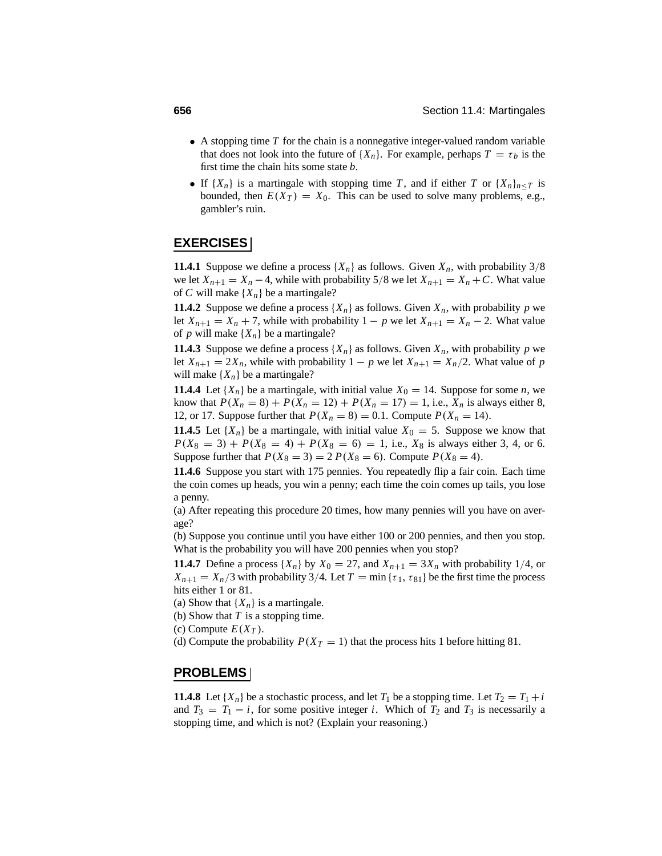- A stopping time *T* for the chain is a nonnegative integer-valued random variable that does not look into the future of  $\{X_n\}$ . For example, perhaps  $T = \tau_b$  is the first time the chain hits some state *b*.
- If  $\{X_n\}$  is a martingale with stopping time *T*, and if either *T* or  $\{X_n\}_{n \le T}$  is bounded, then  $E(X_T) = X_0$ . This can be used to solve many problems, e.g., gambler's ruin.

### **EXERCISES**

**11.4.1** Suppose we define a process  $\{X_n\}$  as follows. Given  $X_n$ , with probability 3/8 we let  $X_{n+1} = X_n - 4$ , while with probability 5/8 we let  $X_{n+1} = X_n + C$ . What value of *C* will make  $\{X_n\}$  be a martingale?

**11.4.2** Suppose we define a process  $\{X_n\}$  as follows. Given  $X_n$ , with probability p we let  $X_{n+1} = X_n + 7$ , while with probability  $1 - p$  we let  $X_{n+1} = X_n - 2$ . What value of *p* will make  $\{X_n\}$  be a martingale?

**11.4.3** Suppose we define a process  $\{X_n\}$  as follows. Given  $X_n$ , with probability p we let  $X_{n+1} = 2X_n$ , while with probability  $1 - p$  we let  $X_{n+1} = X_n/2$ . What value of *p* will make  $\{X_n\}$  be a martingale?

**11.4.4** Let  $\{X_n\}$  be a martingale, with initial value  $X_0 = 14$ . Suppose for some *n*, we know that  $P(X_n = 8) + P(X_n = 12) + P(X_n = 17) = 1$ , i.e.,  $X_n$  is always either 8, 12, or 17. Suppose further that  $P(X_n = 8) = 0.1$ . Compute  $P(X_n = 14)$ .

**11.4.5** Let  $\{X_n\}$  be a martingale, with initial value  $X_0 = 5$ . Suppose we know that  $P(X_8 = 3) + P(X_8 = 4) + P(X_8 = 6) = 1$ , i.e.,  $X_8$  is always either 3, 4, or 6. Suppose further that  $P(X_8 = 3) = 2 P(X_8 = 6)$ . Compute  $P(X_8 = 4)$ .

**11.4.6** Suppose you start with 175 pennies. You repeatedly flip a fair coin. Each time the coin comes up heads, you win a penny; each time the coin comes up tails, you lose a penny.

(a) After repeating this procedure 20 times, how many pennies will you have on average?

(b) Suppose you continue until you have either 100 or 200 pennies, and then you stop. What is the probability you will have 200 pennies when you stop?

**11.4.7** Define a process  $\{X_n\}$  by  $X_0 = 27$ , and  $X_{n+1} = 3X_n$  with probability 1/4, or  $X_{n+1} = X_n/3$  with probability 3/4. Let  $T = \min{\{\tau_1, \tau_{81}\}}$  be the first time the process hits either 1 or 81.

(a) Show that  ${X_n}$  is a martingale.

- (b) Show that *T* is a stopping time.
- (c) Compute  $E(X_T)$ .

(d) Compute the probability  $P(X_T = 1)$  that the process hits 1 before hitting 81.

#### **PROBLEMS**

**11.4.8** Let  $\{X_n\}$  be a stochastic process, and let  $T_1$  be a stopping time. Let  $T_2 = T_1 + i$ and  $T_3 = T_1 - i$ , for some positive integer *i*. Which of  $T_2$  and  $T_3$  is necessarily a stopping time, and which is not? (Explain your reasoning.)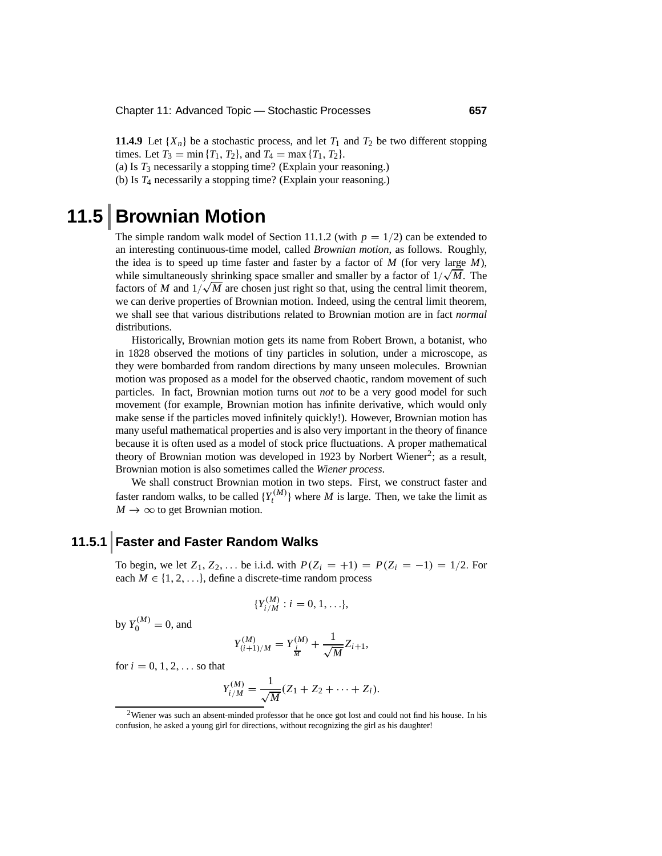**11.4.9** Let  $\{X_n\}$  be a stochastic process, and let  $T_1$  and  $T_2$  be two different stopping times. Let  $T_3 = \min\{T_1, T_2\}$ , and  $T_4 = \max\{T_1, T_2\}$ .

(a) Is *T*<sup>3</sup> necessarily a stopping time? (Explain your reasoning.)

(b) Is *T*<sup>4</sup> necessarily a stopping time? (Explain your reasoning.)

# **11.5 Brownian Motion**

The simple random walk model of Section 11.1.2 (with  $p = 1/2$ ) can be extended to an interesting continuous-time model, called *Brownian motion*, as follows. Roughly, the idea is to speed up time faster and faster by a factor of *M* (for very large *M*), while simultaneously shrinking space smaller and smaller by a factor of  $1/\sqrt{M}$ . The factors of *M* and  $1/\sqrt{M}$  are chosen just right so that, using the central limit theorem, we can derive properties of Brownian motion. Indeed, using the central limit theorem, we shall see that various distributions related to Brownian motion are in fact *normal* distributions.

Historically, Brownian motion gets its name from Robert Brown, a botanist, who in 1828 observed the motions of tiny particles in solution, under a microscope, as they were bombarded from random directions by many unseen molecules. Brownian motion was proposed as a model for the observed chaotic, random movement of such particles. In fact, Brownian motion turns out *not* to be a very good model for such movement (for example, Brownian motion has infinite derivative, which would only make sense if the particles moved infinitely quickly!). However, Brownian motion has many useful mathematical properties and is also very important in the theory of finance because it is often used as a model of stock price fluctuations. A proper mathematical theory of Brownian motion was developed in 1923 by Norbert Wiener<sup>2</sup>; as a result, Brownian motion is also sometimes called the *Wiener process*.

We shall construct Brownian motion in two steps. First, we construct faster and faster random walks, to be called  ${Y_t^{(M)}}$  where *M* is large. Then, we take the limit as  $M \to \infty$  to get Brownian motion.

### **11.5.1 Faster and Faster Random Walks**

To begin, we let  $Z_1, Z_2, ...$  be i.i.d. with  $P(Z_i = +1) = P(Z_i = -1) = 1/2$ . For each  $M \in \{1, 2, \ldots\}$ , define a discrete-time random process

$$
\{Y_{i/M}^{(M)}: i=0,1,\ldots\},\
$$

by  $Y_0^{(M)} = 0$ , and

$$
Y^{(M)}_{(i+1)/M} = Y^{(M)}_{\frac{i}{M}} + \frac{1}{\sqrt{M}} Z_{i+1},
$$

for  $i = 0, 1, 2, \ldots$  so that

$$
Y_{i/M}^{(M)} = \frac{1}{\sqrt{M}}(Z_1 + Z_2 + \cdots + Z_i).
$$

 $2$ Wiener was such an absent-minded professor that he once got lost and could not find his house. In his confusion, he asked a young girl for directions, without recognizing the girl as his daughter!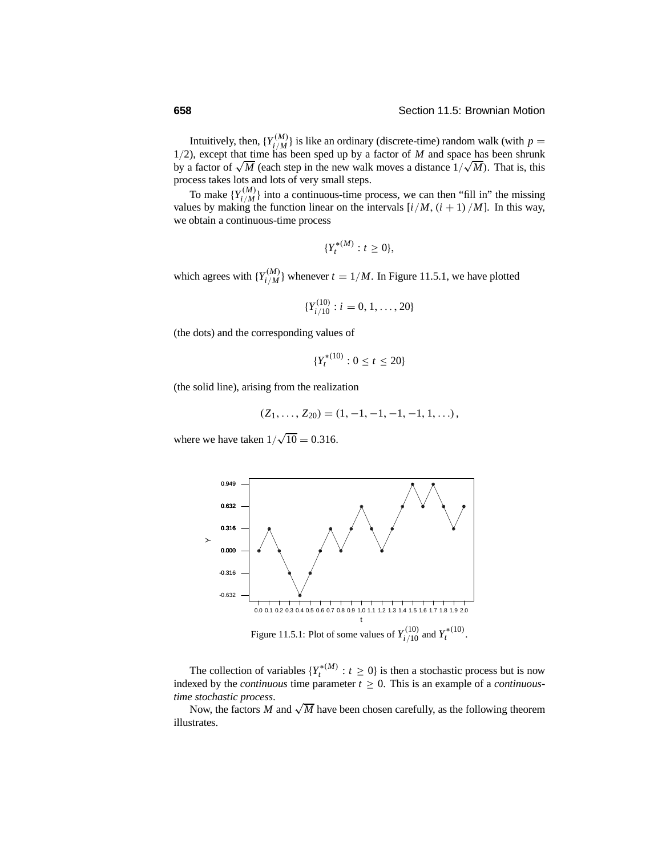Intuitively, then,  $\{Y_{i/M}^{(M)}\}$  is like an ordinary (discrete-time) random walk (with  $p = 1/2$ ), except that time has been sped up by a factor of *M* and space has been shrunk by a factor of  $\sqrt{M}$  (each step in the new walk moves a distance  $1/\sqrt{M}$ ). That is, this process takes lots and lots of very small steps.

To make  $\{Y_{i/M}^{(M)}\}$  into a continuous-time process, we can then "fill in" the missing values by making the function linear on the intervals  $[i/M, (i + 1)/M]$ . In this way, we obtain a continuous-time process

$$
\{Y_t^{*(M)}: t \geq 0\},\
$$

which agrees with  $\{Y_{i/M}^{(M)}\}$  whenever  $t = 1/M$ . In Figure 11.5.1, we have plotted

$$
\{Y_{i/10}^{(10)}: i=0,1,\ldots,20\}
$$

(the dots) and the corresponding values of

$$
\{Y_t^{*(10)}: 0 \le t \le 20\}
$$

(the solid line), arising from the realization

$$
(Z_1,\ldots,Z_{20})=(1,-1,-1,-1,-1,1,\ldots),
$$

where we have taken  $1/\sqrt{10} = 0.316$ .



The collection of variables  $\{Y_t^{*(M)} : t \geq 0\}$  is then a stochastic process but is now indexed by the *continuous* time parameter  $t \geq 0$ . This is an example of a *continuoustime stochastic process*.

Now, the factors *M* and  $\sqrt{M}$  have been chosen carefully, as the following theorem illustrates.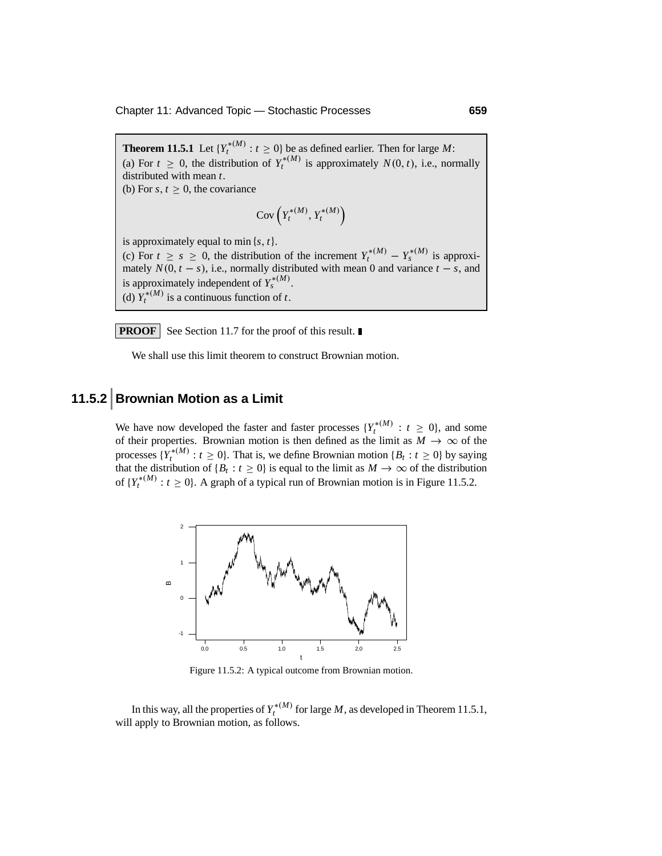**Theorem 11.5.1** Let  ${Y_t^{*(M)} : t \ge 0}$  be as defined earlier. Then for large *M*: (a) For  $t \geq 0$ , the distribution of  $Y_t^{*(M)}$  is approximately  $N(0, t)$ , i.e., normally distributed with mean *t*. (b) For *s*,  $t \geq 0$ , the covariance  $Cov(Y_t^{*(M)}, Y_t^{*(M)})$ 

is approximately equal to min {*s*, *<sup>t</sup>*}. (c) For  $t \geq s \geq 0$ , the distribution of the increment  $Y_t^{*(M)} - Y_s^{*(M)}$  is approximately  $N(0, t - s)$ , i.e., normally distributed with mean 0 and variance  $t - s$ , and is approximately independent of  $Y_s^{*(M)}$ . (d)  $Y_t^{*(M)}$  is a continuous function of *t*.

**PROOF** See Section 11.7 for the proof of this result.

We shall use this limit theorem to construct Brownian motion.

# **11.5.2 Brownian Motion as a Limit**

We have now developed the faster and faster processes  ${Y_t^{*(M)} : t \ge 0}$ , and some of their properties. Brownian motion is then defined as the limit as  $\overline{M} \rightarrow \infty$  of the processes  ${Y_t^{*(M)} : t \ge 0}$ . That is, we define Brownian motion  ${B_t : t \ge 0}$  by saying that the distribution of  ${B_t : t \ge 0}$  is equal to the limit as  $M \to \infty$  of the distribution of  ${Y_t^{*(M)} : t \ge 0}$ . A graph of a typical run of Brownian motion is in Figure 11.5.2.



Figure 11.5.2: A typical outcome from Brownian motion.

In this way, all the properties of  $Y_t^{*(M)}$  for large *M*, as developed in Theorem 11.5.1, will apply to Brownian motion, as follows.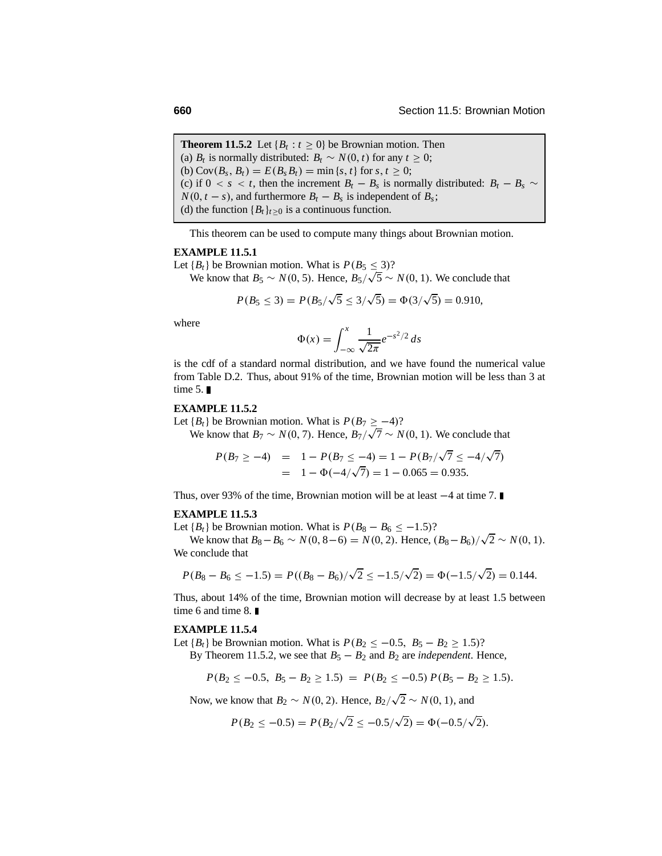**Theorem 11.5.2** Let  ${B_t : t > 0}$  be Brownian motion. Then (a) *B<sub>t</sub>* is normally distributed:  $B_t \sim N(0, t)$  for any  $t \geq 0$ ; (b)  $Cov(B_s, B_t) = E(B_s B_t) = \min\{s, t\}$  for  $s, t \geq 0$ ; (c) if  $0 < s < t$ , then the increment  $B_t - B_s$  is normally distributed:  $B_t - B_s \sim$  $N(0, t - s)$ , and furthermore  $B_t - B_s$  is independent of  $B_s$ ; (d) the function  ${B_t}_{t\geq0}$  is a continuous function.

This theorem can be used to compute many things about Brownian motion.

#### **EXAMPLE 11.5.1**

Let  ${B_t}$  be Brownian motion. What is  $P(B_5 \leq 3)$ ?

We know that  $B_5 \sim N(0, 5)$ . Hence,  $B_5/\sqrt{5} \sim N(0, 1)$ . We conclude that

$$
P(B_5 \le 3) = P(B_5/\sqrt{5} \le 3/\sqrt{5}) = \Phi(3/\sqrt{5}) = 0.910,
$$

where

$$
\Phi(x) = \int_{-\infty}^{x} \frac{1}{\sqrt{2\pi}} e^{-s^2/2} ds
$$

is the cdf of a standard normal distribution, and we have found the numerical value from Table D.2. Thus, about 91% of the time, Brownian motion will be less than 3 at time  $5. \blacksquare$ 

#### **EXAMPLE 11.5.2**

Let  ${B<sub>t</sub>}$  be Brownian motion. What is  $P(B_7 \ge -4)$ ?

We know that  $B_7 \sim N(0, 7)$ . Hence,  $B_7/\sqrt{7} \sim N(0, 1)$ . We conclude that

$$
P(B_7 \ge -4) = 1 - P(B_7 \le -4) = 1 - P(B_7/\sqrt{7} \le -4/\sqrt{7})
$$
  
= 1 - \Phi(-4/\sqrt{7}) = 1 - 0.065 = 0.935.

Thus, over 93% of the time, Brownian motion will be at least <sup>−</sup>4 at time 7.

#### **EXAMPLE 11.5.3**

Let  ${B<sub>t</sub>}$  be Brownian motion. What is  $P(B_8 - B_6 \le -1.5)$ ?

We know that  $B_8 - B_6 \sim N(0, 8-6) = N(0, 2)$ . Hence,  $(B_8 - B_6)/\sqrt{2} \sim N(0, 1)$ . We conclude that

$$
P(B_8 - B_6 \le -1.5) = P((B_8 - B_6)/\sqrt{2} \le -1.5/\sqrt{2}) = \Phi(-1.5/\sqrt{2}) = 0.144.
$$

Thus, about 14% of the time, Brownian motion will decrease by at least 1.5 between time 6 and time 8. ■

#### **EXAMPLE 11.5.4**

Let  ${B_t}$  be Brownian motion. What is  $P(B_2 \le -0.5, B_5 - B_2 \ge 1.5)$ ?

By Theorem 11.5.2, we see that  $B_5 - B_2$  and  $B_2$  are *independent*. Hence,

$$
P(B_2 \le -0.5, B_5 - B_2 \ge 1.5) = P(B_2 \le -0.5) P(B_5 - B_2 \ge 1.5).
$$

Now, we know that  $B_2 \sim N(0, 2)$ . Hence,  $B_2/\sqrt{2} \sim N(0, 1)$ , and

$$
P(B_2 \le -0.5) = P(B_2/\sqrt{2} \le -0.5/\sqrt{2}) = \Phi(-0.5/\sqrt{2}).
$$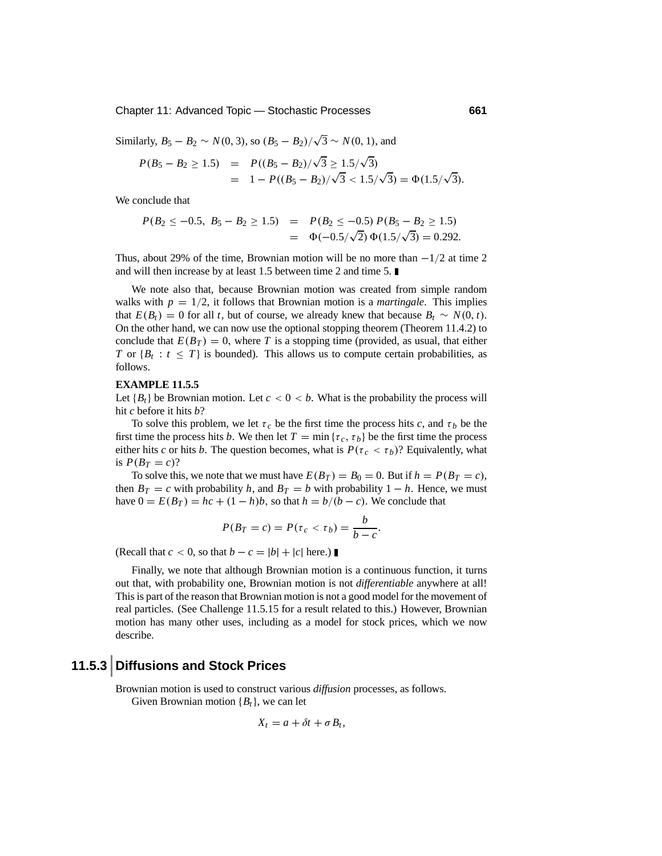Chapter 11: Advanced Topic — Stochastic Processes **661**

Similarly, 
$$
B_5 - B_2 \sim N(0, 3)
$$
, so  $(B_5 - B_2)/\sqrt{3} \sim N(0, 1)$ , and  
 $P(B_5 - B_2 > 1.5) = P((B_5 - B_2)/\sqrt{3} > 1.5/\sqrt{3})$ 

$$
P(B_5 - B_2 \ge 1.5) = P((B_5 - B_2)/\sqrt{3} \ge 1.5/\sqrt{3})
$$
  
= 1 - P((B\_5 - B\_2)/\sqrt{3} < 1.5/\sqrt{3}) = \Phi(1.5/\sqrt{3}).

We conclude that

$$
P(B_2 \le -0.5, B_5 - B_2 \ge 1.5) = P(B_2 \le -0.5) P(B_5 - B_2 \ge 1.5)
$$
  
=  $\Phi(-0.5/\sqrt{2}) \Phi(1.5/\sqrt{3}) = 0.292.$ 

Thus, about 29% of the time, Brownian motion will be no more than  $-1/2$  at time 2 and will then increase by at least 1.5 between time 2 and time 5.

We note also that, because Brownian motion was created from simple random walks with  $p = 1/2$ , it follows that Brownian motion is a *martingale*. This implies that  $E(B_t) = 0$  for all *t*, but of course, we already knew that because  $B_t \sim N(0, t)$ . On the other hand, we can now use the optional stopping theorem (Theorem 11.4.2) to conclude that  $E(B_T) = 0$ , where *T* is a stopping time (provided, as usual, that either *T* or  ${B_t : t \leq T}$  is bounded). This allows us to compute certain probabilities, as follows.

#### **EXAMPLE 11.5.5**

Let  ${B_t}$  be Brownian motion. Let  $c < 0 < b$ . What is the probability the process will hit *c* before it hits *b*?

To solve this problem, we let  $\tau_c$  be the first time the process hits *c*, and  $\tau_b$  be the first time the process hits *b*. We then let  $T = \min \{ \tau_c, \tau_b \}$  be the first time the process either hits *c* or hits *b*. The question becomes, what is  $P(\tau_c < \tau_b)$ ? Equivalently, what is  $P(B_T = c)$ ?

To solve this, we note that we must have  $E(B_T) = B_0 = 0$ . But if  $h = P(B_T = c)$ , then  $B_T = c$  with probability *h*, and  $B_T = b$  with probability  $1 - h$ . Hence, we must have  $0 = E(B_T) = hc + (1 - h)b$ , so that  $h = b/(b - c)$ . We conclude that

$$
P(B_T = c) = P(\tau_c < \tau_b) = \frac{b}{b - c}.
$$

(Recall that  $c < 0$ , so that  $b - c = |b| + |c|$  here.)

Finally, we note that although Brownian motion is a continuous function, it turns out that, with probability one, Brownian motion is not *differentiable* anywhere at all! This is part of the reason that Brownian motion is not a good model for the movement of real particles. (See Challenge 11.5.15 for a result related to this.) However, Brownian motion has many other uses, including as a model for stock prices, which we now describe.

### **11.5.3 Diffusions and Stock Prices**

Brownian motion is used to construct various *diffusion* processes, as follows. Given Brownian motion {*Bt*}, we can let

$$
X_t = a + \delta t + \sigma B_t,
$$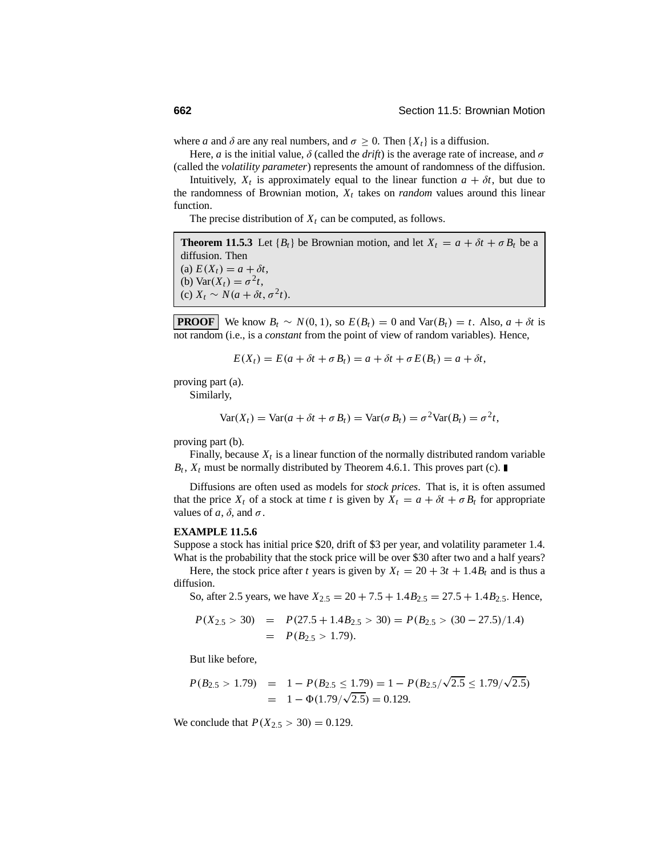where *a* and  $\delta$  are any real numbers, and  $\sigma \geq 0$ . Then  $\{X_t\}$  is a diffusion.

Here, *a* is the initial value,  $\delta$  (called the *drift*) is the average rate of increase, and  $\sigma$ (called the *volatility parameter*) represents the amount of randomness of the diffusion.

Intuitively,  $X_t$  is approximately equal to the linear function  $a + \delta t$ , but due to the randomness of Brownian motion,  $X_t$  takes on *random* values around this linear function.

The precise distribution of  $X_t$  can be computed, as follows.

**Theorem 11.5.3** Let  ${B_t}$  be Brownian motion, and let  $X_t = a + \delta t + \sigma B_t$  be a diffusion. Then (a)  $E(X_t) = a + \delta t$ , (b)  $\text{Var}(X_t) = \sigma^2 t$ , (c)  $X_t \sim N(a + \delta t, \sigma^2 t)$ .

**PROOF** We know  $B_t \sim N(0, 1)$ , so  $E(B_t) = 0$  and  $Var(B_t) = t$ . Also,  $a + \delta t$  is not random (i.e., is a *constant* from the point of view of random variables). Hence,

$$
E(X_t) = E(a + \delta t + \sigma B_t) = a + \delta t + \sigma E(B_t) = a + \delta t,
$$

proving part (a).

Similarly,

$$
Var(X_t) = Var(a + \delta t + \sigma B_t) = Var(\sigma B_t) = \sigma^2 Var(B_t) = \sigma^2 t,
$$

proving part (b).

Finally, because  $X_t$  is a linear function of the normally distributed random variable  $B_t$ ,  $X_t$  must be normally distributed by Theorem 4.6.1. This proves part (c).

Diffusions are often used as models for *stock prices*. That is, it is often assumed that the price  $X_t$  of a stock at time *t* is given by  $X_t = a + \delta t + \sigma B_t$  for appropriate values of *a*,  $\delta$ , and  $\sigma$ .

#### **EXAMPLE 11.5.6**

Suppose a stock has initial price \$20, drift of \$3 per year, and volatility parameter 1.4. What is the probability that the stock price will be over \$30 after two and a half years?

Here, the stock price after *t* years is given by  $X_t = 20 + 3t + 1.4B_t$  and is thus a diffusion.

So, after 2.5 years, we have  $X_{2.5} = 20 + 7.5 + 1.4B_{2.5} = 27.5 + 1.4B_{2.5}$ . Hence,

$$
P(X_{2.5} > 30) = P(27.5 + 1.4B_{2.5} > 30) = P(B_{2.5} > (30 - 27.5)/1.4)
$$
  
= P(B<sub>2.5</sub> > 1.79).

But like before,

$$
P(B_{2.5} > 1.79) = 1 - P(B_{2.5} \le 1.79) = 1 - P(B_{2.5}/\sqrt{2.5} \le 1.79/\sqrt{2.5})
$$
  
= 1 -  $\Phi(1.79/\sqrt{2.5}) = 0.129$ .

We conclude that  $P(X_{2.5} > 30) = 0.129$ .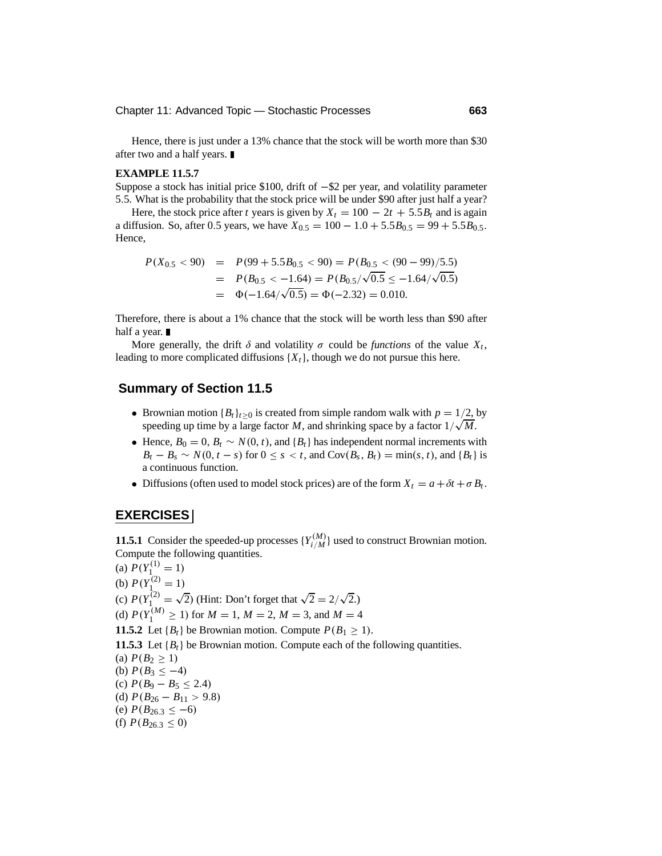Hence, there is just under a 13% chance that the stock will be worth more than \$30 after two and a half years.

#### **EXAMPLE 11.5.7**

Suppose a stock has initial price \$100, drift of <sup>−</sup>\$2 per year, and volatility parameter 5.5. What is the probability that the stock price will be under \$90 after just half a year?

Here, the stock price after *t* years is given by  $X_t = 100 - 2t + 5.5B_t$  and is again a diffusion. So, after 0.5 years, we have  $X_{0.5} = 100 - 1.0 + 5.5B_{0.5} = 99 + 5.5B_{0.5}$ . Hence,

$$
P(X_{0.5} < 90) = P(99 + 5.5B_{0.5} < 90) = P(B_{0.5} < (90 - 99)/5.5)
$$
\n
$$
= P(B_{0.5} < -1.64) = P(B_{0.5}/\sqrt{0.5} \le -1.64/\sqrt{0.5})
$$
\n
$$
= \Phi(-1.64/\sqrt{0.5}) = \Phi(-2.32) = 0.010.
$$

Therefore, there is about a 1% chance that the stock will be worth less than \$90 after half a year. ■

More generally, the drift  $\delta$  and volatility  $\sigma$  could be *functions* of the value  $X_t$ , leading to more complicated diffusions  $\{X_t\}$ , though we do not pursue this here.

#### **Summary of Section 11.5**

- Brownian motion  ${B_t}_{t\geq0}$  is created from simple random walk with  $p = 1/2$ , by speeding up time by a large factor *M*, and shrinking space by a factor  $1/\sqrt{M}$ .
- Hence,  $B_0 = 0$ ,  $B_t \sim N(0, t)$ , and  $\{B_t\}$  has independent normal increments with  $B_t - B_s \sim N(0, t - s)$  for  $0 \le s < t$ , and Cov $(B_s, B_t) = \min(s, t)$ , and  $\{B_t\}$  is a continuous function.
- Diffusions (often used to model stock prices) are of the form  $X_t = a + \delta t + \sigma B_t$ .

#### **EXERCISES**

**11.5.1** Consider the speeded-up processes  $\{Y_{i/M}^{(M)}\}$  used to construct Brownian motion. Compute the following quantities.

(a)  $P(Y_1^{(1)} = 1)$ (b)  $P(Y_1^{(2)} = 1)$ (c)  $P(Y_1^{(2)} = \sqrt{2})$  (Hint: Don't forget that  $\sqrt{2} = 2/\sqrt{2}$ .) (d)  $P(Y_1^{(M)} \ge 1)$  for  $M = 1, M = 2, M = 3$ , and  $M = 4$ **11.5.2** Let  ${B_t}$  be Brownian motion. Compute  $P(B_1 \geq 1)$ . **11.5.3** Let  ${B_t}$  be Brownian motion. Compute each of the following quantities. (a)  $P(B_2 \geq 1)$ (b)  $P(B_3 \leq -4)$ (c)  $P(B_9 - B_5 \leq 2.4)$ (d)  $P(B_{26} - B_{11} > 9.8)$ (e)  $P(B_{26.3} \le -6)$ (f)  $P(B_{26.3} \leq 0)$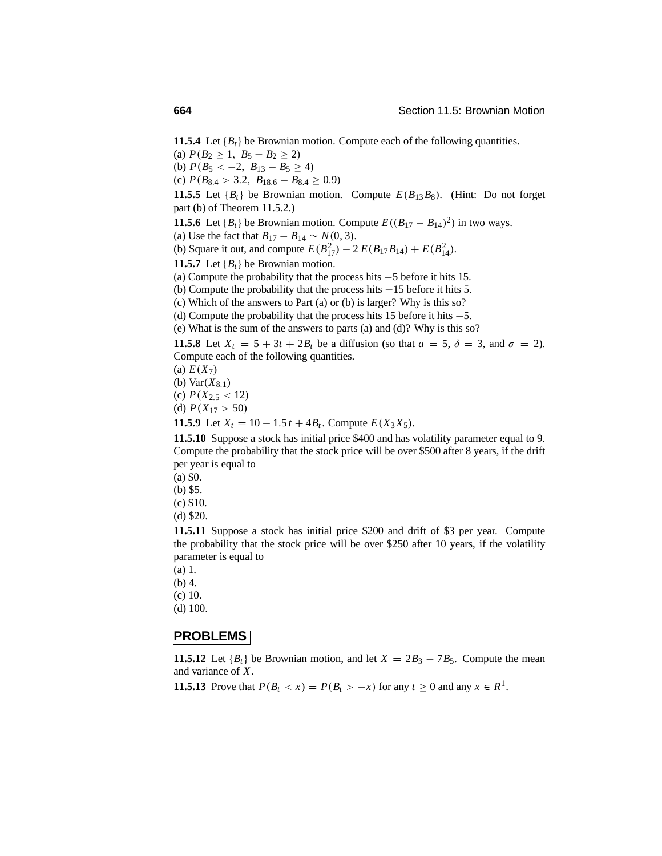**11.5.4** Let  ${B_t}$  be Brownian motion. Compute each of the following quantities.

(a)  $P(B_2 \geq 1, B_5 - B_2 \geq 2)$ 

(b)  $P(B_5 < -2, B_{13} - B_5 \ge 4)$ 

(c)  $P(B_{8.4} > 3.2, B_{18.6} - B_{8.4} \ge 0.9)$ 

**11.5.5** Let  ${B_t}$  be Brownian motion. Compute  $E(B_{13}B_8)$ . (Hint: Do not forget part (b) of Theorem 11.5.2.)

**11.5.6** Let  ${B_t}$  be Brownian motion. Compute  $E((B_{17} - B_{14})^2)$  in two ways.

(a) Use the fact that  $B_{17} - B_{14} \sim N(0, 3)$ .

(b) Square it out, and compute  $E(B_{17}^2) - 2 E(B_{17}B_{14}) + E(B_{14}^2)$ .

**11.5.7** Let  ${B_t}$  be Brownian motion.

(a) Compute the probability that the process hits <sup>−</sup>5 before it hits 15.

(b) Compute the probability that the process hits <sup>−</sup>15 before it hits 5.

(c) Which of the answers to Part (a) or (b) is larger? Why is this so?

(d) Compute the probability that the process hits 15 before it hits <sup>−</sup>5.

(e) What is the sum of the answers to parts (a) and (d)? Why is this so?

**11.5.8** Let  $X_t = 5 + 3t + 2B_t$  be a diffusion (so that  $a = 5$ ,  $\delta = 3$ , and  $\sigma = 2$ ). Compute each of the following quantities.

(a)  $E(X_7)$ 

(b)  $Var(X_{8.1})$ 

(c)  $P(X_{2.5} < 12)$ 

(d)  $P(X_{17} > 50)$ 

**11.5.9** Let  $X_t = 10 - 1.5t + 4B_t$ . Compute  $E(X_3X_5)$ .

**11.5.10** Suppose a stock has initial price \$400 and has volatility parameter equal to 9. Compute the probability that the stock price will be over \$500 after 8 years, if the drift per year is equal to

(a) \$0.

(b) \$5.

(c) \$10.

(d) \$20.

**11.5.11** Suppose a stock has initial price \$200 and drift of \$3 per year. Compute the probability that the stock price will be over \$250 after 10 years, if the volatility parameter is equal to

(a) 1.

(b) 4.

(c) 10.

(d) 100.

#### **PROBLEMS**

**11.5.12** Let  ${B_t}$  be Brownian motion, and let  $X = 2B_3 - 7B_5$ . Compute the mean and variance of *X*.

**11.5.13** Prove that  $P(B_t < x) = P(B_t > -x)$  for any  $t \ge 0$  and any  $x \in R^1$ .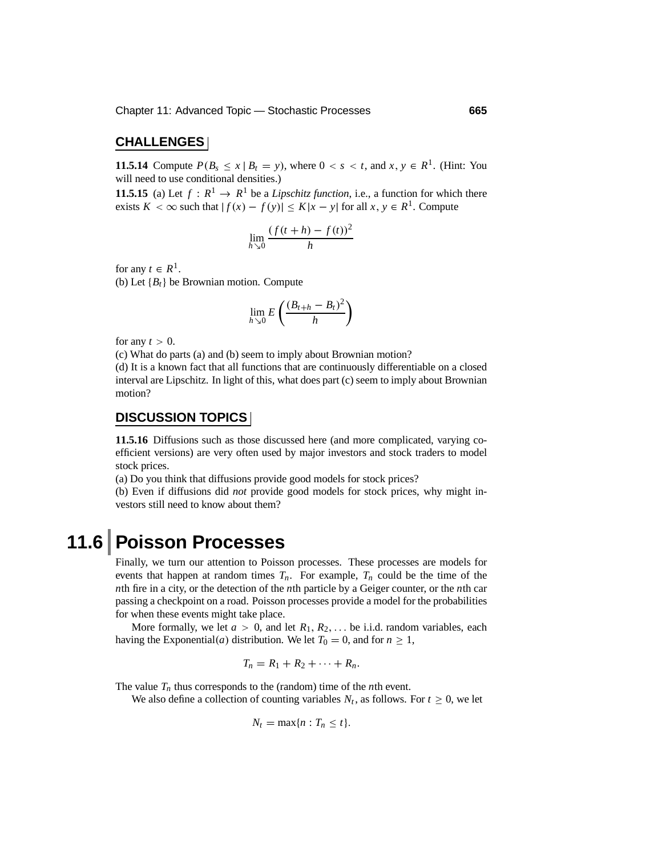#### **CHALLENGES**

**11.5.14** Compute  $P(B_s \le x \mid B_t = y)$ , where  $0 < s < t$ , and  $x, y \in R^1$ . (Hint: You will need to use conditional densities.)

**11.5.15** (a) Let  $f: \mathbb{R}^1 \to \mathbb{R}^1$  be a *Lipschitz function*, i.e., a function for which there exists *K* < ∞ such that  $|f(x) - f(y)| \le K|x - y|$  for all *x*, *y* ∈ *R*<sup>1</sup>. Compute

$$
\lim_{h \searrow 0} \frac{(f(t+h) - f(t))^2}{h}
$$

for any  $t \in R^1$ .

(b) Let  ${B_t}$  be Brownian motion. Compute

$$
\lim_{h\searrow 0} E\left(\frac{(B_{t+h}-B_t)^2}{h}\right)
$$

for any  $t > 0$ .

(c) What do parts (a) and (b) seem to imply about Brownian motion?

(d) It is a known fact that all functions that are continuously differentiable on a closed interval are Lipschitz. In light of this, what does part (c) seem to imply about Brownian motion?

### **DISCUSSION TOPICS**

**11.5.16** Diffusions such as those discussed here (and more complicated, varying coefficient versions) are very often used by major investors and stock traders to model stock prices.

(a) Do you think that diffusions provide good models for stock prices?

(b) Even if diffusions did *not* provide good models for stock prices, why might investors still need to know about them?

# **11.6 Poisson Processes**

Finally, we turn our attention to Poisson processes. These processes are models for events that happen at random times  $T_n$ . For example,  $T_n$  could be the time of the *n*th fire in a city, or the detection of the *n*th particle by a Geiger counter, or the *n*th car passing a checkpoint on a road. Poisson processes provide a model for the probabilities for when these events might take place.

More formally, we let  $a > 0$ , and let  $R_1, R_2, \ldots$  be i.i.d. random variables, each having the Exponential(*a*) distribution. We let  $T_0 = 0$ , and for  $n \ge 1$ ,

$$
T_n=R_1+R_2+\cdots+R_n.
$$

The value  $T_n$  thus corresponds to the (random) time of the *n*th event.

We also define a collection of counting variables  $N_t$ , as follows. For  $t \geq 0$ , we let

$$
N_t = \max\{n : T_n \leq t\}.
$$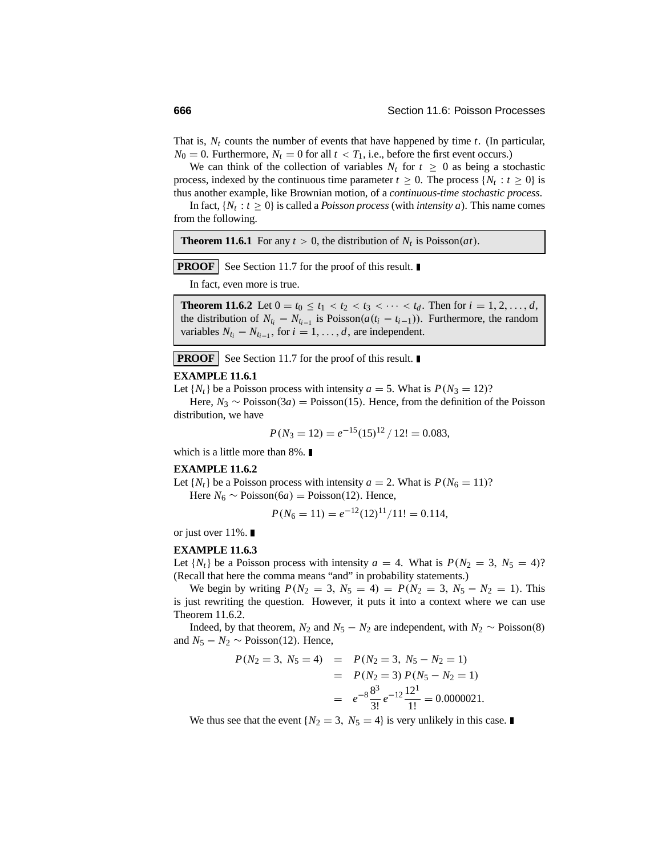That is,  $N_t$  counts the number of events that have happened by time  $t$ . (In particular,  $N_0 = 0$ . Furthermore,  $N_t = 0$  for all  $t < T_1$ , i.e., before the first event occurs.)

We can think of the collection of variables  $N_t$  for  $t \geq 0$  as being a stochastic process, indexed by the continuous time parameter  $t > 0$ . The process  $\{N_t : t > 0\}$  is thus another example, like Brownian motion, of a *continuous-time stochastic process*.

In fact,  $\{N_t : t \geq 0\}$  is called a *Poisson process* (with *intensity a*). This name comes from the following.

**Theorem 11.6.1** For any  $t > 0$ , the distribution of  $N_t$  is Poisson(*at*).

**PROOF** See Section 11.7 for the proof of this result.

In fact, even more is true.

**Theorem 11.6.2** Let  $0 = t_0 \le t_1 < t_2 < t_3 < \cdots < t_d$ . Then for  $i = 1, 2, \ldots, d$ , the distribution of  $N_{t_i} - N_{t_{i-1}}$  is Poisson( $a(t_i - t_{i-1})$ ). Furthermore, the random variables  $N_{t_i} - N_{t_{i-1}}$ , for  $i = 1, \ldots, d$ , are independent.

**PROOF** See Section 11.7 for the proof of this result.

#### **EXAMPLE 11.6.1**

Let  $\{N_t\}$  be a Poisson process with intensity  $a = 5$ . What is  $P(N_3 = 12)$ ?

Here,  $N_3 \sim \text{Poisson}(3a) = \text{Poisson}(15)$ . Hence, from the definition of the Poisson distribution, we have

$$
P(N_3 = 12) = e^{-15} (15)^{12} / 12! = 0.083,
$$

which is a little more than 8%.

#### **EXAMPLE 11.6.2**

Let  $\{N_t\}$  be a Poisson process with intensity  $a = 2$ . What is  $P(N_6 = 11)$ ?

Here  $N_6 \sim \text{Poisson}(6a) = \text{Poisson}(12)$ . Hence,

$$
P(N_6 = 11) = e^{-12}(12)^{11}/11! = 0.114,
$$

or just over  $11\%$ .

#### **EXAMPLE 11.6.3**

Let  $\{N_t\}$  be a Poisson process with intensity  $a = 4$ . What is  $P(N_2 = 3, N_5 = 4)$ ? (Recall that here the comma means "and" in probability statements.)

We begin by writing  $P(N_2 = 3, N_5 = 4) = P(N_2 = 3, N_5 - N_2 = 1)$ . This is just rewriting the question. However, it puts it into a context where we can use Theorem 11.6.2.

Indeed, by that theorem,  $N_2$  and  $N_5 - N_2$  are independent, with  $N_2 \sim \text{Poisson}(8)$ and  $N_5 - N_2 \sim \text{Poisson}(12)$ . Hence,

$$
P(N_2 = 3, N_5 = 4) = P(N_2 = 3, N_5 - N_2 = 1)
$$
  
=  $P(N_2 = 3) P(N_5 - N_2 = 1)$   
=  $e^{-8} \frac{8^3}{3!} e^{-12} \frac{12^1}{1!} = 0.0000021.$ 

We thus see that the event  $\{N_2 = 3, N_5 = 4\}$  is very unlikely in this case.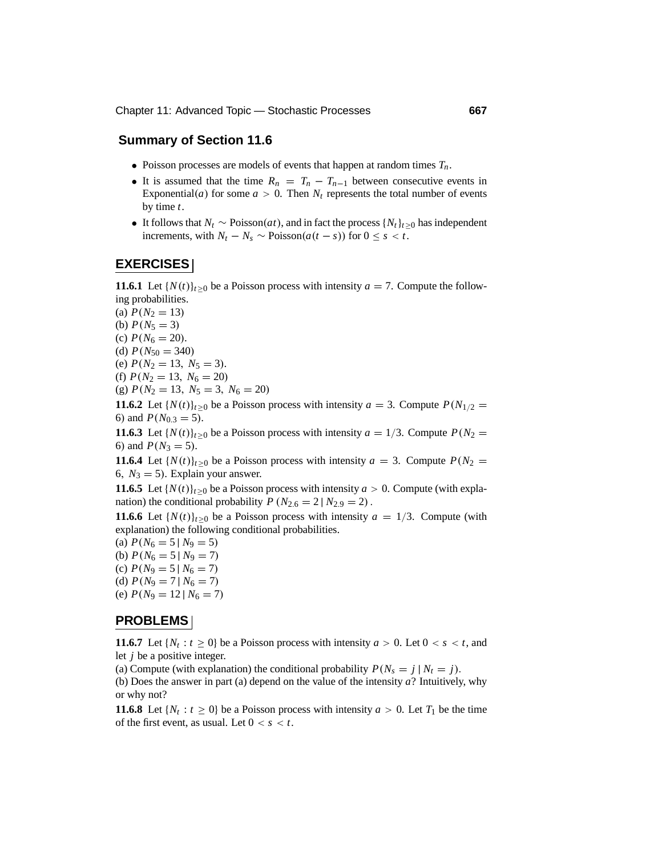#### **Summary of Section 11.6**

- Poisson processes are models of events that happen at random times  $T_n$ .
- It is assumed that the time  $R_n = T_n T_{n-1}$  between consecutive events in Exponential(*a*) for some  $a > 0$ . Then  $N_t$  represents the total number of events by time *t*.
- It follows that  $N_t \sim \text{Poisson}(at)$ , and in fact the process  $\{N_t\}_{t>0}$  has independent increments, with  $N_t$  −  $N_s$  ∼ Poisson( $a(t - s)$ ) for  $0 \leq s < t$ .

#### **EXERCISES**

**11.6.1** Let  $\{N(t)\}_{t\geq0}$  be a Poisson process with intensity  $a = 7$ . Compute the following probabilities.

(a)  $P(N_2 = 13)$ 

(b)  $P(N_5 = 3)$ 

(c)  $P(N_6 = 20)$ .

(d)  $P(N_{50} = 340)$ 

(e)  $P(N_2 = 13, N_5 = 3)$ .

(f)  $P(N_2 = 13, N_6 = 20)$ 

(g)  $P(N_2 = 13, N_5 = 3, N_6 = 20)$ 

**11.6.2** Let  $\{N(t)\}_{t>0}$  be a Poisson process with intensity  $a = 3$ . Compute  $P(N_{1/2} =$ 6) and  $P(N_{0.3} = 5)$ .

**11.6.3** Let  $\{N(t)\}_{t\geq0}$  be a Poisson process with intensity  $a = 1/3$ . Compute  $P(N_2 = 1/3)$ 6) and  $P(N_3 = 5)$ .

**11.6.4** Let  $\{N(t)\}_{t\geq0}$  be a Poisson process with intensity  $a = 3$ . Compute  $P(N_2 = 1)$ 6,  $N_3 = 5$ ). Explain your answer.

**11.6.5** Let  $\{N(t)\}_{t>0}$  be a Poisson process with intensity  $a > 0$ . Compute (with explanation) the conditional probability  $P(N_{2.6} = 2 | N_{2.9} = 2)$ .

**11.6.6** Let  $\{N(t)\}_{t\geq0}$  be a Poisson process with intensity  $a = 1/3$ . Compute (with explanation) the following conditional probabilities.

- (a)  $P(N_6 = 5 | N_9 = 5)$ (b)  $P(N_6 = 5 | N_9 = 7)$
- (c)  $P(N_9 = 5 | N_6 = 7)$
- (d)  $P(N_9 = 7 | N_6 = 7)$
- (e)  $P(N_9 = 12 | N_6 = 7)$

#### **PROBLEMS**

**11.6.7** Let  $\{N_t : t \geq 0\}$  be a Poisson process with intensity  $a > 0$ . Let  $0 < s < t$ , and let *j* be a positive integer.

(a) Compute (with explanation) the conditional probability  $P(N_s = j | N_t = j)$ .

(b) Does the answer in part (a) depend on the value of the intensity *a*? Intuitively, why or why not?

**11.6.8** Let  $\{N_t : t > 0\}$  be a Poisson process with intensity  $a > 0$ . Let  $T_1$  be the time of the first event, as usual. Let  $0 < s < t$ .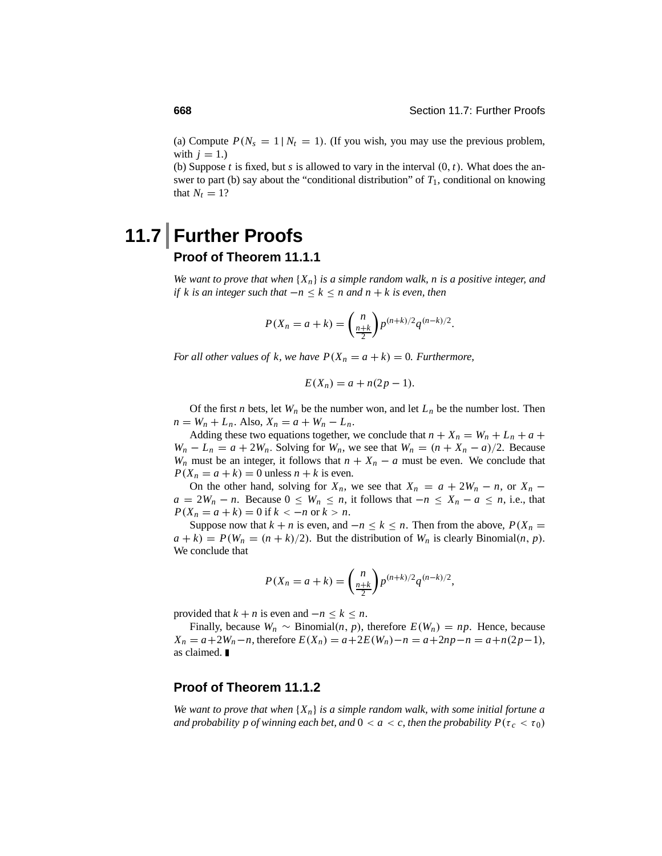(a) Compute  $P(N_s = 1 | N_t = 1)$ . (If you wish, you may use the previous problem, with  $j = 1$ .)

(b) Suppose *t* is fixed, but *s* is allowed to vary in the interval  $(0, t)$ . What does the answer to part (b) say about the "conditional distribution" of  $T_1$ , conditional on knowing that  $N_t = 1$ ?

# **11.7 Further Proofs Proof of Theorem 11.1.1**

*We want to prove that when* {*Xn*} *is a simple random walk, n is a positive integer, and if k is an integer such that*  $-n \leq k \leq n$  *and*  $n + k$  *is even, then* 

$$
P(X_n = a + k) = {n \choose \frac{n+k}{2}} p^{(n+k)/2} q^{(n-k)/2}.
$$

*For all other values of k, we have*  $P(X_n = a + k) = 0$ *. Furthermore,* 

$$
E(X_n) = a + n(2p - 1).
$$

Of the first *n* bets, let  $W_n$  be the number won, and let  $L_n$  be the number lost. Then  $n = W_n + L_n$ . Also,  $X_n = a + W_n - L_n$ .

Adding these two equations together, we conclude that  $n + X_n = W_n + L_n + a +$  $W_n - L_n = a + 2W_n$ . Solving for  $W_n$ , we see that  $W_n = (n + X_n - a)/2$ . Because *W<sub>n</sub>* must be an integer, it follows that  $n + X_n - a$  must be even. We conclude that  $P(X_n = a + k) = 0$  unless  $n + k$  is even.

On the other hand, solving for  $X_n$ , we see that  $X_n = a + 2W_n - n$ , or  $X_n$  $a = 2W_n - n$ . Because  $0 \leq W_n \leq n$ , it follows that  $-n \leq X_n - a \leq n$ , i.e., that  $P(X_n = a + k) = 0$  if  $k < -n$  or  $k > n$ .

Suppose now that  $k + n$  is even, and  $-n \leq k \leq n$ . Then from the above,  $P(X_n =$  $a + k$ ) =  $P(W_n = (n + k)/2)$ . But the distribution of  $W_n$  is clearly Binomial(*n*, *p*). We conclude that

$$
P(X_n = a + k) = {n \choose \frac{n+k}{2}} p^{(n+k)/2} q^{(n-k)/2},
$$

provided that  $k + n$  is even and  $-n \leq k \leq n$ .

Finally, because  $W_n \sim \text{Binomial}(n, p)$ , therefore  $E(W_n) = np$ . Hence, because *X<sub>n</sub>* = *a*+2*W<sub>n</sub>*−*n*, therefore  $E(X_n) = a + 2E(W_n) - n = a + 2np - n = a + n(2p-1)$ , as claimed.

#### **Proof of Theorem 11.1.2**

*We want to prove that when* {*Xn*} *is a simple random walk, with some initial fortune a and probability p of winning each bet, and*  $0 < a < c$ *, then the probability*  $P(\tau_c < \tau_0)$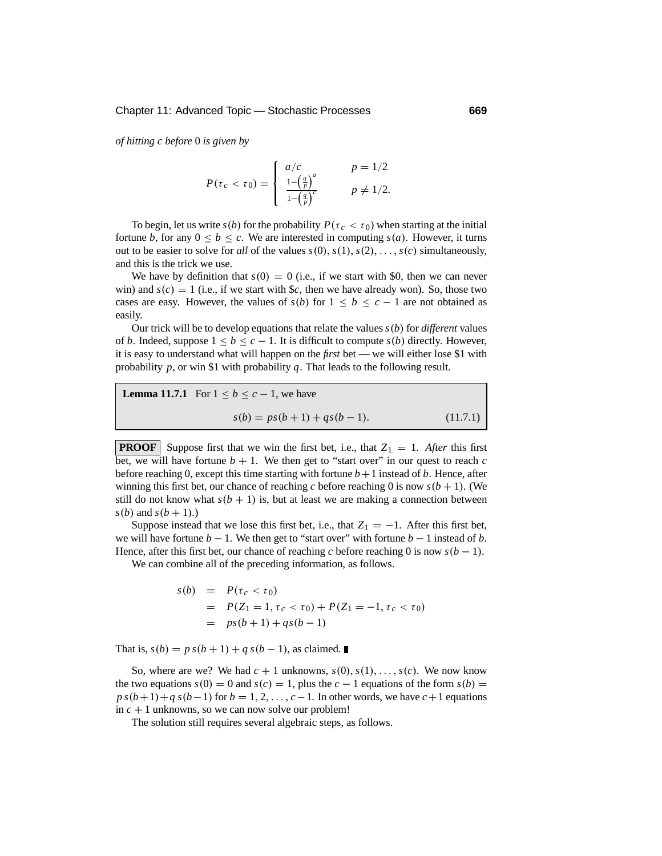*of hitting c before* 0 *is given by*

$$
P(\tau_c < \tau_0) = \begin{cases} \n a/c & p = \frac{1}{2} \\ \n \frac{1 - \left(\frac{q}{p}\right)^a}{1 - \left(\frac{q}{p}\right)^c} & p \neq \frac{1}{2} .\n \end{cases}
$$

To begin, let us write  $s(b)$  for the probability  $P(\tau_c < \tau_0)$  when starting at the initial fortune *b*, for any  $0 \le b \le c$ . We are interested in computing  $s(a)$ . However, it turns out to be easier to solve for *all* of the values  $s(0), s(1), s(2), \ldots, s(c)$  simultaneously, and this is the trick we use.

We have by definition that  $s(0) = 0$  (i.e., if we start with \$0, then we can never win) and  $s(c) = 1$  (i.e., if we start with \$*c*, then we have already won). So, those two cases are easy. However, the values of  $s(b)$  for  $1 \leq b \leq c - 1$  are not obtained as easily.

Our trick will be to develop equations that relate the values *s*(*b*) for *different* values of *b*. Indeed, suppose  $1 \leq b \leq c-1$ . It is difficult to compute  $s(b)$  directly. However, it is easy to understand what will happen on the *first* bet — we will either lose \$1 with probability *p*, or win \$1 with probability *q*. That leads to the following result.

**Lemma 11.7.1** For 
$$
1 \le b \le c - 1
$$
, we have  

$$
s(b) = ps(b + 1) + qs(b - 1).
$$
 (11.7.1)

**PROOF** Suppose first that we win the first bet, i.e., that  $Z_1 = 1$ . After this first bet, we will have fortune  $b + 1$ . We then get to "start over" in our quest to reach  $c$ before reaching 0, except this time starting with fortune  $b+1$  instead of  $b$ . Hence, after winning this first bet, our chance of reaching *c* before reaching 0 is now  $s(b + 1)$ . (We still do not know what  $s(b + 1)$  is, but at least we are making a connection between  $s(b)$  and  $s(b+1)$ .)

Suppose instead that we lose this first bet, i.e., that  $Z_1 = -1$ . After this first bet, we will have fortune  $b - 1$ . We then get to "start over" with fortune  $b - 1$  instead of  $b$ . Hence, after this first bet, our chance of reaching *c* before reaching 0 is now  $s(b - 1)$ .

We can combine all of the preceding information, as follows.

$$
s(b) = P(\tau_c < \tau_0)
$$
  
= P(Z<sub>1</sub> = 1,  $\tau_c < \tau_0$ ) + P(Z<sub>1</sub> = -1,  $\tau_c < \tau_0$ )  
= ps(b+1) + qs(b-1)

That is,  $s(b) = p s(b+1) + q s(b-1)$ , as claimed. ■

So, where are we? We had  $c + 1$  unknowns,  $s(0), s(1), \ldots, s(c)$ . We now know the two equations  $s(0) = 0$  and  $s(c) = 1$ , plus the  $c - 1$  equations of the form  $s(b) =$  $p s(b+1) + q s(b-1)$  for  $b = 1, 2, \ldots, c-1$ . In other words, we have  $c+1$  equations in  $c + 1$  unknowns, so we can now solve our problem!

The solution still requires several algebraic steps, as follows.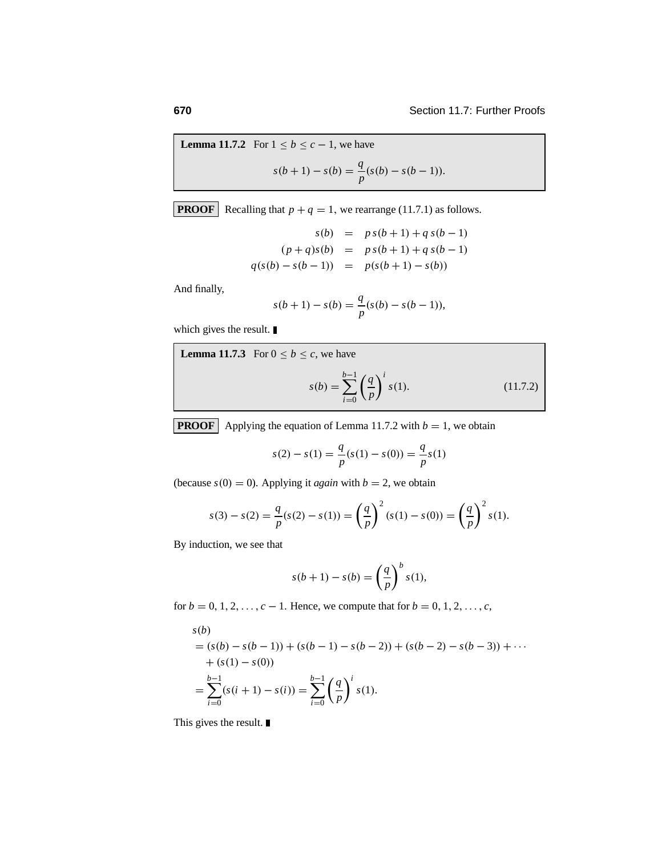**Lemma 11.7.2** For 
$$
1 \le b \le c - 1
$$
, we have  

$$
s(b+1) - s(b) = \frac{q}{p}(s(b) - s(b-1)).
$$

**PROOF** Recalling that  $p + q = 1$ , we rearrange (11.7.1) as follows.

$$
s(b) = p s(b+1) + q s(b-1)
$$
  
(p+q)s(b) = p s(b+1) + q s(b-1)  

$$
q(s(b) - s(b-1)) = p(s(b+1) - s(b))
$$

And finally,

$$
s(b + 1) - s(b) = \frac{q}{p}(s(b) - s(b - 1)),
$$

which gives the result.

**Lemma 11.7.3** For 
$$
0 \le b \le c
$$
, we have  

$$
s(b) = \sum_{i=0}^{b-1} \left(\frac{q}{p}\right)^i s(1).
$$
 (11.7.2)

**PROOF** Applying the equation of Lemma 11.7.2 with  $b = 1$ , we obtain

$$
s(2) - s(1) = \frac{q}{p}(s(1) - s(0)) = \frac{q}{p}s(1)
$$

(because  $s(0) = 0$ ). Applying it *again* with  $b = 2$ , we obtain

$$
s(3) - s(2) = \frac{q}{p}(s(2) - s(1)) = \left(\frac{q}{p}\right)^2 (s(1) - s(0)) = \left(\frac{q}{p}\right)^2 s(1).
$$

By induction, we see that

$$
s(b+1) - s(b) = \left(\frac{q}{p}\right)^b s(1),
$$

for  $b = 0, 1, 2, \ldots, c - 1$ . Hence, we compute that for  $b = 0, 1, 2, \ldots, c$ ,

$$
s(b)
$$
  
=  $(s(b) - s(b - 1)) + (s(b - 1) - s(b - 2)) + (s(b - 2) - s(b - 3)) + \cdots$   
+  $(s(1) - s(0))$   
= 
$$
\sum_{i=0}^{b-1} (s(i + 1) - s(i)) = \sum_{i=0}^{b-1} \left(\frac{q}{p}\right)^i s(1).
$$

This gives the result.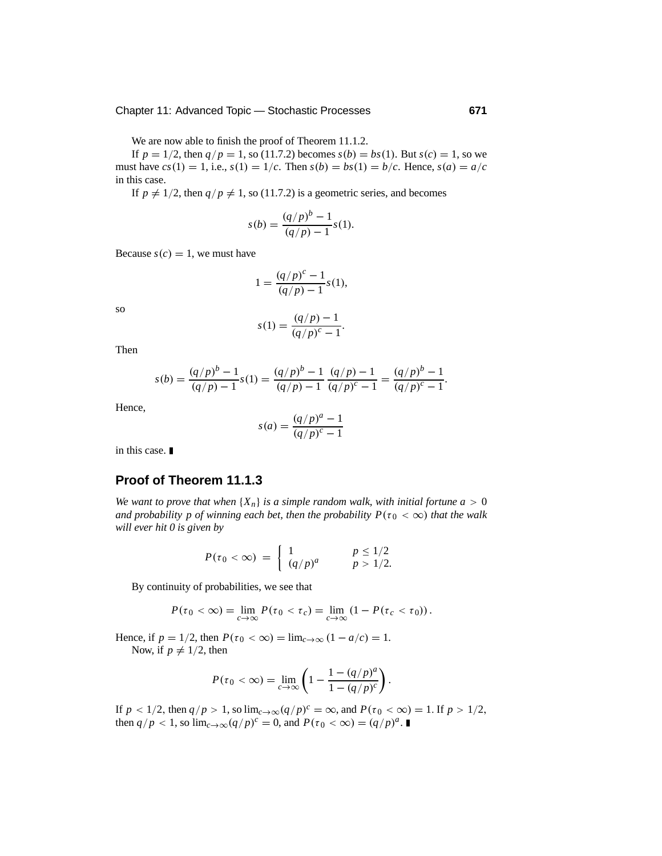We are now able to finish the proof of Theorem 11.1.2.

If  $p = 1/2$ , then  $q/p = 1$ , so (11.7.2) becomes  $s(b) = bs(1)$ . But  $s(c) = 1$ , so we must have  $cs(1) = 1$ , i.e.,  $s(1) = 1/c$ . Then  $s(b) = bs(1) = b/c$ . Hence,  $s(a) = a/c$ in this case.

If  $p \neq 1/2$ , then  $q/p \neq 1$ , so (11.7.2) is a geometric series, and becomes

$$
s(b) = \frac{(q/p)^b - 1}{(q/p) - 1} s(1).
$$

Because  $s(c) = 1$ , we must have

$$
1 = \frac{(q/p)^c - 1}{(q/p) - 1} s(1),
$$

so

$$
s(1) = \frac{(q/p) - 1}{(q/p)^c - 1}.
$$

Then

$$
s(b) = \frac{(q/p)^b - 1}{(q/p) - 1} s(1) = \frac{(q/p)^b - 1}{(q/p) - 1} \frac{(q/p) - 1}{(q/p)^c - 1} = \frac{(q/p)^b - 1}{(q/p)^c - 1}.
$$

Hence,

$$
s(a) = \frac{(q/p)^a - 1}{(q/p)^c - 1}
$$

in this case.

#### **Proof of Theorem 11.1.3**

*We want to prove that when*  ${X_n}$  *is a simple random walk, with initial fortune*  $a > 0$ *and probability p of winning each bet, then the probability*  $P(\tau_0 < \infty)$  *that the walk will ever hit 0 is given by*

$$
P(\tau_0 < \infty) = \begin{cases} 1 & p \le 1/2 \\ (q/p)^a & p > 1/2. \end{cases}
$$

By continuity of probabilities, we see that

$$
P(\tau_0 < \infty) = \lim_{c \to \infty} P(\tau_0 < \tau_c) = \lim_{c \to \infty} (1 - P(\tau_c < \tau_0)).
$$

Hence, if  $p = 1/2$ , then  $P(\tau_0 < \infty) = \lim_{c \to \infty} (1 - a/c) = 1$ .

Now, if  $p \neq 1/2$ , then

$$
P(\tau_0 < \infty) = \lim_{c \to \infty} \left( 1 - \frac{1 - (q/p)^a}{1 - (q/p)^c} \right).
$$

If  $p < 1/2$ , then  $q/p > 1$ , so  $\lim_{c \to \infty} (q/p)^c = \infty$ , and  $P(\tau_0 < \infty) = 1$ . If  $p > 1/2$ , then  $q/p < 1$ , so  $\lim_{c \to \infty} (q/p)^c = 0$ , and  $P(\tau_0 < \infty) = (q/p)^a$ .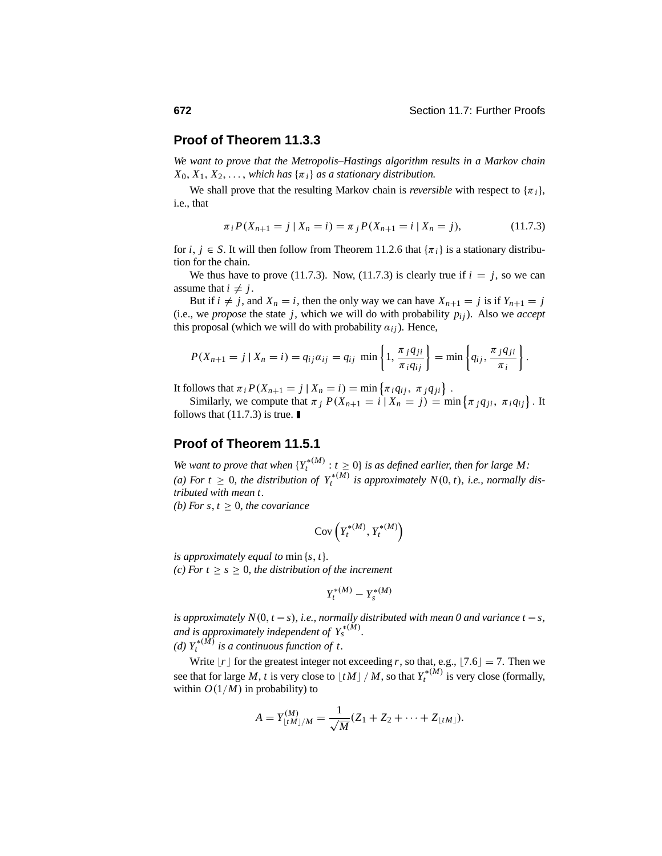#### **Proof of Theorem 11.3.3**

*We want to prove that the Metropolis–Hastings algorithm results in a Markov chain*  $X_0, X_1, X_2, \ldots$ , *which has*  $\{\pi_i\}$  *as a stationary distribution.* 

We shall prove that the resulting Markov chain is *reversible* with respect to  $\{\pi_i\}$ , i.e., that

$$
\pi_i P(X_{n+1} = j \mid X_n = i) = \pi_j P(X_{n+1} = i \mid X_n = j), \tag{11.7.3}
$$

for *i*,  $j \in S$ . It will then follow from Theorem 11.2.6 that  $\{\pi_i\}$  is a stationary distribution for the chain.

We thus have to prove (11.7.3). Now, (11.7.3) is clearly true if  $i = j$ , so we can assume that  $i \neq j$ .

But if  $i \neq j$ , and  $X_n = i$ , then the only way we can have  $X_{n+1} = j$  is if  $Y_{n+1} = j$ (i.e., we *propose* the state *j*, which we will do with probability  $p_{ij}$ ). Also we *accept* this proposal (which we will do with probability  $a_{ij}$ ). Hence,

$$
P(X_{n+1}=j\mid X_n=i)=q_{ij}\alpha_{ij}=q_{ij}\min\left\{1,\frac{\pi_jq_{ji}}{\pi_iq_{ij}}\right\}=\min\left\{q_{ij},\frac{\pi_jq_{ji}}{\pi_i}\right\}.
$$

It follows that  $\pi_i P(X_{n+1} = j | X_n = i) = \min \{ \pi_i q_{ij}, \ \pi_j q_{ji} \}.$ 

Similarly, we compute that  $\pi_j P(X_{n+1} = i | X_n = j) = \min \{ \pi_j q_{ji}, \pi_i q_{ij} \}$ . It follows that  $(11.7.3)$  is true.

#### **Proof of Theorem 11.5.1**

*We want to prove that when*  ${Y_t^{*(M)} : t \ge 0}$  *is as defined earlier, then for large M:* (a) For  $t \geq 0$ , the distribution of  $Y_t^{*(\overline{M})}$  is approximately  $N(0, t)$ , i.e., normally dis*tributed with mean t. (b)* For  $s, t \geq 0$ *, the covariance* 

$$
\mathrm{Cov}\left(Y^{*(M)}_t, Y^{*(M)}_t\right)
$$

*is approximately equal to* min {*s*,*t*}*.*

*(c)* For  $t \geq s \geq 0$ , the distribution of the increment

$$
Y_t^{*(M)} - Y_s^{*(M)}
$$

*is approximately N*(0,  $t - s$ )*, i.e., normally distributed with mean 0 and variance*  $t - s$ *, and is approximately independent of*  $Y_s^{*(M)}$ *. (d)*  $Y_t^{*(\overline{M})}$  *is a continuous function of t.* 

Write  $|r|$  for the greatest integer not exceeding *r*, so that, e.g.,  $[7.6] = 7$ . Then we see that for large *M*, *t* is very close to  $\lfloor tM \rfloor / M$ , so that  $Y_t^{*(M)}$  is very close (formally, within  $O(1/M)$  in probability) to

$$
A = Y_{\lfloor tM \rfloor/M}^{(M)} = \frac{1}{\sqrt{M}} (Z_1 + Z_2 + \cdots + Z_{\lfloor tM \rfloor}).
$$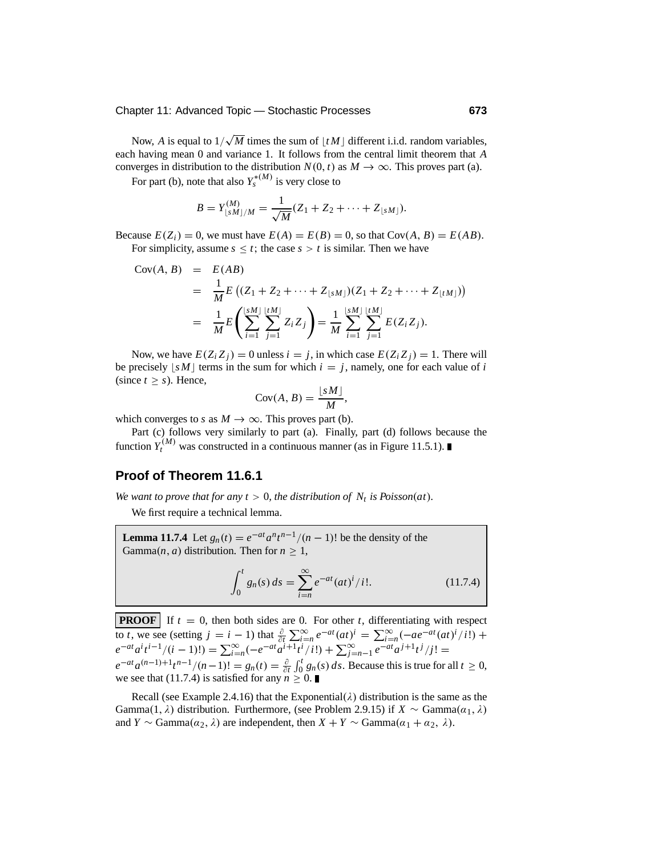Now, *A* is equal to  $1/\sqrt{M}$  times the sum of  $\lfloor tM \rfloor$  different i.i.d. random variables, each having mean 0 and variance 1. It follows from the central limit theorem that *A* converges in distribution to the distribution  $N(0, t)$  as  $M \to \infty$ . This proves part (a).

For part (b), note that also  $Y_s^{*(M)}$  is very close to

$$
B = Y_{\lfloor sM \rfloor/M}^{(M)} = \frac{1}{\sqrt{M}} (Z_1 + Z_2 + \cdots + Z_{\lfloor sM \rfloor}).
$$

Because  $E(Z_i) = 0$ , we must have  $E(A) = E(B) = 0$ , so that  $Cov(A, B) = E(AB)$ . For simplicity, assume  $s \leq t$ ; the case  $s > t$  is similar. Then we have

$$
Cov(A, B) = E(AB)
$$
  
=  $\frac{1}{M}E((Z_1 + Z_2 + \dots + Z_{\lfloor sM \rfloor})(Z_1 + Z_2 + \dots + Z_{\lfloor tM \rfloor}))$   
=  $\frac{1}{M}E\left(\sum_{i=1}^{\lfloor sM \rfloor} \sum_{j=1}^{\lfloor tM \rfloor} Z_i Z_j\right) = \frac{1}{M} \sum_{i=1}^{\lfloor sM \rfloor} \sum_{j=1}^{\lfloor tM \rfloor} E(Z_i Z_j).$ 

Now, we have  $E(Z_i Z_j) = 0$  unless  $i = j$ , in which case  $E(Z_i Z_j) = 1$ . There will be precisely  $|sM|$  terms in the sum for which  $i = j$ , namely, one for each value of *i* (since  $t \geq s$ ). Hence,

$$
Cov(A, B) = \frac{\lfloor sM \rfloor}{M},
$$

which converges to *s* as  $M \to \infty$ . This proves part (b).

Part (c) follows very similarly to part (a). Finally, part (d) follows because the function  $Y_t^{(M)}$  was constructed in a continuous manner (as in Figure 11.5.1).

#### **Proof of Theorem 11.6.1**

*We want to prove that for any*  $t > 0$ *, the distribution of*  $N_t$  *is Poisson(at).* 

We first require a technical lemma.

**Lemma 11.7.4** Let  $g_n(t) = e^{-at} a^n t^{n-1}/(n-1)!$  be the density of the Gamma $(n, a)$  distribution. Then for  $n > 1$ ,

$$
\int_0^t g_n(s) \, ds = \sum_{i=n}^\infty e^{-at} (at)^i / i!.
$$
 (11.7.4)

**PROOF** If  $t = 0$ , then both sides are 0. For other *t*, differentiating with respect to *t*, we see (setting  $j = i - 1$ ) that  $\frac{\partial}{\partial t} \sum_{i=1}^{\infty} e^{-at} (at)^i = \sum_{i=1}^{\infty} (-ae^{-at}(at)^i/i!) +$  $e^{-at}a^{i}t^{-1}/(i-1)!$ ) =  $\sum_{i=n}^{\infty}(-e^{-at}a^{i+1}t^{i}/i!)$  +  $\sum_{j=n-1}^{\infty}e^{-at}a^{j+1}t^{j}/j!$  =  $e^{-at}a^{(n-1)+1}t^{n-1}/(n-1)!$  =  $g_n(t) = \frac{\partial}{\partial t} \int_0^t g_n(s) ds$ . Because this is true for all  $t \ge 0$ , we see that (11.7.4) is satisfied for any  $n \geq 0$ .

Recall (see Example 2.4.16) that the Exponential( $\lambda$ ) distribution is the same as the Gamma(1,  $\lambda$ ) distribution. Furthermore, (see Problem 2.9.15) if *X* ∼ Gamma( $\alpha_1$ ,  $\lambda$ ) and *Y* ∼ Gamma( $\alpha_2$ ,  $\lambda$ ) are independent, then *X* + *Y* ∼ Gamma( $\alpha_1$  +  $\alpha_2$ ,  $\lambda$ ).